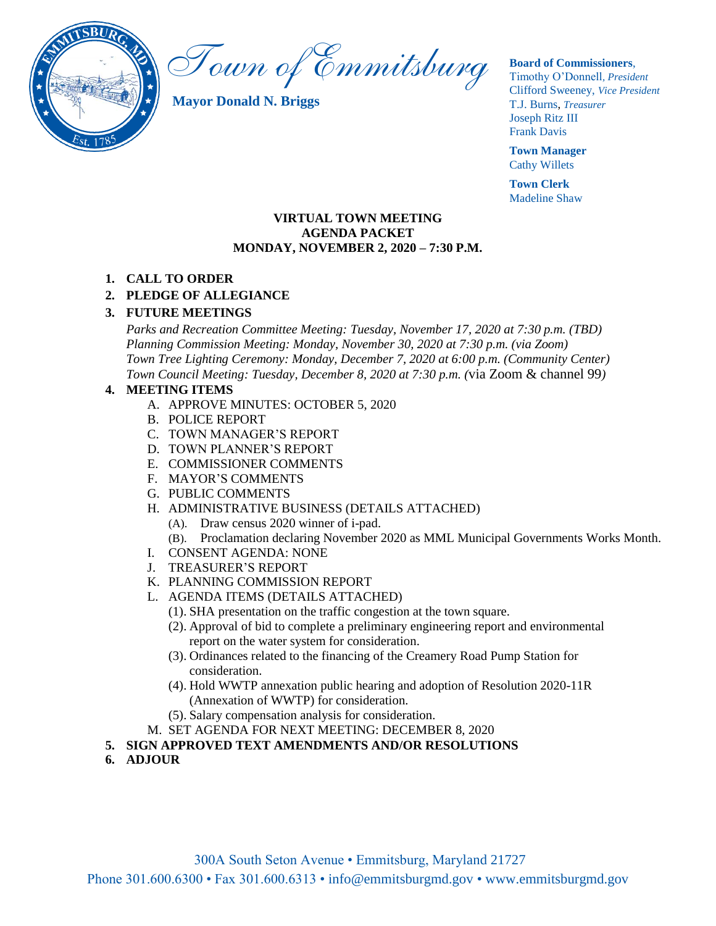

Town of Emmitsburg

**Mayor Donald N. Briggs**

#### **Board of Commissioners**,

Timothy O'Donnell*, President*  Clifford Sweeney, *Vice President* T.J. Burns, *Treasurer*  Joseph Ritz III Frank Davis

**Town Manager** Cathy Willets

**Town Clerk** Madeline Shaw

#### **VIRTUAL TOWN MEETING AGENDA PACKET MONDAY, NOVEMBER 2, 2020 – 7:30 P.M.**

## **1. CALL TO ORDER**

## **2. PLEDGE OF ALLEGIANCE**

#### **3. FUTURE MEETINGS**

*Parks and Recreation Committee Meeting: Tuesday, November 17, 2020 at 7:30 p.m. (TBD) Planning Commission Meeting: Monday, November 30, 2020 at 7:30 p.m. (via Zoom) Town Tree Lighting Ceremony: Monday, December 7, 2020 at 6:00 p.m. (Community Center) Town Council Meeting: Tuesday, December 8, 2020 at 7:30 p.m. (*via Zoom & channel 99*)*

#### **4. MEETING ITEMS**

- A. APPROVE MINUTES: OCTOBER 5, 2020
- B. POLICE REPORT
- C. TOWN MANAGER'S REPORT
- D. TOWN PLANNER'S REPORT
- E. COMMISSIONER COMMENTS
- F. MAYOR'S COMMENTS
- G. PUBLIC COMMENTS
- H. ADMINISTRATIVE BUSINESS (DETAILS ATTACHED)
	- (A). Draw census 2020 winner of i-pad.
	- (B). Proclamation declaring November 2020 as MML Municipal Governments Works Month.
- I. CONSENT AGENDA: NONE
- J. TREASURER'S REPORT
- K. PLANNING COMMISSION REPORT
- L. AGENDA ITEMS (DETAILS ATTACHED)
	- (1). SHA presentation on the traffic congestion at the town square.
	- (2). Approval of bid to complete a preliminary engineering report and environmental report on the water system for consideration.
	- (3). Ordinances related to the financing of the Creamery Road Pump Station for consideration.
	- (4). Hold WWTP annexation public hearing and adoption of Resolution 2020-11R (Annexation of WWTP) for consideration.
	- (5). Salary compensation analysis for consideration.
- M. SET AGENDA FOR NEXT MEETING: DECEMBER 8, 2020
- **5. SIGN APPROVED TEXT AMENDMENTS AND/OR RESOLUTIONS**
- **6. ADJOUR**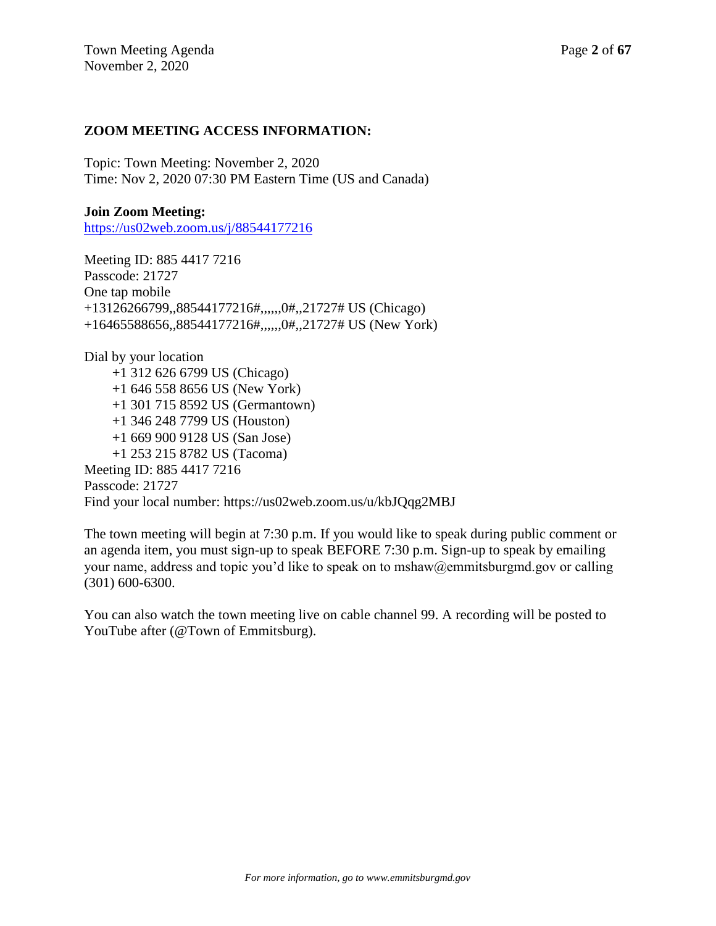## **ZOOM MEETING ACCESS INFORMATION:**

Topic: Town Meeting: November 2, 2020 Time: Nov 2, 2020 07:30 PM Eastern Time (US and Canada)

#### **Join Zoom Meeting:**

<https://us02web.zoom.us/j/88544177216>

Meeting ID: 885 4417 7216 Passcode: 21727 One tap mobile +13126266799,,88544177216#,,,,,,0#,,21727# US (Chicago) +16465588656,,88544177216#,,,,,,0#,,21727# US (New York)

Dial by your location +1 312 626 6799 US (Chicago) +1 646 558 8656 US (New York) +1 301 715 8592 US (Germantown) +1 346 248 7799 US (Houston) +1 669 900 9128 US (San Jose) +1 253 215 8782 US (Tacoma) Meeting ID: 885 4417 7216 Passcode: 21727 Find your local number: https://us02web.zoom.us/u/kbJQqg2MBJ

The town meeting will begin at 7:30 p.m. If you would like to speak during public comment or an agenda item, you must sign-up to speak BEFORE 7:30 p.m. Sign-up to speak by emailing your name, address and topic you'd like to speak on to mshaw@emmitsburgmd.gov or calling (301) 600-6300.

You can also watch the town meeting live on cable channel 99. A recording will be posted to YouTube after (@Town of Emmitsburg).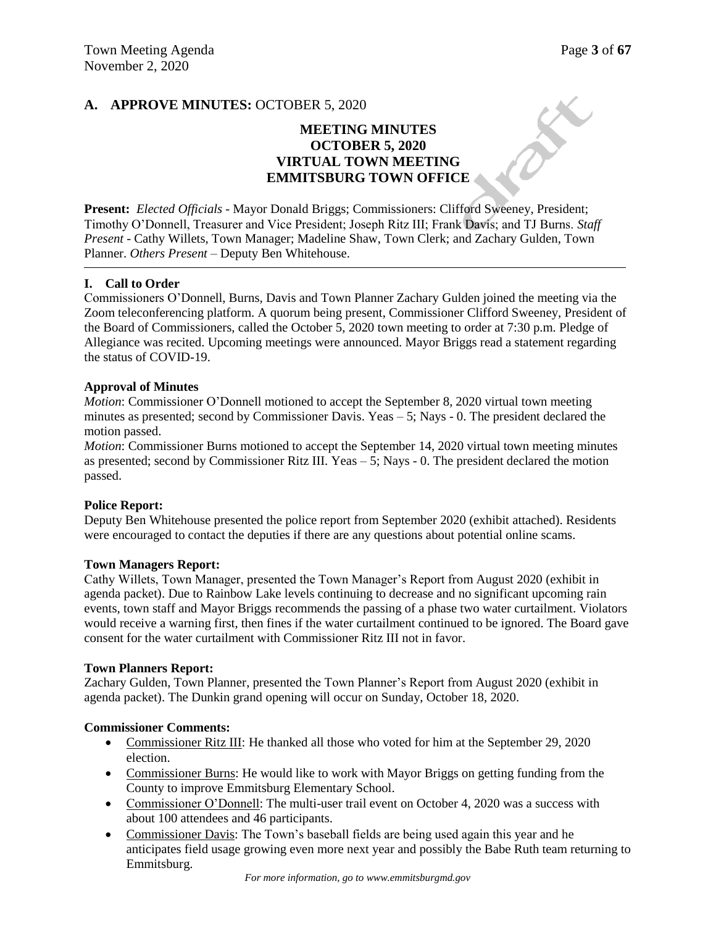$\gamma^{\rm{c}}$ 

## **A. APPROVE MINUTES:** OCTOBER 5, 2020

## **MEETING MINUTES OCTOBER 5, 2020 VIRTUAL TOWN MEETING EMMITSBURG TOWN OFFICE**

**Present:** *Elected Officials* - Mayor Donald Briggs; Commissioners: Clifford Sweeney, President; Timothy O'Donnell, Treasurer and Vice President; Joseph Ritz III; Frank Davis; and TJ Burns. *Staff Present* - Cathy Willets, Town Manager; Madeline Shaw, Town Clerk; and Zachary Gulden, Town Planner. *Others Present* – Deputy Ben Whitehouse.

#### **I. Call to Order**

Commissioners O'Donnell, Burns, Davis and Town Planner Zachary Gulden joined the meeting via the Zoom teleconferencing platform. A quorum being present, Commissioner Clifford Sweeney, President of the Board of Commissioners, called the October 5, 2020 town meeting to order at 7:30 p.m. Pledge of Allegiance was recited. Upcoming meetings were announced. Mayor Briggs read a statement regarding the status of COVID-19.

#### **Approval of Minutes**

*Motion*: Commissioner O'Donnell motioned to accept the September 8, 2020 virtual town meeting minutes as presented; second by Commissioner Davis. Yeas – 5; Nays - 0. The president declared the motion passed.

*Motion*: Commissioner Burns motioned to accept the September 14, 2020 virtual town meeting minutes as presented; second by Commissioner Ritz III. Yeas  $-5$ ; Nays  $-0$ . The president declared the motion passed.

#### **Police Report:**

Deputy Ben Whitehouse presented the police report from September 2020 (exhibit attached). Residents were encouraged to contact the deputies if there are any questions about potential online scams.

#### **Town Managers Report:**

Cathy Willets, Town Manager, presented the Town Manager's Report from August 2020 (exhibit in agenda packet). Due to Rainbow Lake levels continuing to decrease and no significant upcoming rain events, town staff and Mayor Briggs recommends the passing of a phase two water curtailment. Violators would receive a warning first, then fines if the water curtailment continued to be ignored. The Board gave consent for the water curtailment with Commissioner Ritz III not in favor.

#### **Town Planners Report:**

Zachary Gulden, Town Planner, presented the Town Planner's Report from August 2020 (exhibit in agenda packet). The Dunkin grand opening will occur on Sunday, October 18, 2020.

#### **Commissioner Comments:**

- Commissioner Ritz III: He thanked all those who voted for him at the September 29, 2020 election.
- Commissioner Burns: He would like to work with Mayor Briggs on getting funding from the County to improve Emmitsburg Elementary School.
- Commissioner O'Donnell: The multi-user trail event on October 4, 2020 was a success with about 100 attendees and 46 participants.
- Commissioner Davis: The Town's baseball fields are being used again this year and he anticipates field usage growing even more next year and possibly the Babe Ruth team returning to Emmitsburg.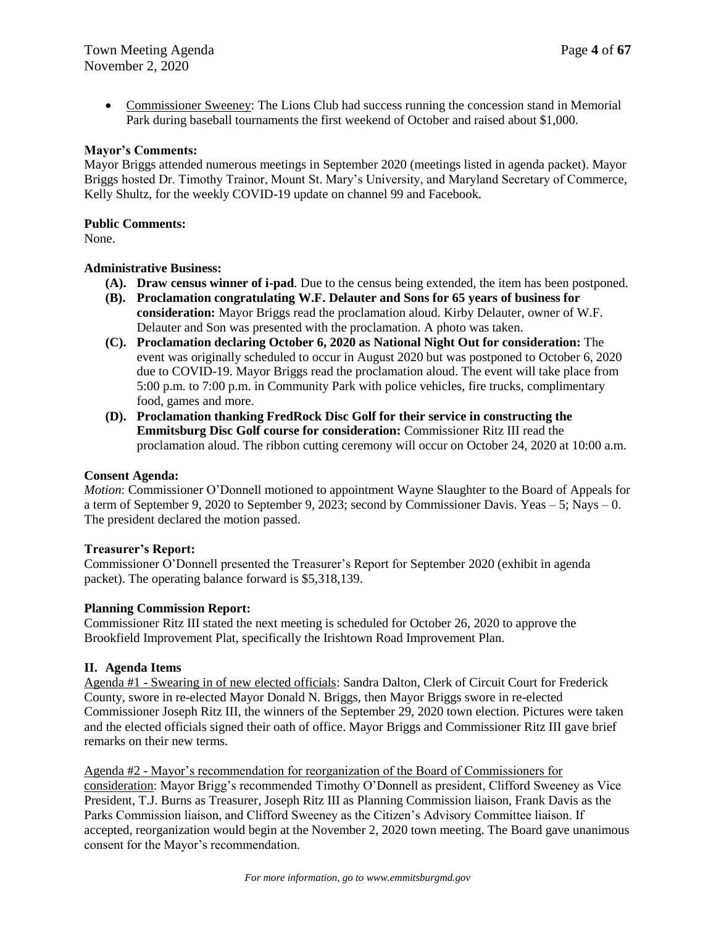• Commissioner Sweeney: The Lions Club had success running the concession stand in Memorial Park during baseball tournaments the first weekend of October and raised about \$1,000.

#### **Mayor's Comments:**

Mayor Briggs attended numerous meetings in September 2020 (meetings listed in agenda packet). Mayor Briggs hosted Dr. Timothy Trainor, Mount St. Mary's University, and Maryland Secretary of Commerce, Kelly Shultz, for the weekly COVID-19 update on channel 99 and Facebook.

#### **Public Comments:**

None.

#### **Administrative Business:**

- **(A). Draw census winner of i-pad**. Due to the census being extended, the item has been postponed.
- **(B). Proclamation congratulating W.F. Delauter and Sons for 65 years of business for consideration:** Mayor Briggs read the proclamation aloud. Kirby Delauter, owner of W.F. Delauter and Son was presented with the proclamation. A photo was taken.
- **(C). Proclamation declaring October 6, 2020 as National Night Out for consideration:** The event was originally scheduled to occur in August 2020 but was postponed to October 6, 2020 due to COVID-19. Mayor Briggs read the proclamation aloud. The event will take place from 5:00 p.m. to 7:00 p.m. in Community Park with police vehicles, fire trucks, complimentary food, games and more.
- **(D). Proclamation thanking FredRock Disc Golf for their service in constructing the Emmitsburg Disc Golf course for consideration:** Commissioner Ritz III read the proclamation aloud. The ribbon cutting ceremony will occur on October 24, 2020 at 10:00 a.m.

#### **Consent Agenda:**

*Motion*: Commissioner O'Donnell motioned to appointment Wayne Slaughter to the Board of Appeals for a term of September 9, 2020 to September 9, 2023; second by Commissioner Davis. Yeas – 5; Nays – 0. The president declared the motion passed.

#### **Treasurer's Report:**

Commissioner O'Donnell presented the Treasurer's Report for September 2020 (exhibit in agenda packet). The operating balance forward is \$5,318,139.

#### **Planning Commission Report:**

Commissioner Ritz III stated the next meeting is scheduled for October 26, 2020 to approve the Brookfield Improvement Plat, specifically the Irishtown Road Improvement Plan.

#### **II. Agenda Items**

Agenda #1 - Swearing in of new elected officials: Sandra Dalton, Clerk of Circuit Court for Frederick County, swore in re-elected Mayor Donald N. Briggs, then Mayor Briggs swore in re-elected Commissioner Joseph Ritz III, the winners of the September 29, 2020 town election. Pictures were taken and the elected officials signed their oath of office. Mayor Briggs and Commissioner Ritz III gave brief remarks on their new terms.

Agenda #2 - Mayor's recommendation for reorganization of the Board of Commissioners for consideration: Mayor Brigg's recommended Timothy O'Donnell as president, Clifford Sweeney as Vice President, T.J. Burns as Treasurer, Joseph Ritz III as Planning Commission liaison, Frank Davis as the Parks Commission liaison, and Clifford Sweeney as the Citizen's Advisory Committee liaison. If accepted, reorganization would begin at the November 2, 2020 town meeting. The Board gave unanimous consent for the Mayor's recommendation.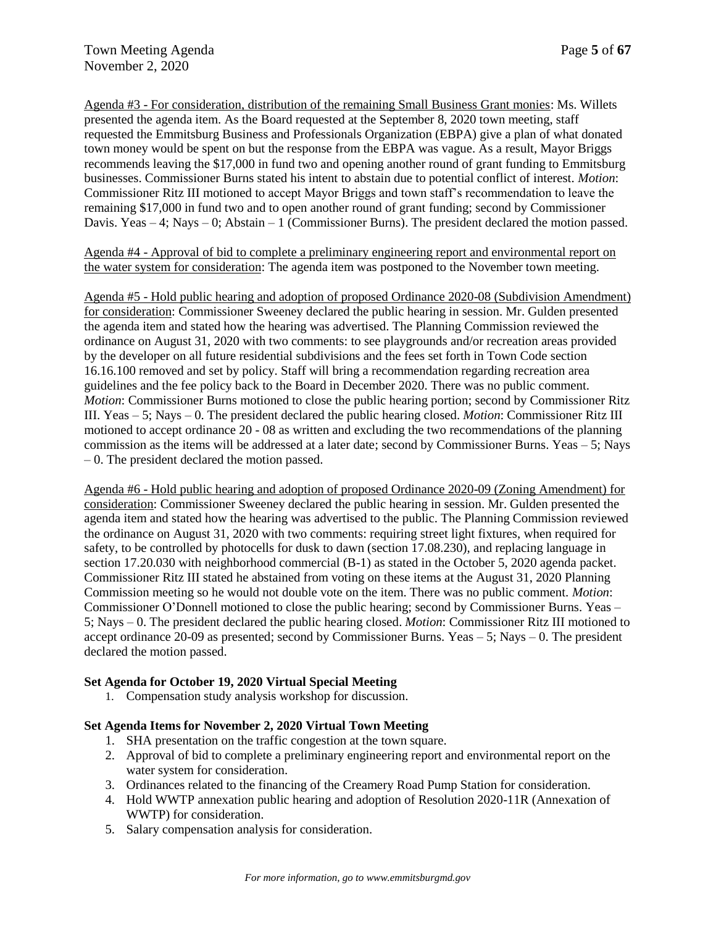Agenda #3 - For consideration, distribution of the remaining Small Business Grant monies: Ms. Willets presented the agenda item. As the Board requested at the September 8, 2020 town meeting, staff requested the Emmitsburg Business and Professionals Organization (EBPA) give a plan of what donated town money would be spent on but the response from the EBPA was vague. As a result, Mayor Briggs recommends leaving the \$17,000 in fund two and opening another round of grant funding to Emmitsburg businesses. Commissioner Burns stated his intent to abstain due to potential conflict of interest. *Motion*: Commissioner Ritz III motioned to accept Mayor Briggs and town staff's recommendation to leave the remaining \$17,000 in fund two and to open another round of grant funding; second by Commissioner Davis. Yeas  $-4$ ; Nays  $-0$ ; Abstain  $-1$  (Commissioner Burns). The president declared the motion passed.

Agenda #4 - Approval of bid to complete a preliminary engineering report and environmental report on the water system for consideration: The agenda item was postponed to the November town meeting.

Agenda #5 - Hold public hearing and adoption of proposed Ordinance 2020-08 (Subdivision Amendment) for consideration: Commissioner Sweeney declared the public hearing in session. Mr. Gulden presented the agenda item and stated how the hearing was advertised. The Planning Commission reviewed the ordinance on August 31, 2020 with two comments: to see playgrounds and/or recreation areas provided by the developer on all future residential subdivisions and the fees set forth in Town Code section 16.16.100 removed and set by policy. Staff will bring a recommendation regarding recreation area guidelines and the fee policy back to the Board in December 2020. There was no public comment. *Motion*: Commissioner Burns motioned to close the public hearing portion; second by Commissioner Ritz III. Yeas – 5; Nays – 0. The president declared the public hearing closed. *Motion*: Commissioner Ritz III motioned to accept ordinance 20 - 08 as written and excluding the two recommendations of the planning commission as the items will be addressed at a later date; second by Commissioner Burns. Yeas – 5; Nays – 0. The president declared the motion passed.

Agenda #6 - Hold public hearing and adoption of proposed Ordinance 2020-09 (Zoning Amendment) for consideration: Commissioner Sweeney declared the public hearing in session. Mr. Gulden presented the agenda item and stated how the hearing was advertised to the public. The Planning Commission reviewed the ordinance on August 31, 2020 with two comments: requiring street light fixtures, when required for safety, to be controlled by photocells for dusk to dawn (section 17.08.230), and replacing language in section 17.20.030 with neighborhood commercial (B-1) as stated in the October 5, 2020 agenda packet. Commissioner Ritz III stated he abstained from voting on these items at the August 31, 2020 Planning Commission meeting so he would not double vote on the item. There was no public comment. *Motion*: Commissioner O'Donnell motioned to close the public hearing; second by Commissioner Burns. Yeas – 5; Nays – 0. The president declared the public hearing closed. *Motion*: Commissioner Ritz III motioned to accept ordinance 20-09 as presented; second by Commissioner Burns. Yeas – 5; Nays – 0. The president declared the motion passed.

#### **Set Agenda for October 19, 2020 Virtual Special Meeting**

1. Compensation study analysis workshop for discussion.

#### **Set Agenda Items for November 2, 2020 Virtual Town Meeting**

- 1. SHA presentation on the traffic congestion at the town square.
- 2. Approval of bid to complete a preliminary engineering report and environmental report on the water system for consideration.
- 3. Ordinances related to the financing of the Creamery Road Pump Station for consideration.
- 4. Hold WWTP annexation public hearing and adoption of Resolution 2020-11R (Annexation of WWTP) for consideration.
- 5. Salary compensation analysis for consideration.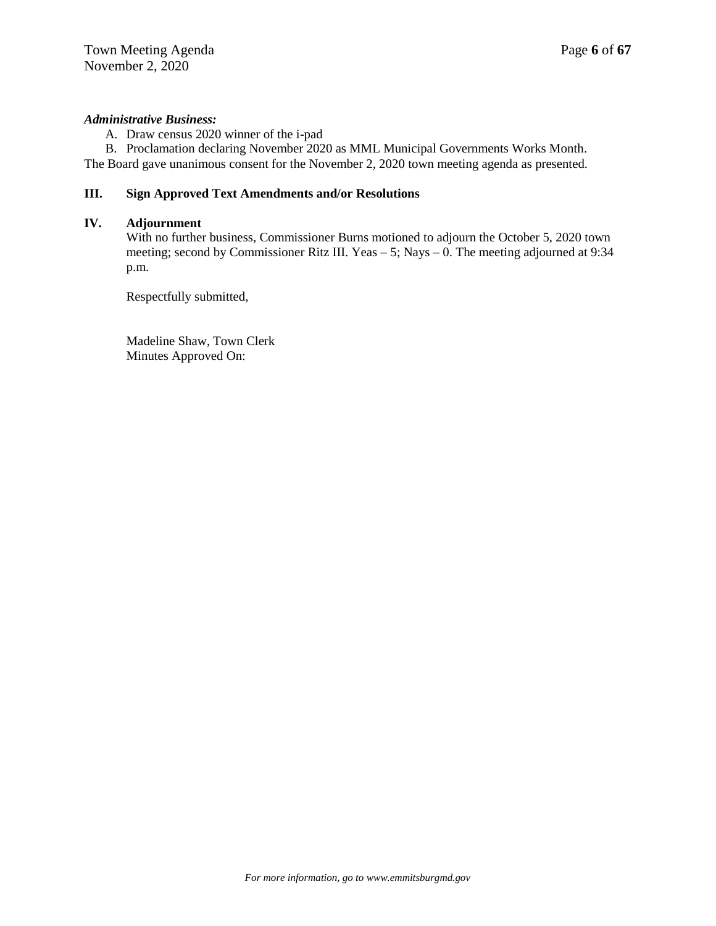#### *Administrative Business:*

A. Draw census 2020 winner of the i-pad

B. Proclamation declaring November 2020 as MML Municipal Governments Works Month. The Board gave unanimous consent for the November 2, 2020 town meeting agenda as presented.

### **III. Sign Approved Text Amendments and/or Resolutions**

#### **IV. Adjournment**

With no further business, Commissioner Burns motioned to adjourn the October 5, 2020 town meeting; second by Commissioner Ritz III. Yeas – 5; Nays – 0. The meeting adjourned at 9:34 p.m.

Respectfully submitted,

Madeline Shaw, Town Clerk Minutes Approved On: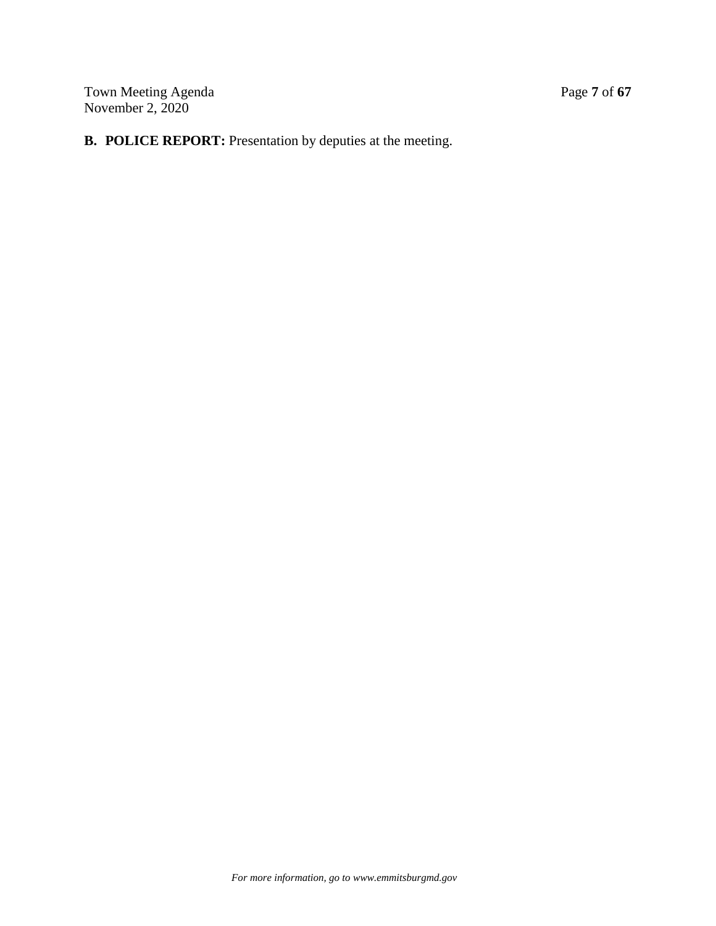Town Meeting Agenda Page 7 of 67 November 2, 2020

# **B. POLICE REPORT:** Presentation by deputies at the meeting.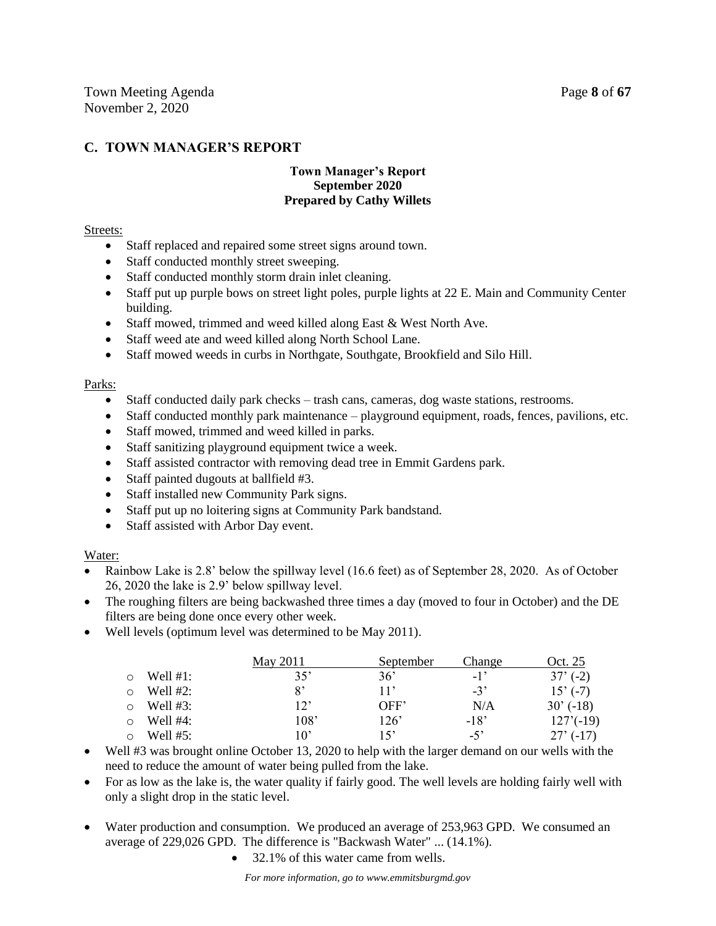## **C. TOWN MANAGER'S REPORT**

#### **Town Manager's Report September 2020 Prepared by Cathy Willets**

#### Streets:

- Staff replaced and repaired some street signs around town.
- Staff conducted monthly street sweeping.
- Staff conducted monthly storm drain inlet cleaning.
- Staff put up purple bows on street light poles, purple lights at 22 E. Main and Community Center building.
- Staff mowed, trimmed and weed killed along East & West North Ave.
- Staff weed ate and weed killed along North School Lane.
- Staff mowed weeds in curbs in Northgate, Southgate, Brookfield and Silo Hill.

#### Parks:

- Staff conducted daily park checks trash cans, cameras, dog waste stations, restrooms.
- $\bullet$  Staff conducted monthly park maintenance playground equipment, roads, fences, pavilions, etc.
- Staff mowed, trimmed and weed killed in parks.
- Staff sanitizing playground equipment twice a week.
- Staff assisted contractor with removing dead tree in Emmit Gardens park.
- Staff painted dugouts at ballfield #3.
- Staff installed new Community Park signs.
- Staff put up no loitering signs at Community Park bandstand.
- Staff assisted with Arbor Day event.

#### Water:

- Rainbow Lake is 2.8' below the spillway level (16.6 feet) as of September 28, 2020. As of October 26, 2020 the lake is 2.9' below spillway level.
- The roughing filters are being backwashed three times a day (moved to four in October) and the DE filters are being done once every other week.
- Well levels (optimum level was determined to be May 2011).

|         |                  | May 2011     | September | Change | Oct. 25     |  |
|---------|------------------|--------------|-----------|--------|-------------|--|
| $\circ$ | Well $#1$ :      | 35'          | 36'       | $-1'$  | $37'(-2)$   |  |
| $\circ$ | Well #2:         | 8'           | 11'       | $-3'$  | $15'(-7)$   |  |
|         | $\circ$ Well #3: | 12'          | OFF'      | N/A    | 30'(18)     |  |
| $\circ$ | Well #4:         | 108'         | 126'      | $-18'$ | $127'(-19)$ |  |
| $\circ$ | Well #5:         | $10^{\circ}$ | 15'       | $-5'$  | $27'(-17)$  |  |

- Well #3 was brought online October 13, 2020 to help with the larger demand on our wells with the need to reduce the amount of water being pulled from the lake.
- For as low as the lake is, the water quality if fairly good. The well levels are holding fairly well with only a slight drop in the static level.
- Water production and consumption. We produced an average of 253,963 GPD. We consumed an average of 229,026 GPD. The difference is "Backwash Water" ... (14.1%).
	- 32.1% of this water came from wells.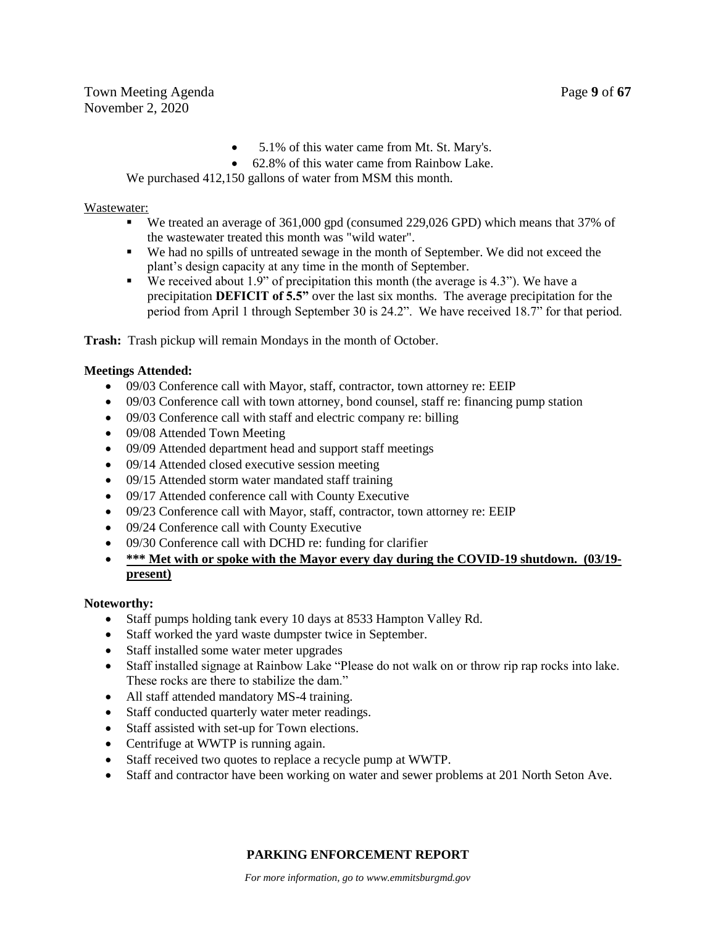- 5.1% of this water came from Mt. St. Mary's.
- 62.8% of this water came from Rainbow Lake.

We purchased 412,150 gallons of water from MSM this month.

#### Wastewater:

- We treated an average of 361,000 gpd (consumed 229,026 GPD) which means that 37% of the wastewater treated this month was "wild water".
- We had no spills of untreated sewage in the month of September. We did not exceed the plant's design capacity at any time in the month of September.
- We received about 1.9" of precipitation this month (the average is 4.3"). We have a precipitation **DEFICIT of 5.5"** over the last six months. The average precipitation for the period from April 1 through September 30 is 24.2". We have received 18.7" for that period.

**Trash:** Trash pickup will remain Mondays in the month of October.

#### **Meetings Attended:**

- 09/03 Conference call with Mayor, staff, contractor, town attorney re: EEIP
- 09/03 Conference call with town attorney, bond counsel, staff re: financing pump station
- 09/03 Conference call with staff and electric company re: billing
- 09/08 Attended Town Meeting
- 09/09 Attended department head and support staff meetings
- 09/14 Attended closed executive session meeting
- 09/15 Attended storm water mandated staff training
- 09/17 Attended conference call with County Executive
- 09/23 Conference call with Mayor, staff, contractor, town attorney re: EEIP
- 09/24 Conference call with County Executive
- 09/30 Conference call with DCHD re: funding for clarifier
- **\*\*\* Met with or spoke with the Mayor every day during the COVID-19 shutdown. (03/19 present)**

#### **Noteworthy:**

- Staff pumps holding tank every 10 days at 8533 Hampton Valley Rd.
- Staff worked the yard waste dumpster twice in September.
- Staff installed some water meter upgrades
- Staff installed signage at Rainbow Lake "Please do not walk on or throw rip rap rocks into lake. These rocks are there to stabilize the dam."
- All staff attended mandatory MS-4 training.
- Staff conducted quarterly water meter readings.
- Staff assisted with set-up for Town elections.
- Centrifuge at WWTP is running again.
- Staff received two quotes to replace a recycle pump at WWTP.
- Staff and contractor have been working on water and sewer problems at 201 North Seton Ave.

## **PARKING ENFORCEMENT REPORT**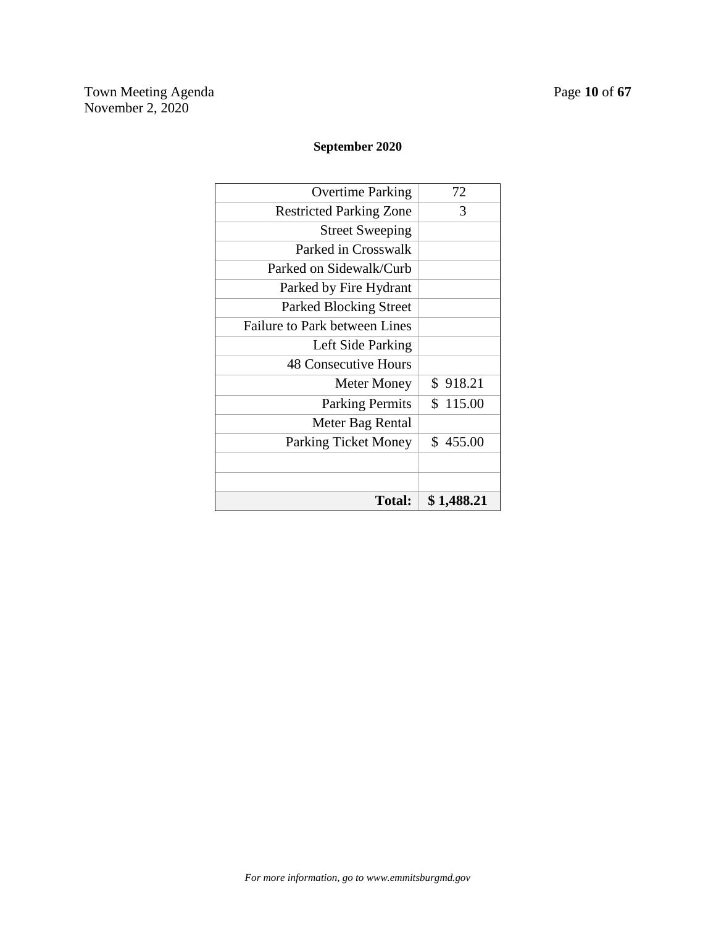## **September 2020**

| <b>Total:</b>                  | \$1,488.21 |
|--------------------------------|------------|
|                                |            |
|                                |            |
| <b>Parking Ticket Money</b>    | \$455.00   |
| Meter Bag Rental               |            |
| <b>Parking Permits</b>         | \$115.00   |
| <b>Meter Money</b>             | \$918.21   |
| <b>48 Consecutive Hours</b>    |            |
| Left Side Parking              |            |
| Failure to Park between Lines  |            |
| <b>Parked Blocking Street</b>  |            |
| Parked by Fire Hydrant         |            |
| Parked on Sidewalk/Curb        |            |
| Parked in Crosswalk            |            |
| <b>Street Sweeping</b>         |            |
| <b>Restricted Parking Zone</b> | 3          |
| <b>Overtime Parking</b>        | 72         |
|                                |            |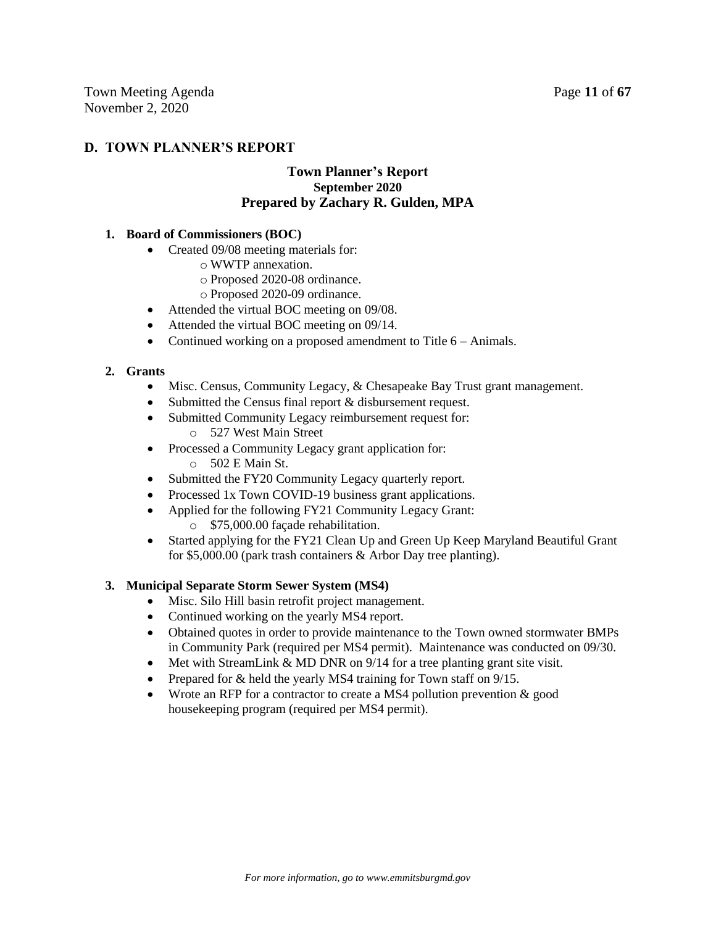## **D. TOWN PLANNER'S REPORT**

## **Town Planner's Report September 2020 Prepared by Zachary R. Gulden, MPA**

#### **1. Board of Commissioners (BOC)**

- Created 09/08 meeting materials for:
	- o WWTP annexation.
	- o Proposed 2020-08 ordinance.
	- o Proposed 2020-09 ordinance.
- Attended the virtual BOC meeting on 09/08.
- Attended the virtual BOC meeting on 09/14.
- Continued working on a proposed amendment to Title 6 Animals.

#### **2. Grants**

- Misc. Census, Community Legacy, & Chesapeake Bay Trust grant management.
- Submitted the Census final report & disbursement request.
- Submitted Community Legacy reimbursement request for:
	- o 527 West Main Street
- Processed a Community Legacy grant application for:  $\circ$  502 E Main St.
- Submitted the FY20 Community Legacy quarterly report.
- Processed 1x Town COVID-19 business grant applications.
- Applied for the following FY21 Community Legacy Grant:
	- o \$75,000.00 façade rehabilitation.
- Started applying for the FY21 Clean Up and Green Up Keep Maryland Beautiful Grant for \$5,000.00 (park trash containers & Arbor Day tree planting).

#### **3. Municipal Separate Storm Sewer System (MS4)**

- Misc. Silo Hill basin retrofit project management.
- Continued working on the yearly MS4 report.
- Obtained quotes in order to provide maintenance to the Town owned stormwater BMPs in Community Park (required per MS4 permit). Maintenance was conducted on 09/30.
- $\bullet$  Met with StreamLink & MD DNR on 9/14 for a tree planting grant site visit.
- Prepared for & held the yearly MS4 training for Town staff on 9/15.
- Wrote an RFP for a contractor to create a MS4 pollution prevention  $&$  good housekeeping program (required per MS4 permit).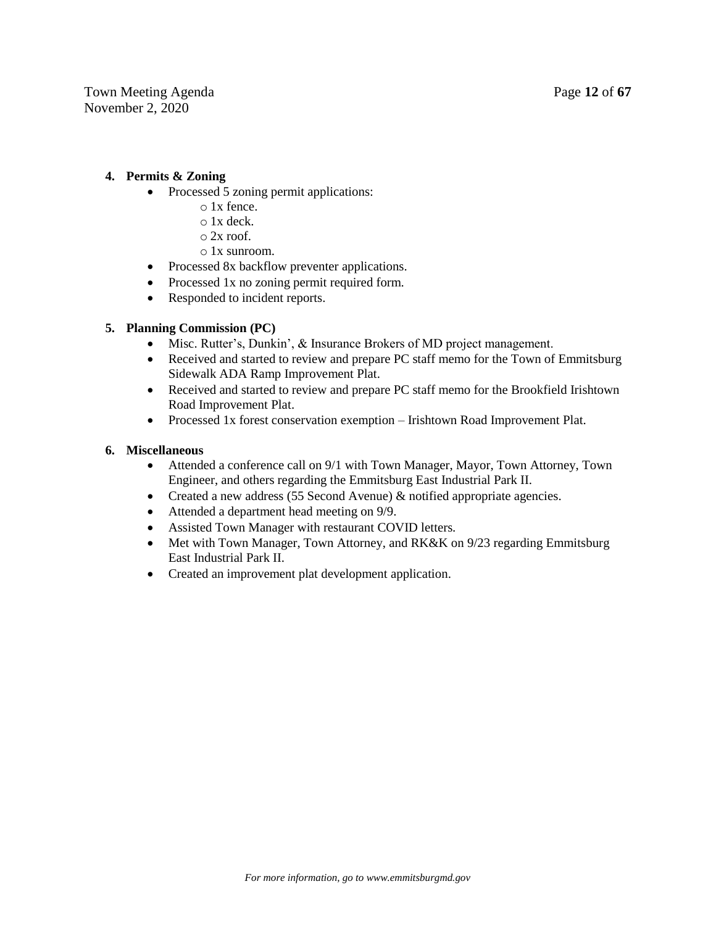### **4. Permits & Zoning**

- Processed 5 zoning permit applications:
	- o 1x fence.
	- o 1x deck.
	- $\circ$  2x roof.
	- o 1x sunroom.
- Processed 8x backflow preventer applications.
- Processed 1x no zoning permit required form.
- Responded to incident reports.

#### **5. Planning Commission (PC)**

- Misc. Rutter's, Dunkin', & Insurance Brokers of MD project management.
- Received and started to review and prepare PC staff memo for the Town of Emmitsburg Sidewalk ADA Ramp Improvement Plat.
- Received and started to review and prepare PC staff memo for the Brookfield Irishtown Road Improvement Plat.
- Processed 1x forest conservation exemption Irishtown Road Improvement Plat.

#### **6. Miscellaneous**

- Attended a conference call on 9/1 with Town Manager, Mayor, Town Attorney, Town Engineer, and others regarding the Emmitsburg East Industrial Park II.
- Created a new address (55 Second Avenue) & notified appropriate agencies.
- Attended a department head meeting on 9/9.
- Assisted Town Manager with restaurant COVID letters.
- Met with Town Manager, Town Attorney, and RK&K on 9/23 regarding Emmitsburg East Industrial Park II.
- Created an improvement plat development application.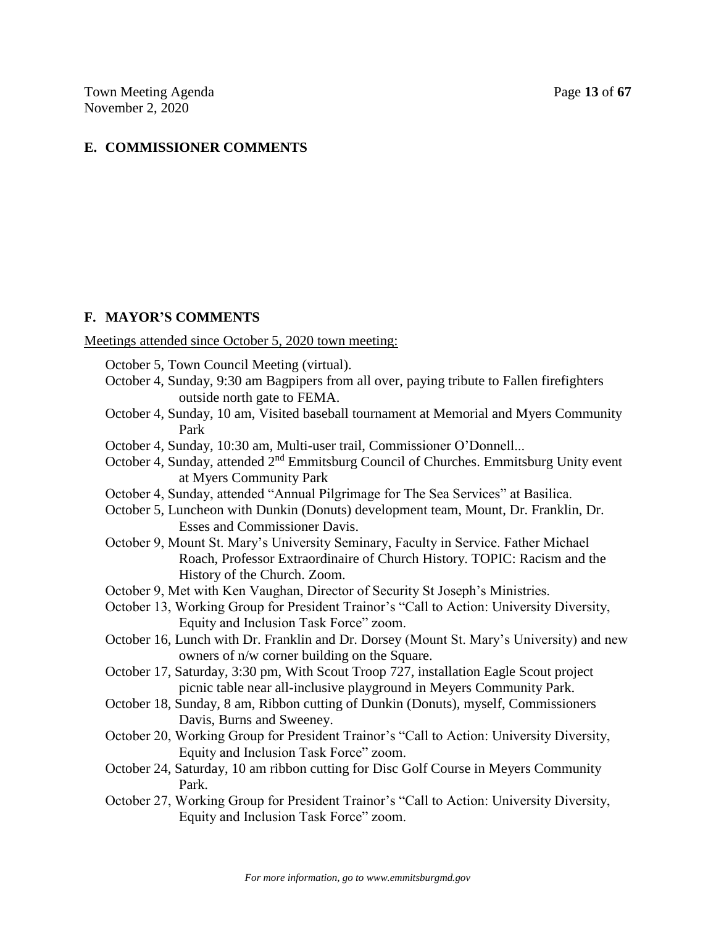## **E. COMMISSIONER COMMENTS**

### **F. MAYOR'S COMMENTS**

Meetings attended since October 5, 2020 town meeting:

- October 5, Town Council Meeting (virtual).
- October 4, Sunday, 9:30 am Bagpipers from all over, paying tribute to Fallen firefighters outside north gate to FEMA.
- October 4, Sunday, 10 am, Visited baseball tournament at Memorial and Myers Community Park
- October 4, Sunday, 10:30 am, Multi-user trail, Commissioner O'Donnell...
- October 4, Sunday, attended 2nd Emmitsburg Council of Churches. Emmitsburg Unity event at Myers Community Park
- October 4, Sunday, attended "Annual Pilgrimage for The Sea Services" at Basilica.
- October 5, Luncheon with Dunkin (Donuts) development team, Mount, Dr. Franklin, Dr. Esses and Commissioner Davis.
- October 9, Mount St. Mary's University Seminary, Faculty in Service. Father Michael Roach, Professor Extraordinaire of Church History. TOPIC: Racism and the History of the Church. Zoom.
- October 9, Met with Ken Vaughan, Director of Security St Joseph's Ministries.
- October 13, Working Group for President Trainor's "Call to Action: University Diversity, Equity and Inclusion Task Force" zoom.
- October 16, Lunch with Dr. Franklin and Dr. Dorsey (Mount St. Mary's University) and new owners of n/w corner building on the Square.
- October 17, Saturday, 3:30 pm, With Scout Troop 727, installation Eagle Scout project picnic table near all-inclusive playground in Meyers Community Park.
- October 18, Sunday, 8 am, Ribbon cutting of Dunkin (Donuts), myself, Commissioners Davis, Burns and Sweeney.
- October 20, Working Group for President Trainor's "Call to Action: University Diversity, Equity and Inclusion Task Force" zoom.
- October 24, Saturday, 10 am ribbon cutting for Disc Golf Course in Meyers Community Park.
- October 27, Working Group for President Trainor's "Call to Action: University Diversity, Equity and Inclusion Task Force" zoom.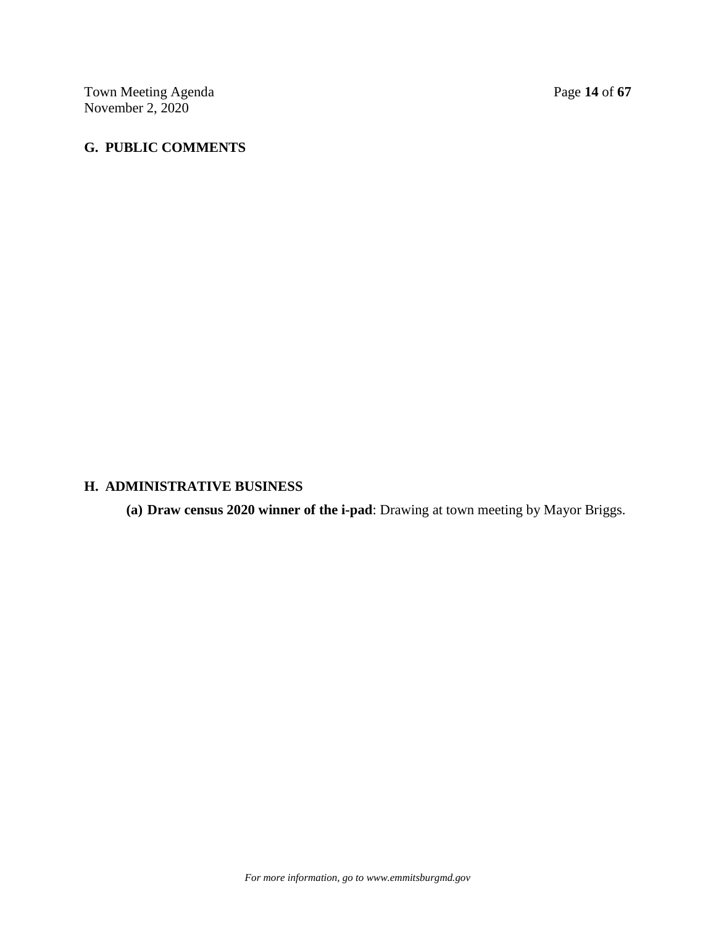Town Meeting Agenda Page 14 of 67 November 2, 2020

## **G. PUBLIC COMMENTS**

#### **H. ADMINISTRATIVE BUSINESS**

**(a) Draw census 2020 winner of the i-pad**: Drawing at town meeting by Mayor Briggs.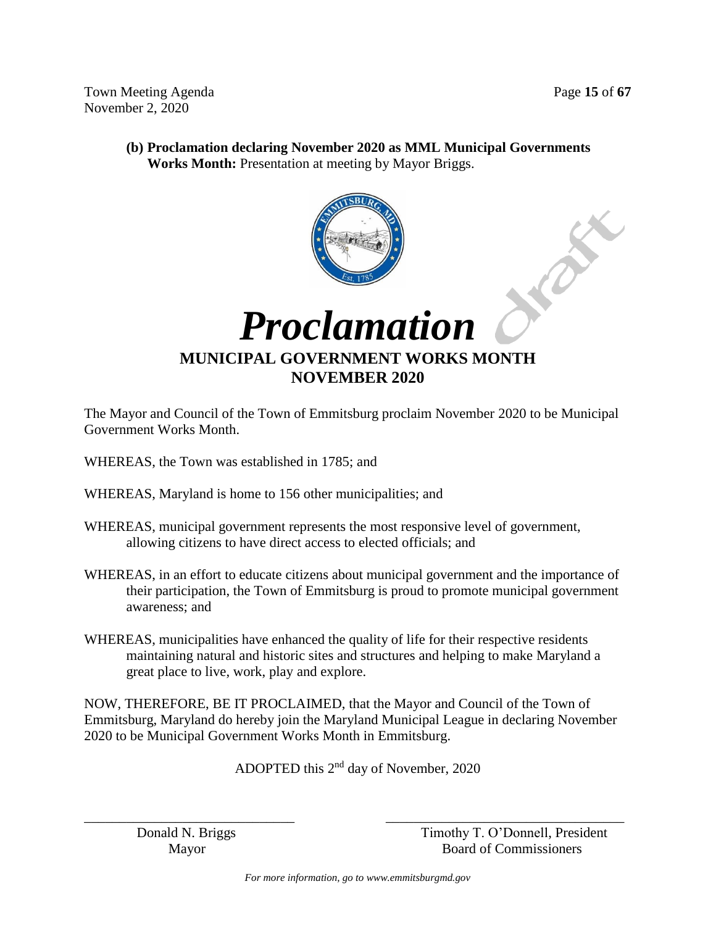FREE

Town Meeting Agenda **Page 15** of **67** November 2, 2020

**(b) Proclamation declaring November 2020 as MML Municipal Governments Works Month:** Presentation at meeting by Mayor Briggs.





**MUNICIPAL GOVERNMENT WORKS MONTH NOVEMBER 2020**

The Mayor and Council of the Town of Emmitsburg proclaim November 2020 to be Municipal Government Works Month.

- WHEREAS, the Town was established in 1785; and
- WHEREAS, Maryland is home to 156 other municipalities; and
- WHEREAS, municipal government represents the most responsive level of government, allowing citizens to have direct access to elected officials; and
- WHEREAS, in an effort to educate citizens about municipal government and the importance of their participation, the Town of Emmitsburg is proud to promote municipal government awareness; and
- WHEREAS, municipalities have enhanced the quality of life for their respective residents maintaining natural and historic sites and structures and helping to make Maryland a great place to live, work, play and explore.

NOW, THEREFORE, BE IT PROCLAIMED, that the Mayor and Council of the Town of Emmitsburg, Maryland do hereby join the Maryland Municipal League in declaring November 2020 to be Municipal Government Works Month in Emmitsburg.

ADOPTED this 2nd day of November, 2020

\_\_\_\_\_\_\_\_\_\_\_\_\_\_\_\_\_\_\_\_\_\_\_\_\_\_\_\_\_\_ \_\_\_\_\_\_\_\_\_\_\_\_\_\_\_\_\_\_\_\_\_\_\_\_\_\_\_\_\_\_\_\_\_\_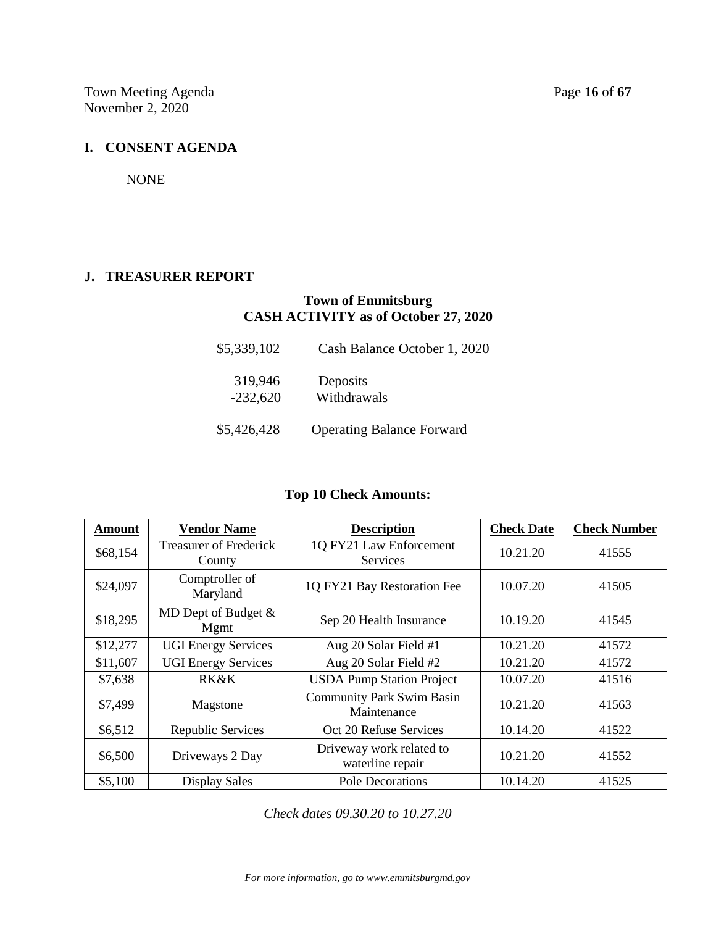Town Meeting Agenda Page 16 of 67 November 2, 2020

#### **I. CONSENT AGENDA**

NONE

#### **J. TREASURER REPORT**

## **Town of Emmitsburg CASH ACTIVITY as of October 27, 2020**

| \$5,339,102           | Cash Balance October 1, 2020     |
|-----------------------|----------------------------------|
| 319,946<br>$-232,620$ | Deposits<br>Withdrawals          |
| \$5,426,428           | <b>Operating Balance Forward</b> |

## **Top 10 Check Amounts:**

| <b>Amount</b> | <b>Vendor Name</b>                      | <b>Description</b>                              | <b>Check Date</b> | <b>Check Number</b> |
|---------------|-----------------------------------------|-------------------------------------------------|-------------------|---------------------|
| \$68,154      | <b>Treasurer of Frederick</b><br>County | 1Q FY21 Law Enforcement<br>Services             | 10.21.20          | 41555               |
| \$24,097      | Comptroller of<br>Maryland              | 1Q FY21 Bay Restoration Fee                     | 10.07.20          | 41505               |
| \$18,295      | MD Dept of Budget $\&$<br>Mgmt          | Sep 20 Health Insurance                         | 10.19.20          | 41545               |
| \$12,277      | <b>UGI Energy Services</b>              | Aug 20 Solar Field #1                           | 10.21.20          | 41572               |
| \$11,607      | <b>UGI Energy Services</b>              | Aug 20 Solar Field #2                           | 10.21.20          | 41572               |
| \$7,638       | <b>RK&amp;K</b>                         | <b>USDA Pump Station Project</b>                | 10.07.20          | 41516               |
| \$7,499       | Magstone                                | <b>Community Park Swim Basin</b><br>Maintenance | 10.21.20          | 41563               |
| \$6,512       | Republic Services                       | Oct 20 Refuse Services                          | 10.14.20          | 41522               |
| \$6,500       | Driveways 2 Day                         | Driveway work related to<br>waterline repair    | 10.21.20          | 41552               |
| \$5,100       | <b>Display Sales</b>                    | Pole Decorations                                | 10.14.20          | 41525               |

*Check dates 09.30.20 to 10.27.20*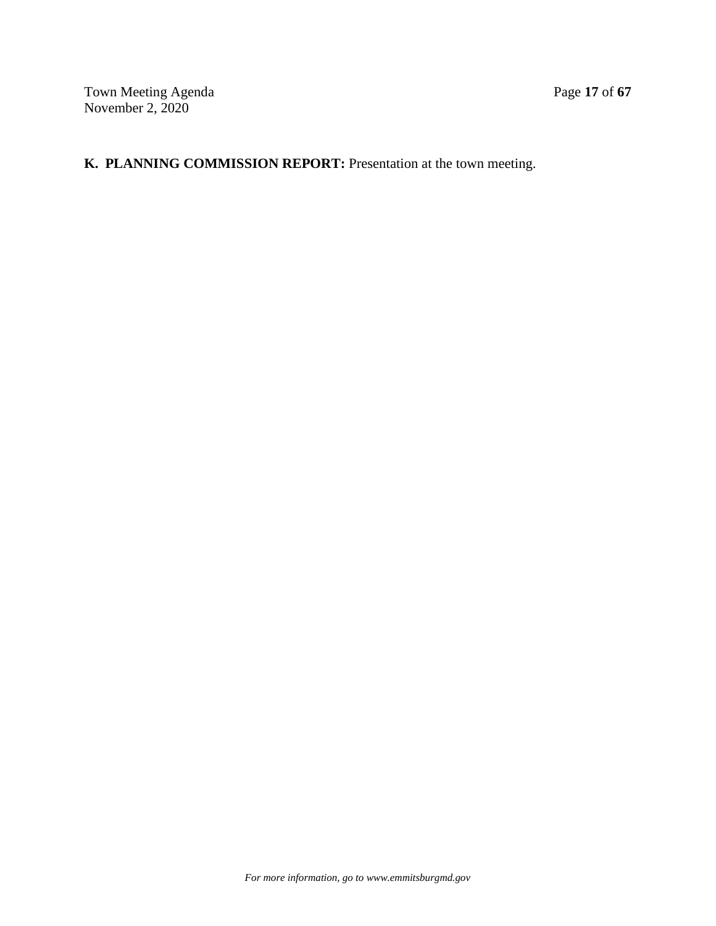# **K. PLANNING COMMISSION REPORT:** Presentation at the town meeting.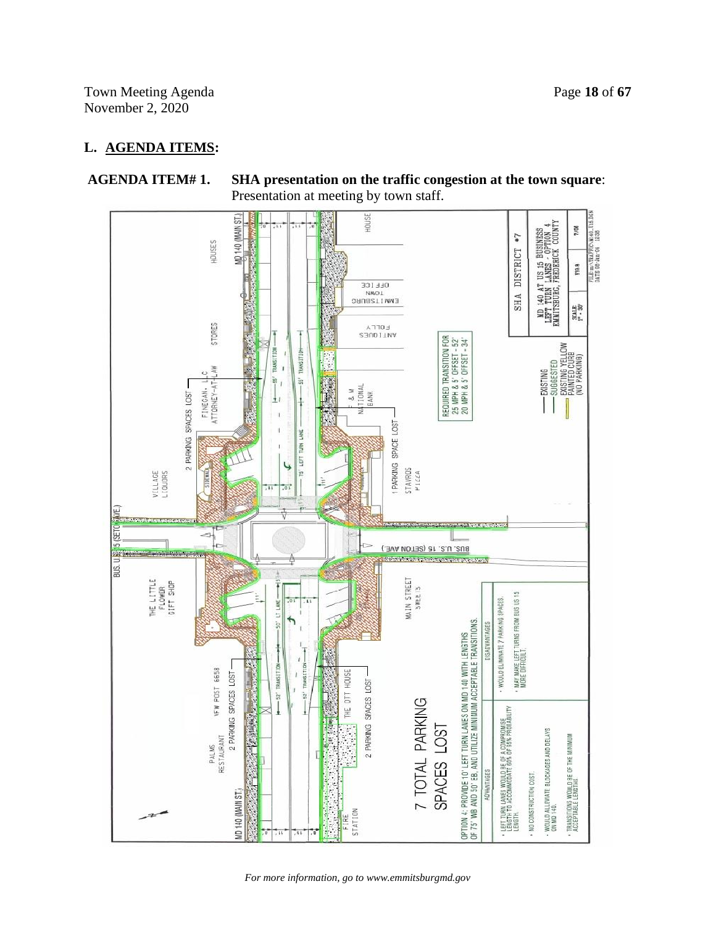Town Meeting Agenda Page 18 of 67 November 2, 2020

## **L. AGENDA ITEMS:**



**AGENDA ITEM# 1. SHA presentation on the traffic congestion at the town square**: Presentation at meeting by town staff.

*For more information, go to www.emmitsburgmd.gov*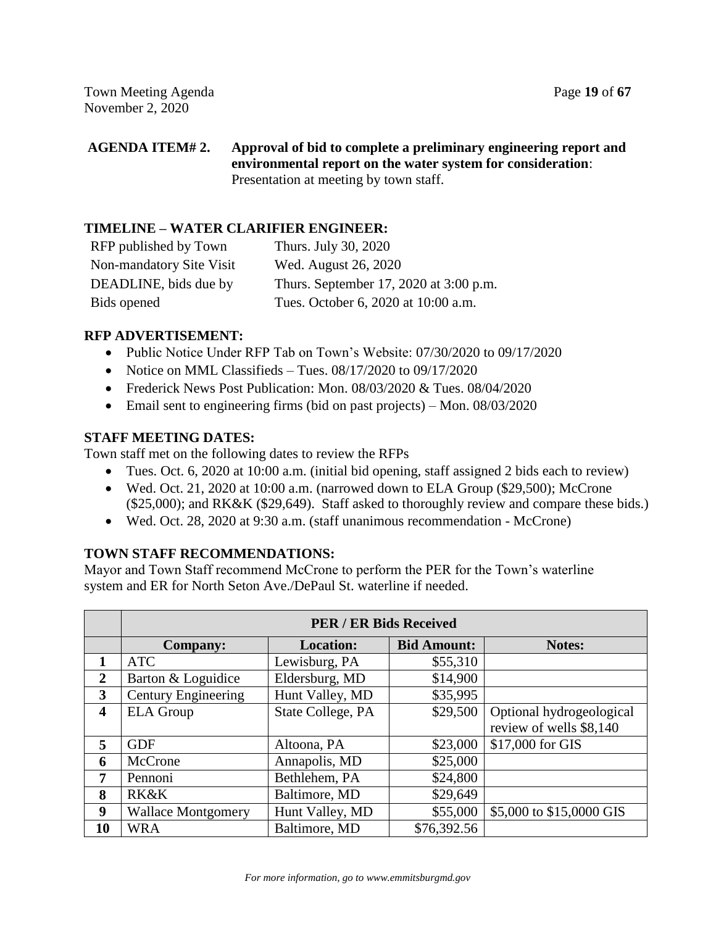## **AGENDA ITEM# 2. Approval of bid to complete a preliminary engineering report and environmental report on the water system for consideration**: Presentation at meeting by town staff.

## **TIMELINE – WATER CLARIFIER ENGINEER:**

| RFP published by Town    | Thurs. July 30, 2020                   |
|--------------------------|----------------------------------------|
| Non-mandatory Site Visit | Wed. August 26, 2020                   |
| DEADLINE, bids due by    | Thurs. September 17, 2020 at 3:00 p.m. |
| Bids opened              | Tues. October 6, 2020 at 10:00 a.m.    |

## **RFP ADVERTISEMENT:**

- Public Notice Under RFP Tab on Town's Website: 07/30/2020 to 09/17/2020
- Notice on MML Classifieds Tues.  $08/17/2020$  to  $09/17/2020$
- Frederick News Post Publication: Mon. 08/03/2020 & Tues. 08/04/2020
- Email sent to engineering firms (bid on past projects) Mon. 08/03/2020

## **STAFF MEETING DATES:**

Town staff met on the following dates to review the RFPs

- Tues. Oct. 6, 2020 at 10:00 a.m. (initial bid opening, staff assigned 2 bids each to review)
- Wed. Oct. 21, 2020 at 10:00 a.m. (narrowed down to ELA Group (\$29,500); McCrone (\$25,000); and RK&K (\$29,649). Staff asked to thoroughly review and compare these bids.)
- Wed. Oct. 28, 2020 at 9:30 a.m. (staff unanimous recommendation McCrone)

## **TOWN STAFF RECOMMENDATIONS:**

Mayor and Town Staff recommend McCrone to perform the PER for the Town's waterline system and ER for North Seton Ave./DePaul St. waterline if needed.

|                         | <b>PER / ER Bids Received</b> |                   |                    |                          |  |
|-------------------------|-------------------------------|-------------------|--------------------|--------------------------|--|
|                         | <b>Company:</b>               | <b>Location:</b>  | <b>Bid Amount:</b> | <b>Notes:</b>            |  |
|                         | <b>ATC</b>                    | Lewisburg, PA     | \$55,310           |                          |  |
| $\mathbf{2}$            | Barton & Loguidice            | Eldersburg, MD    | \$14,900           |                          |  |
| $\overline{\mathbf{3}}$ | <b>Century Engineering</b>    | Hunt Valley, MD   | \$35,995           |                          |  |
| $\overline{\mathbf{4}}$ | <b>ELA</b> Group              | State College, PA | \$29,500           | Optional hydrogeological |  |
|                         |                               |                   |                    | review of wells \$8,140  |  |
| 5                       | <b>GDF</b>                    | Altoona, PA       | \$23,000           | \$17,000 for GIS         |  |
| 6                       | McCrone                       | Annapolis, MD     | \$25,000           |                          |  |
| 7                       | Pennoni                       | Bethlehem, PA     | \$24,800           |                          |  |
| 8                       | <b>RK&amp;K</b>               | Baltimore, MD     | \$29,649           |                          |  |
| 9                       | <b>Wallace Montgomery</b>     | Hunt Valley, MD   | \$55,000           | \$5,000 to \$15,0000 GIS |  |
| 10                      | <b>WRA</b>                    | Baltimore, MD     | \$76,392.56        |                          |  |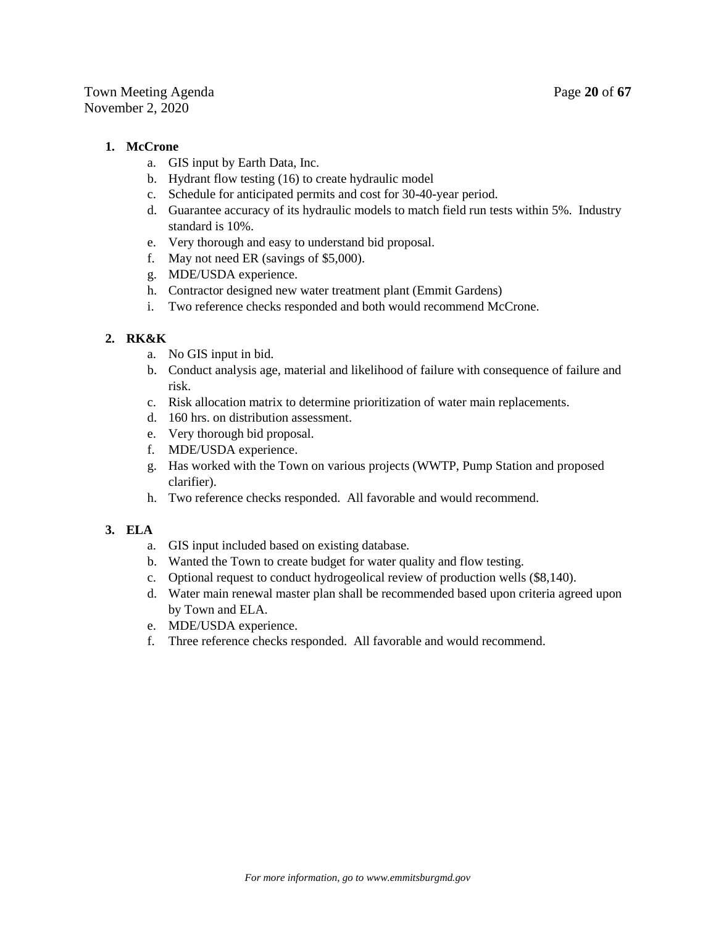#### **1. McCrone**

- a. GIS input by Earth Data, Inc.
- b. Hydrant flow testing (16) to create hydraulic model
- c. Schedule for anticipated permits and cost for 30-40-year period.
- d. Guarantee accuracy of its hydraulic models to match field run tests within 5%. Industry standard is 10%.
- e. Very thorough and easy to understand bid proposal.
- f. May not need ER (savings of \$5,000).
- g. MDE/USDA experience.
- h. Contractor designed new water treatment plant (Emmit Gardens)
- i. Two reference checks responded and both would recommend McCrone.

## **2. RK&K**

- a. No GIS input in bid.
- b. Conduct analysis age, material and likelihood of failure with consequence of failure and risk.
- c. Risk allocation matrix to determine prioritization of water main replacements.
- d. 160 hrs. on distribution assessment.
- e. Very thorough bid proposal.
- f. MDE/USDA experience.
- g. Has worked with the Town on various projects (WWTP, Pump Station and proposed clarifier).
- h. Two reference checks responded. All favorable and would recommend.

## **3. ELA**

- a. GIS input included based on existing database.
- b. Wanted the Town to create budget for water quality and flow testing.
- c. Optional request to conduct hydrogeolical review of production wells (\$8,140).
- d. Water main renewal master plan shall be recommended based upon criteria agreed upon by Town and ELA.
- e. MDE/USDA experience.
- f. Three reference checks responded. All favorable and would recommend.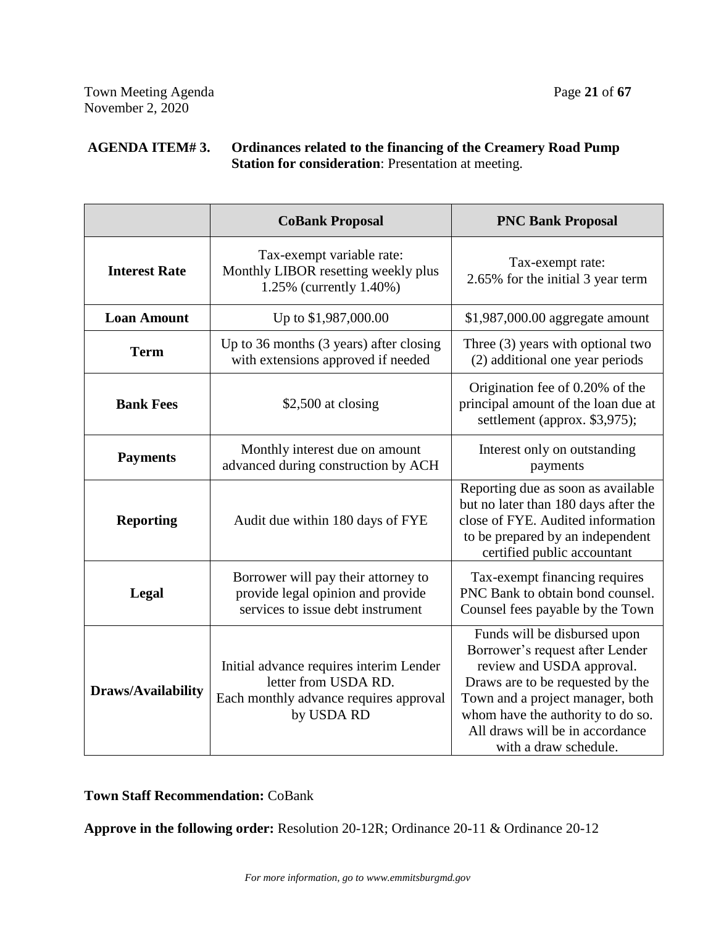## **AGENDA ITEM# 3. Ordinances related to the financing of the Creamery Road Pump Station for consideration**: Presentation at meeting.

|                           | <b>CoBank Proposal</b>                                                                                                  | <b>PNC Bank Proposal</b>                                                                                                                                                                                                                                              |
|---------------------------|-------------------------------------------------------------------------------------------------------------------------|-----------------------------------------------------------------------------------------------------------------------------------------------------------------------------------------------------------------------------------------------------------------------|
| <b>Interest Rate</b>      | Tax-exempt variable rate:<br>Monthly LIBOR resetting weekly plus<br>1.25% (currently 1.40%)                             | Tax-exempt rate:<br>2.65% for the initial 3 year term                                                                                                                                                                                                                 |
| <b>Loan Amount</b>        | Up to \$1,987,000.00                                                                                                    | \$1,987,000.00 aggregate amount                                                                                                                                                                                                                                       |
| <b>Term</b>               | Up to 36 months (3 years) after closing<br>with extensions approved if needed                                           | Three (3) years with optional two<br>(2) additional one year periods                                                                                                                                                                                                  |
| <b>Bank Fees</b>          | \$2,500 at closing                                                                                                      | Origination fee of 0.20% of the<br>principal amount of the loan due at<br>settlement (approx. \$3,975);                                                                                                                                                               |
| <b>Payments</b>           | Monthly interest due on amount<br>advanced during construction by ACH                                                   | Interest only on outstanding<br>payments                                                                                                                                                                                                                              |
| <b>Reporting</b>          | Audit due within 180 days of FYE                                                                                        | Reporting due as soon as available<br>but no later than 180 days after the<br>close of FYE. Audited information<br>to be prepared by an independent<br>certified public accountant                                                                                    |
| Legal                     | Borrower will pay their attorney to<br>provide legal opinion and provide<br>services to issue debt instrument           | Tax-exempt financing requires<br>PNC Bank to obtain bond counsel.<br>Counsel fees payable by the Town                                                                                                                                                                 |
| <b>Draws/Availability</b> | Initial advance requires interim Lender<br>letter from USDA RD.<br>Each monthly advance requires approval<br>by USDA RD | Funds will be disbursed upon<br>Borrower's request after Lender<br>review and USDA approval.<br>Draws are to be requested by the<br>Town and a project manager, both<br>whom have the authority to do so.<br>All draws will be in accordance<br>with a draw schedule. |

**Town Staff Recommendation:** CoBank

**Approve in the following order:** Resolution 20-12R; Ordinance 20-11 & Ordinance 20-12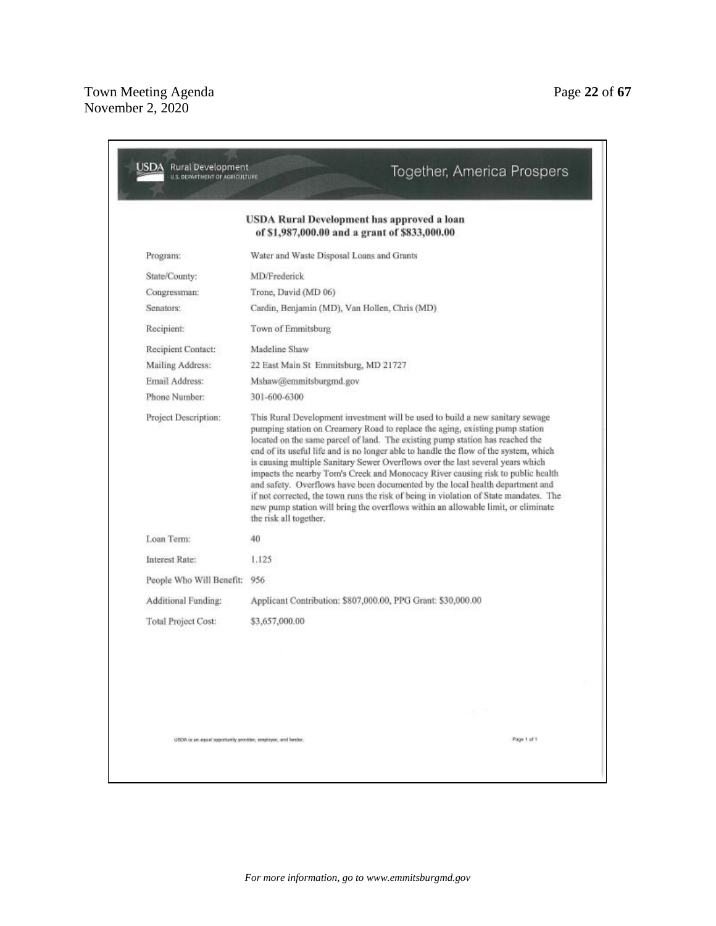|                          | USDA Rural Development has approved a loan<br>of \$1,987,000.00 and a grant of \$833,000.00                                                                                                                                                                                                                                                                                                                                                                                                                                                                                                                                                                                                                                                                                                          |
|--------------------------|------------------------------------------------------------------------------------------------------------------------------------------------------------------------------------------------------------------------------------------------------------------------------------------------------------------------------------------------------------------------------------------------------------------------------------------------------------------------------------------------------------------------------------------------------------------------------------------------------------------------------------------------------------------------------------------------------------------------------------------------------------------------------------------------------|
| Program:                 | Water and Waste Disposal Loans and Grants                                                                                                                                                                                                                                                                                                                                                                                                                                                                                                                                                                                                                                                                                                                                                            |
| State/County:            | MD/Frederick                                                                                                                                                                                                                                                                                                                                                                                                                                                                                                                                                                                                                                                                                                                                                                                         |
| Congressman:             | Trone, David (MD 06)                                                                                                                                                                                                                                                                                                                                                                                                                                                                                                                                                                                                                                                                                                                                                                                 |
| Senators:                | Cardin, Benjamin (MD), Van Hollen, Chris (MD).                                                                                                                                                                                                                                                                                                                                                                                                                                                                                                                                                                                                                                                                                                                                                       |
| Recipient:               | Town of Emmitsburg                                                                                                                                                                                                                                                                                                                                                                                                                                                                                                                                                                                                                                                                                                                                                                                   |
| Recipient Contact:       | Madeline Shaw                                                                                                                                                                                                                                                                                                                                                                                                                                                                                                                                                                                                                                                                                                                                                                                        |
| Mailing Address:         | 22 East Main St Emmitsburg, MD 21727                                                                                                                                                                                                                                                                                                                                                                                                                                                                                                                                                                                                                                                                                                                                                                 |
| Email Address:           | Mshaw@emmitsburgmd.gov                                                                                                                                                                                                                                                                                                                                                                                                                                                                                                                                                                                                                                                                                                                                                                               |
| Phone Number:            | 301-600-6300                                                                                                                                                                                                                                                                                                                                                                                                                                                                                                                                                                                                                                                                                                                                                                                         |
| Project Description:     | This Rural Development investment will be used to build a new sanitary sewage<br>pumping station on Creamery Road to replace the aging, existing pump station<br>located on the same parcel of land. The existing pump station has reached the<br>end of its useful life and is no longer able to handle the flow of the system, which<br>is causing multiple Sanitary Sewer Overflows over the last several years which<br>impacts the nearby Tom's Creek and Monocacy River causing risk to public health<br>and safety. Overflows have been documented by the local health department and<br>if not corrected, the town runs the risk of being in violation of State mandates. The<br>new pump station will bring the overflows within an allowable limit, or eliminate<br>the risk all together. |
| Loan Term:               | 40                                                                                                                                                                                                                                                                                                                                                                                                                                                                                                                                                                                                                                                                                                                                                                                                   |
| Interest Rate:           | 1.125                                                                                                                                                                                                                                                                                                                                                                                                                                                                                                                                                                                                                                                                                                                                                                                                |
| People Who Will Benefit: | 956                                                                                                                                                                                                                                                                                                                                                                                                                                                                                                                                                                                                                                                                                                                                                                                                  |
| Additional Funding:      | Applicant Contribution: \$807,000.00, PPG Grant: \$30,000.00                                                                                                                                                                                                                                                                                                                                                                                                                                                                                                                                                                                                                                                                                                                                         |
| Total Project Cost:      | \$3,657,000.00                                                                                                                                                                                                                                                                                                                                                                                                                                                                                                                                                                                                                                                                                                                                                                                       |
|                          |                                                                                                                                                                                                                                                                                                                                                                                                                                                                                                                                                                                                                                                                                                                                                                                                      |
|                          | Verball in 1980.                                                                                                                                                                                                                                                                                                                                                                                                                                                                                                                                                                                                                                                                                                                                                                                     |
|                          |                                                                                                                                                                                                                                                                                                                                                                                                                                                                                                                                                                                                                                                                                                                                                                                                      |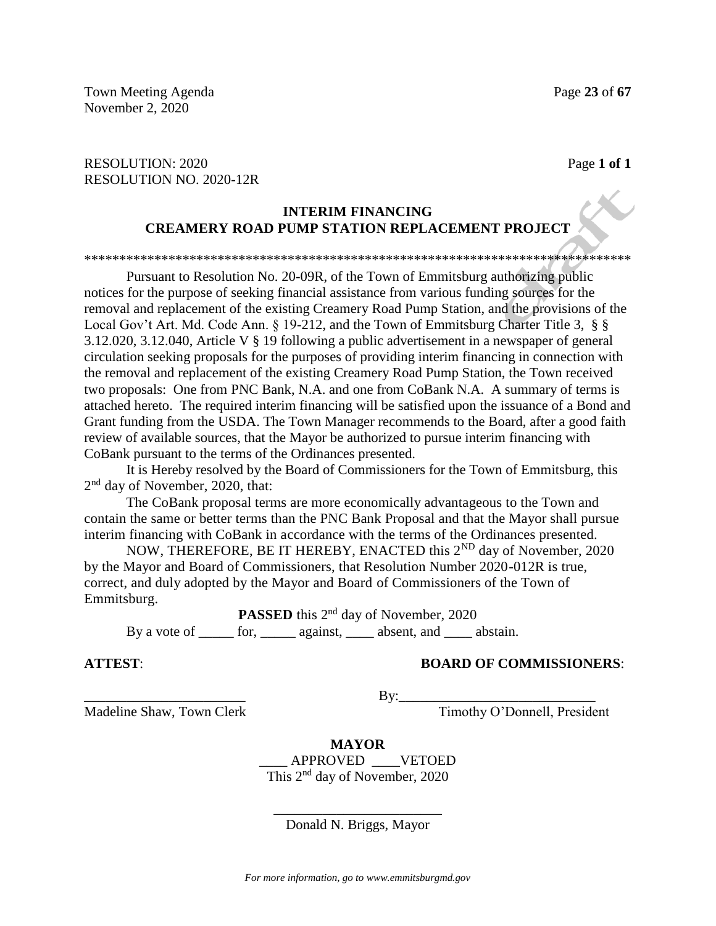## RESOLUTION: 2020 **Page 1 of 1** RESOLUTION NO. 2020-12R

## **INTERIM FINANCING CREAMERY ROAD PUMP STATION REPLACEMENT PROJECT**

#### \*\*\*\*\*\*\*\*\*\*\*\*\*\*\*\*\*\*\*\*\*\*\*\*\*\*\*\*\*\*\*\*\*\*\*\*\*\*\*\*\*\*\*\*\*\*\*\*\*\*\*\*\*\*\*\*\*\*\*\*\*\*\*\*\*\*\*\*\*\*\*\*\*\*\*\*\*\*

Pursuant to Resolution No. 20-09R, of the Town of Emmitsburg authorizing public notices for the purpose of seeking financial assistance from various funding sources for the removal and replacement of the existing Creamery Road Pump Station, and the provisions of the Local Gov't Art. Md. Code Ann. § 19-212, and the Town of Emmitsburg Charter Title 3, § § 3.12.020, 3.12.040, Article V § 19 following a public advertisement in a newspaper of general circulation seeking proposals for the purposes of providing interim financing in connection with the removal and replacement of the existing Creamery Road Pump Station, the Town received two proposals: One from PNC Bank, N.A. and one from CoBank N.A. A summary of terms is attached hereto. The required interim financing will be satisfied upon the issuance of a Bond and Grant funding from the USDA. The Town Manager recommends to the Board, after a good faith review of available sources, that the Mayor be authorized to pursue interim financing with CoBank pursuant to the terms of the Ordinances presented.

It is Hereby resolved by the Board of Commissioners for the Town of Emmitsburg, this 2<sup>nd</sup> day of November, 2020, that:

The CoBank proposal terms are more economically advantageous to the Town and contain the same or better terms than the PNC Bank Proposal and that the Mayor shall pursue interim financing with CoBank in accordance with the terms of the Ordinances presented.

NOW, THEREFORE, BE IT HEREBY, ENACTED this 2<sup>ND</sup> day of November, 2020 by the Mayor and Board of Commissioners, that Resolution Number 2020-012R is true, correct, and duly adopted by the Mayor and Board of Commissioners of the Town of Emmitsburg.

**PASSED** this 2<sup>nd</sup> day of November, 2020 By a vote of  $\frac{1}{\sqrt{1-\frac{1}{n}}}\cos\left(\frac{n\pi x}{n}\right)$  absent, and  $\frac{1}{\sqrt{1-\frac{1}{n}}}\cos\left(\frac{n\pi x}{n}\right)$  abstain.

### **ATTEST**: **BOARD OF COMMISSIONERS**:

\_\_\_\_\_\_\_\_\_\_\_\_\_\_\_\_\_\_\_\_\_\_\_ By:\_\_\_\_\_\_\_\_\_\_\_\_\_\_\_\_\_\_\_\_\_\_\_\_\_\_\_\_

Madeline Shaw, Town Clerk Timothy O'Donnell, President

**MAYOR** \_\_\_\_ APPROVED \_\_\_\_VETOED This 2nd day of November, 2020

\_\_\_\_\_\_\_\_\_\_\_\_\_\_\_\_\_\_\_\_\_\_\_\_ Donald N. Briggs, Mayor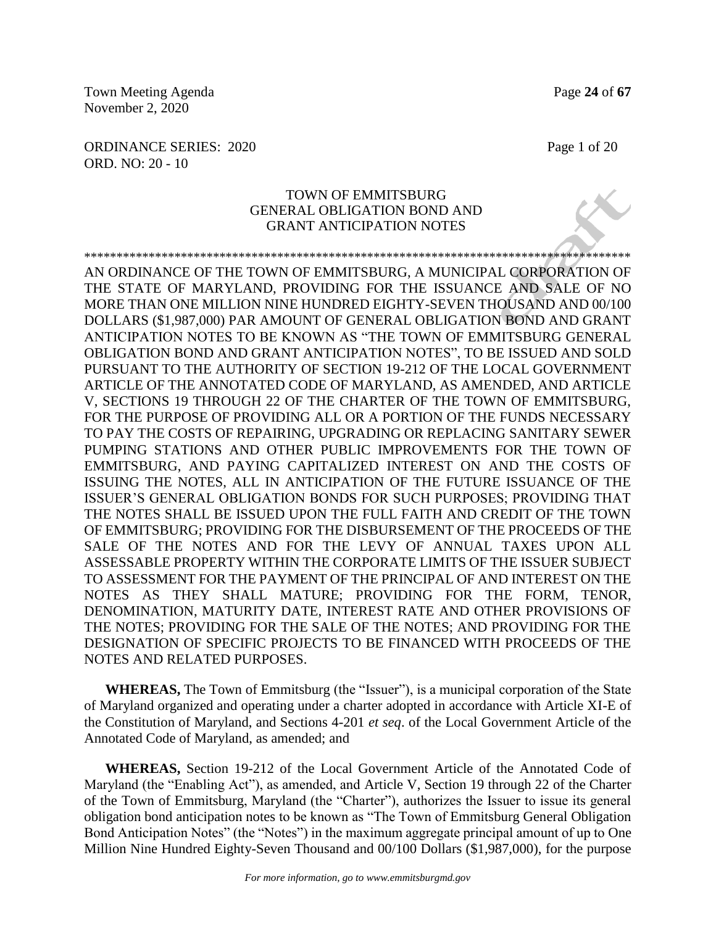Town Meeting Agenda **Page 24** of **67** November 2, 2020

ORDINANCE SERIES: 2020 Page 1 of 20 ORD. NO: 20 - 10

### TOWN OF EMMITSBURG GENERAL OBLIGATION BOND AND GRANT ANTICIPATION NOTES

\*\*\*\*\*\*\*\*\*\*\*\*\*\*\*\*\*\*\*\*\*\*\*\*\*\*\*\*\*\*\*\*\*\*\*\*\*\*\*\*\*\*\*\*\*\*\*\*\*\*\*\*\*\*\*\*\*\*\*\*\*\*\*\*\*\*\*\*\*\*\*\*\*\*\*\*\*\*\*\*\*\*\*\*\* AN ORDINANCE OF THE TOWN OF EMMITSBURG, A MUNICIPAL CORPORATION OF THE STATE OF MARYLAND, PROVIDING FOR THE ISSUANCE AND SALE OF NO MORE THAN ONE MILLION NINE HUNDRED EIGHTY-SEVEN THOUSAND AND 00/100 DOLLARS (\$1,987,000) PAR AMOUNT OF GENERAL OBLIGATION BOND AND GRANT ANTICIPATION NOTES TO BE KNOWN AS "THE TOWN OF EMMITSBURG GENERAL OBLIGATION BOND AND GRANT ANTICIPATION NOTES", TO BE ISSUED AND SOLD PURSUANT TO THE AUTHORITY OF SECTION 19-212 OF THE LOCAL GOVERNMENT ARTICLE OF THE ANNOTATED CODE OF MARYLAND, AS AMENDED, AND ARTICLE V, SECTIONS 19 THROUGH 22 OF THE CHARTER OF THE TOWN OF EMMITSBURG, FOR THE PURPOSE OF PROVIDING ALL OR A PORTION OF THE FUNDS NECESSARY TO PAY THE COSTS OF REPAIRING, UPGRADING OR REPLACING SANITARY SEWER PUMPING STATIONS AND OTHER PUBLIC IMPROVEMENTS FOR THE TOWN OF EMMITSBURG, AND PAYING CAPITALIZED INTEREST ON AND THE COSTS OF ISSUING THE NOTES, ALL IN ANTICIPATION OF THE FUTURE ISSUANCE OF THE ISSUER'S GENERAL OBLIGATION BONDS FOR SUCH PURPOSES; PROVIDING THAT THE NOTES SHALL BE ISSUED UPON THE FULL FAITH AND CREDIT OF THE TOWN OF EMMITSBURG; PROVIDING FOR THE DISBURSEMENT OF THE PROCEEDS OF THE SALE OF THE NOTES AND FOR THE LEVY OF ANNUAL TAXES UPON ALL ASSESSABLE PROPERTY WITHIN THE CORPORATE LIMITS OF THE ISSUER SUBJECT TO ASSESSMENT FOR THE PAYMENT OF THE PRINCIPAL OF AND INTEREST ON THE NOTES AS THEY SHALL MATURE; PROVIDING FOR THE FORM, TENOR, DENOMINATION, MATURITY DATE, INTEREST RATE AND OTHER PROVISIONS OF THE NOTES; PROVIDING FOR THE SALE OF THE NOTES; AND PROVIDING FOR THE DESIGNATION OF SPECIFIC PROJECTS TO BE FINANCED WITH PROCEEDS OF THE NOTES AND RELATED PURPOSES.

**WHEREAS,** The Town of Emmitsburg (the "Issuer"), is a municipal corporation of the State of Maryland organized and operating under a charter adopted in accordance with Article XI-E of the Constitution of Maryland, and Sections 4-201 *et seq*. of the Local Government Article of the Annotated Code of Maryland, as amended; and

**WHEREAS,** Section 19-212 of the Local Government Article of the Annotated Code of Maryland (the "Enabling Act"), as amended, and Article V, Section 19 through 22 of the Charter of the Town of Emmitsburg, Maryland (the "Charter"), authorizes the Issuer to issue its general obligation bond anticipation notes to be known as "The Town of Emmitsburg General Obligation Bond Anticipation Notes" (the "Notes") in the maximum aggregate principal amount of up to One Million Nine Hundred Eighty-Seven Thousand and 00/100 Dollars (\$1,987,000), for the purpose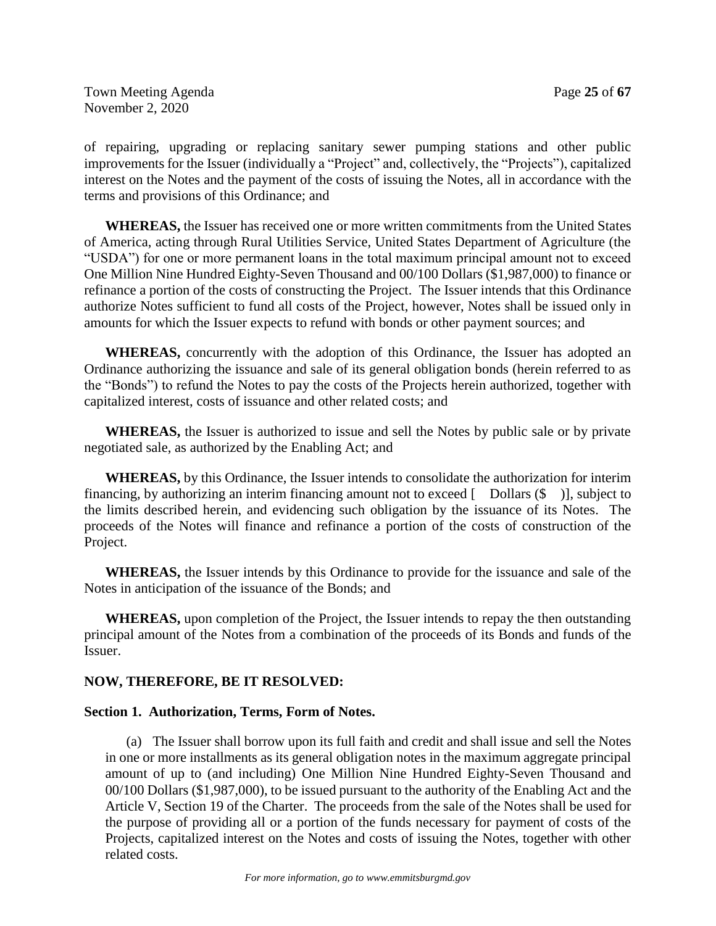of repairing, upgrading or replacing sanitary sewer pumping stations and other public improvements for the Issuer (individually a "Project" and, collectively, the "Projects"), capitalized interest on the Notes and the payment of the costs of issuing the Notes, all in accordance with the terms and provisions of this Ordinance; and

**WHEREAS,** the Issuer has received one or more written commitments from the United States of America, acting through Rural Utilities Service, United States Department of Agriculture (the "USDA") for one or more permanent loans in the total maximum principal amount not to exceed One Million Nine Hundred Eighty-Seven Thousand and 00/100 Dollars (\$1,987,000) to finance or refinance a portion of the costs of constructing the Project. The Issuer intends that this Ordinance authorize Notes sufficient to fund all costs of the Project, however, Notes shall be issued only in amounts for which the Issuer expects to refund with bonds or other payment sources; and

**WHEREAS,** concurrently with the adoption of this Ordinance, the Issuer has adopted an Ordinance authorizing the issuance and sale of its general obligation bonds (herein referred to as the "Bonds") to refund the Notes to pay the costs of the Projects herein authorized, together with capitalized interest, costs of issuance and other related costs; and

**WHEREAS,** the Issuer is authorized to issue and sell the Notes by public sale or by private negotiated sale, as authorized by the Enabling Act; and

**WHEREAS,** by this Ordinance, the Issuer intends to consolidate the authorization for interim financing, by authorizing an interim financing amount not to exceed  $\lceil$  Dollars  $(\hat{\mathbf{S}})$ , subject to the limits described herein, and evidencing such obligation by the issuance of its Notes. The proceeds of the Notes will finance and refinance a portion of the costs of construction of the Project.

**WHEREAS,** the Issuer intends by this Ordinance to provide for the issuance and sale of the Notes in anticipation of the issuance of the Bonds; and

**WHEREAS,** upon completion of the Project, the Issuer intends to repay the then outstanding principal amount of the Notes from a combination of the proceeds of its Bonds and funds of the Issuer.

## **NOW, THEREFORE, BE IT RESOLVED:**

## **Section 1. Authorization, Terms, Form of Notes.**

(a) The Issuer shall borrow upon its full faith and credit and shall issue and sell the Notes in one or more installments as its general obligation notes in the maximum aggregate principal amount of up to (and including) One Million Nine Hundred Eighty-Seven Thousand and 00/100 Dollars (\$1,987,000), to be issued pursuant to the authority of the Enabling Act and the Article V, Section 19 of the Charter. The proceeds from the sale of the Notes shall be used for the purpose of providing all or a portion of the funds necessary for payment of costs of the Projects, capitalized interest on the Notes and costs of issuing the Notes, together with other related costs.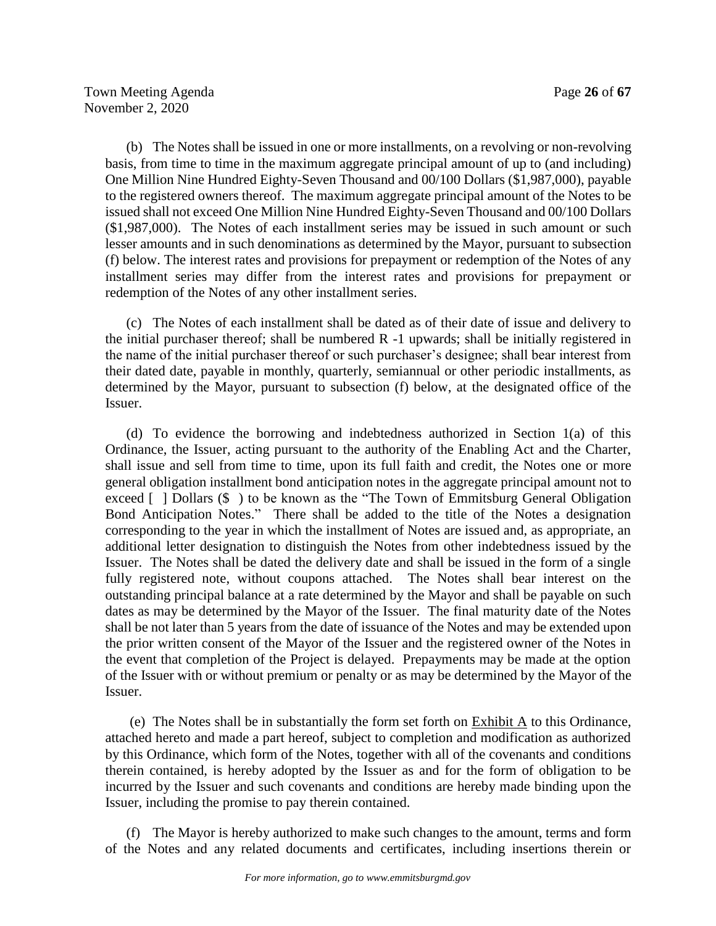(b) The Notes shall be issued in one or more installments, on a revolving or non-revolving basis, from time to time in the maximum aggregate principal amount of up to (and including) One Million Nine Hundred Eighty-Seven Thousand and 00/100 Dollars (\$1,987,000), payable to the registered owners thereof. The maximum aggregate principal amount of the Notes to be issued shall not exceed One Million Nine Hundred Eighty-Seven Thousand and 00/100 Dollars (\$1,987,000). The Notes of each installment series may be issued in such amount or such lesser amounts and in such denominations as determined by the Mayor, pursuant to subsection (f) below. The interest rates and provisions for prepayment or redemption of the Notes of any installment series may differ from the interest rates and provisions for prepayment or redemption of the Notes of any other installment series.

(c) The Notes of each installment shall be dated as of their date of issue and delivery to the initial purchaser thereof; shall be numbered R -1 upwards; shall be initially registered in the name of the initial purchaser thereof or such purchaser's designee; shall bear interest from their dated date, payable in monthly, quarterly, semiannual or other periodic installments, as determined by the Mayor, pursuant to subsection (f) below, at the designated office of the Issuer.

(d) To evidence the borrowing and indebtedness authorized in Section 1(a) of this Ordinance, the Issuer, acting pursuant to the authority of the Enabling Act and the Charter, shall issue and sell from time to time, upon its full faith and credit, the Notes one or more general obligation installment bond anticipation notes in the aggregate principal amount not to exceed [ ] Dollars (\$ ) to be known as the "The Town of Emmitsburg General Obligation Bond Anticipation Notes." There shall be added to the title of the Notes a designation corresponding to the year in which the installment of Notes are issued and, as appropriate, an additional letter designation to distinguish the Notes from other indebtedness issued by the Issuer. The Notes shall be dated the delivery date and shall be issued in the form of a single fully registered note, without coupons attached. The Notes shall bear interest on the outstanding principal balance at a rate determined by the Mayor and shall be payable on such dates as may be determined by the Mayor of the Issuer. The final maturity date of the Notes shall be not later than 5 years from the date of issuance of the Notes and may be extended upon the prior written consent of the Mayor of the Issuer and the registered owner of the Notes in the event that completion of the Project is delayed. Prepayments may be made at the option of the Issuer with or without premium or penalty or as may be determined by the Mayor of the Issuer.

(e) The Notes shall be in substantially the form set forth on Exhibit A to this Ordinance, attached hereto and made a part hereof, subject to completion and modification as authorized by this Ordinance, which form of the Notes, together with all of the covenants and conditions therein contained, is hereby adopted by the Issuer as and for the form of obligation to be incurred by the Issuer and such covenants and conditions are hereby made binding upon the Issuer, including the promise to pay therein contained.

(f) The Mayor is hereby authorized to make such changes to the amount, terms and form of the Notes and any related documents and certificates, including insertions therein or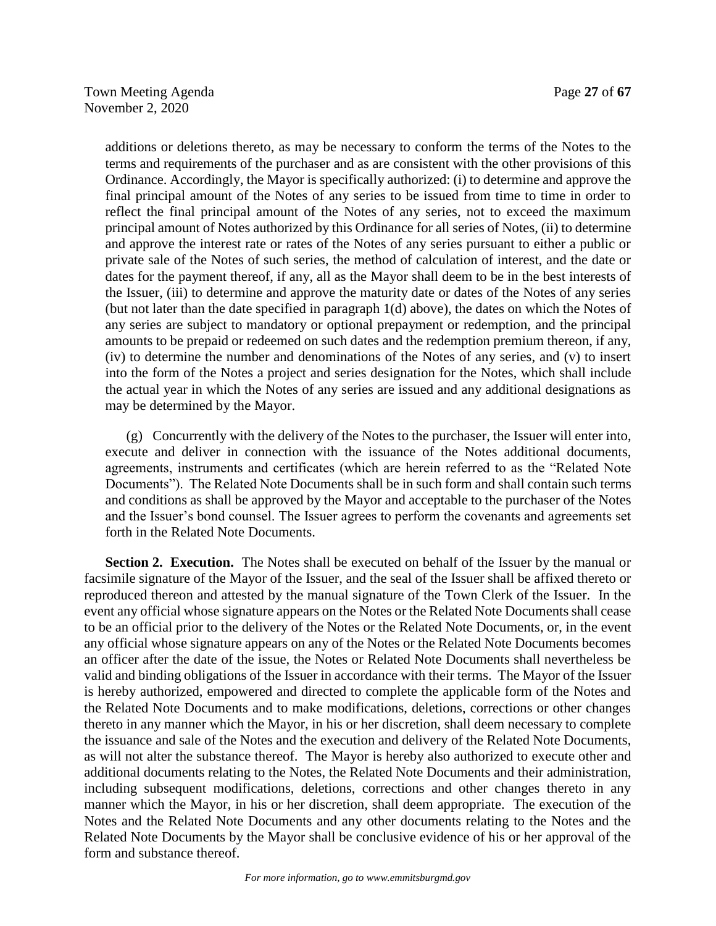additions or deletions thereto, as may be necessary to conform the terms of the Notes to the terms and requirements of the purchaser and as are consistent with the other provisions of this Ordinance. Accordingly, the Mayor is specifically authorized: (i) to determine and approve the final principal amount of the Notes of any series to be issued from time to time in order to reflect the final principal amount of the Notes of any series, not to exceed the maximum principal amount of Notes authorized by this Ordinance for all series of Notes, (ii) to determine and approve the interest rate or rates of the Notes of any series pursuant to either a public or private sale of the Notes of such series, the method of calculation of interest, and the date or dates for the payment thereof, if any, all as the Mayor shall deem to be in the best interests of the Issuer, (iii) to determine and approve the maturity date or dates of the Notes of any series (but not later than the date specified in paragraph 1(d) above), the dates on which the Notes of any series are subject to mandatory or optional prepayment or redemption, and the principal amounts to be prepaid or redeemed on such dates and the redemption premium thereon, if any, (iv) to determine the number and denominations of the Notes of any series, and (v) to insert into the form of the Notes a project and series designation for the Notes, which shall include the actual year in which the Notes of any series are issued and any additional designations as may be determined by the Mayor.

(g) Concurrently with the delivery of the Notes to the purchaser, the Issuer will enter into, execute and deliver in connection with the issuance of the Notes additional documents, agreements, instruments and certificates (which are herein referred to as the "Related Note Documents"). The Related Note Documents shall be in such form and shall contain such terms and conditions as shall be approved by the Mayor and acceptable to the purchaser of the Notes and the Issuer's bond counsel. The Issuer agrees to perform the covenants and agreements set forth in the Related Note Documents.

**Section 2. Execution.** The Notes shall be executed on behalf of the Issuer by the manual or facsimile signature of the Mayor of the Issuer, and the seal of the Issuer shall be affixed thereto or reproduced thereon and attested by the manual signature of the Town Clerk of the Issuer. In the event any official whose signature appears on the Notes or the Related Note Documents shall cease to be an official prior to the delivery of the Notes or the Related Note Documents, or, in the event any official whose signature appears on any of the Notes or the Related Note Documents becomes an officer after the date of the issue, the Notes or Related Note Documents shall nevertheless be valid and binding obligations of the Issuer in accordance with their terms. The Mayor of the Issuer is hereby authorized, empowered and directed to complete the applicable form of the Notes and the Related Note Documents and to make modifications, deletions, corrections or other changes thereto in any manner which the Mayor, in his or her discretion, shall deem necessary to complete the issuance and sale of the Notes and the execution and delivery of the Related Note Documents, as will not alter the substance thereof. The Mayor is hereby also authorized to execute other and additional documents relating to the Notes, the Related Note Documents and their administration, including subsequent modifications, deletions, corrections and other changes thereto in any manner which the Mayor, in his or her discretion, shall deem appropriate. The execution of the Notes and the Related Note Documents and any other documents relating to the Notes and the Related Note Documents by the Mayor shall be conclusive evidence of his or her approval of the form and substance thereof.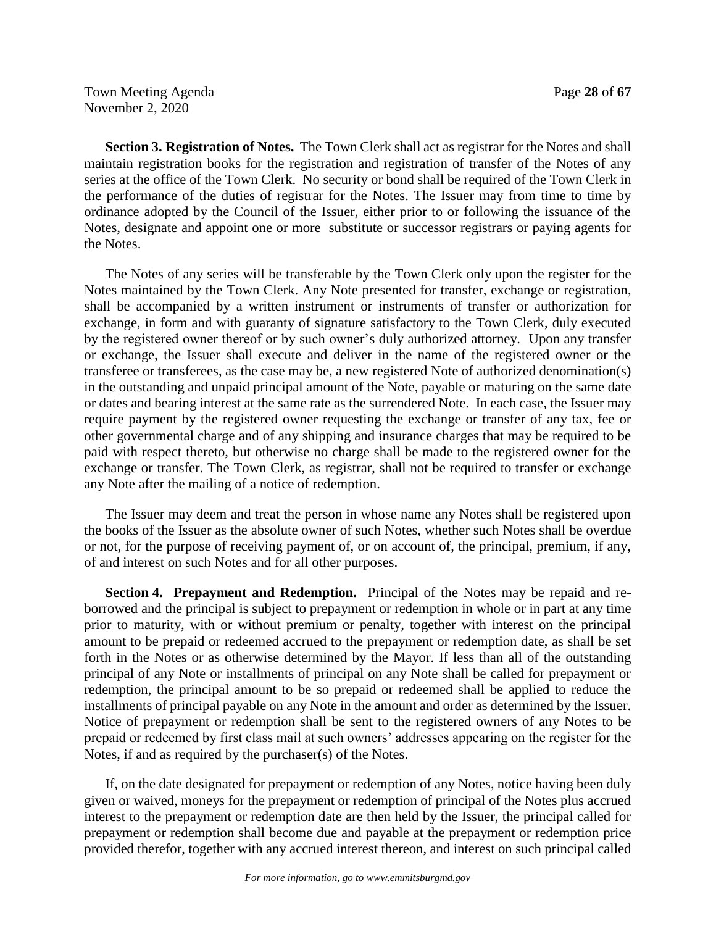Town Meeting Agenda **Page 28** of **67** November 2, 2020

**Section 3. Registration of Notes.** The Town Clerk shall act as registrar for the Notes and shall maintain registration books for the registration and registration of transfer of the Notes of any series at the office of the Town Clerk. No security or bond shall be required of the Town Clerk in the performance of the duties of registrar for the Notes. The Issuer may from time to time by ordinance adopted by the Council of the Issuer, either prior to or following the issuance of the Notes, designate and appoint one or more substitute or successor registrars or paying agents for the Notes.

The Notes of any series will be transferable by the Town Clerk only upon the register for the Notes maintained by the Town Clerk. Any Note presented for transfer, exchange or registration, shall be accompanied by a written instrument or instruments of transfer or authorization for exchange, in form and with guaranty of signature satisfactory to the Town Clerk, duly executed by the registered owner thereof or by such owner's duly authorized attorney. Upon any transfer or exchange, the Issuer shall execute and deliver in the name of the registered owner or the transferee or transferees, as the case may be, a new registered Note of authorized denomination(s) in the outstanding and unpaid principal amount of the Note, payable or maturing on the same date or dates and bearing interest at the same rate as the surrendered Note. In each case, the Issuer may require payment by the registered owner requesting the exchange or transfer of any tax, fee or other governmental charge and of any shipping and insurance charges that may be required to be paid with respect thereto, but otherwise no charge shall be made to the registered owner for the exchange or transfer. The Town Clerk, as registrar, shall not be required to transfer or exchange any Note after the mailing of a notice of redemption.

The Issuer may deem and treat the person in whose name any Notes shall be registered upon the books of the Issuer as the absolute owner of such Notes, whether such Notes shall be overdue or not, for the purpose of receiving payment of, or on account of, the principal, premium, if any, of and interest on such Notes and for all other purposes.

**Section 4. Prepayment and Redemption.** Principal of the Notes may be repaid and reborrowed and the principal is subject to prepayment or redemption in whole or in part at any time prior to maturity, with or without premium or penalty, together with interest on the principal amount to be prepaid or redeemed accrued to the prepayment or redemption date, as shall be set forth in the Notes or as otherwise determined by the Mayor. If less than all of the outstanding principal of any Note or installments of principal on any Note shall be called for prepayment or redemption, the principal amount to be so prepaid or redeemed shall be applied to reduce the installments of principal payable on any Note in the amount and order as determined by the Issuer. Notice of prepayment or redemption shall be sent to the registered owners of any Notes to be prepaid or redeemed by first class mail at such owners' addresses appearing on the register for the Notes, if and as required by the purchaser(s) of the Notes.

If, on the date designated for prepayment or redemption of any Notes, notice having been duly given or waived, moneys for the prepayment or redemption of principal of the Notes plus accrued interest to the prepayment or redemption date are then held by the Issuer, the principal called for prepayment or redemption shall become due and payable at the prepayment or redemption price provided therefor, together with any accrued interest thereon, and interest on such principal called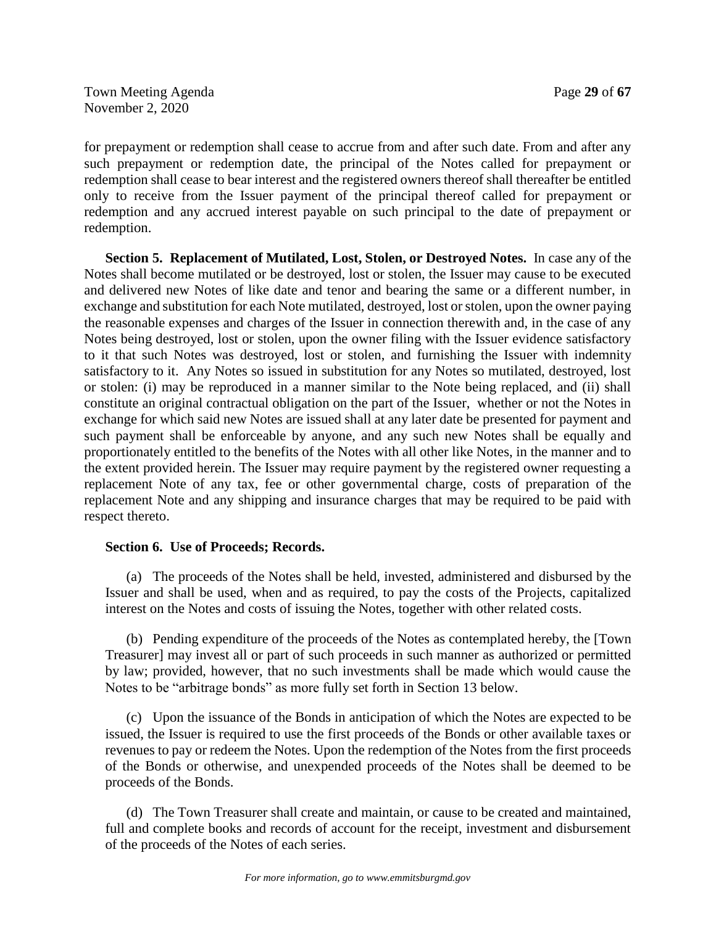for prepayment or redemption shall cease to accrue from and after such date. From and after any such prepayment or redemption date, the principal of the Notes called for prepayment or redemption shall cease to bear interest and the registered owners thereof shall thereafter be entitled only to receive from the Issuer payment of the principal thereof called for prepayment or redemption and any accrued interest payable on such principal to the date of prepayment or redemption.

**Section 5. Replacement of Mutilated, Lost, Stolen, or Destroyed Notes.** In case any of the Notes shall become mutilated or be destroyed, lost or stolen, the Issuer may cause to be executed and delivered new Notes of like date and tenor and bearing the same or a different number, in exchange and substitution for each Note mutilated, destroyed, lost or stolen, upon the owner paying the reasonable expenses and charges of the Issuer in connection therewith and, in the case of any Notes being destroyed, lost or stolen, upon the owner filing with the Issuer evidence satisfactory to it that such Notes was destroyed, lost or stolen, and furnishing the Issuer with indemnity satisfactory to it. Any Notes so issued in substitution for any Notes so mutilated, destroyed, lost or stolen: (i) may be reproduced in a manner similar to the Note being replaced, and (ii) shall constitute an original contractual obligation on the part of the Issuer, whether or not the Notes in exchange for which said new Notes are issued shall at any later date be presented for payment and such payment shall be enforceable by anyone, and any such new Notes shall be equally and proportionately entitled to the benefits of the Notes with all other like Notes, in the manner and to the extent provided herein. The Issuer may require payment by the registered owner requesting a replacement Note of any tax, fee or other governmental charge, costs of preparation of the replacement Note and any shipping and insurance charges that may be required to be paid with respect thereto.

## **Section 6. Use of Proceeds; Records.**

(a) The proceeds of the Notes shall be held, invested, administered and disbursed by the Issuer and shall be used, when and as required, to pay the costs of the Projects, capitalized interest on the Notes and costs of issuing the Notes, together with other related costs.

(b) Pending expenditure of the proceeds of the Notes as contemplated hereby, the [Town Treasurer] may invest all or part of such proceeds in such manner as authorized or permitted by law; provided, however, that no such investments shall be made which would cause the Notes to be "arbitrage bonds" as more fully set forth in Section 13 below.

(c) Upon the issuance of the Bonds in anticipation of which the Notes are expected to be issued, the Issuer is required to use the first proceeds of the Bonds or other available taxes or revenues to pay or redeem the Notes. Upon the redemption of the Notes from the first proceeds of the Bonds or otherwise, and unexpended proceeds of the Notes shall be deemed to be proceeds of the Bonds.

(d) The Town Treasurer shall create and maintain, or cause to be created and maintained, full and complete books and records of account for the receipt, investment and disbursement of the proceeds of the Notes of each series.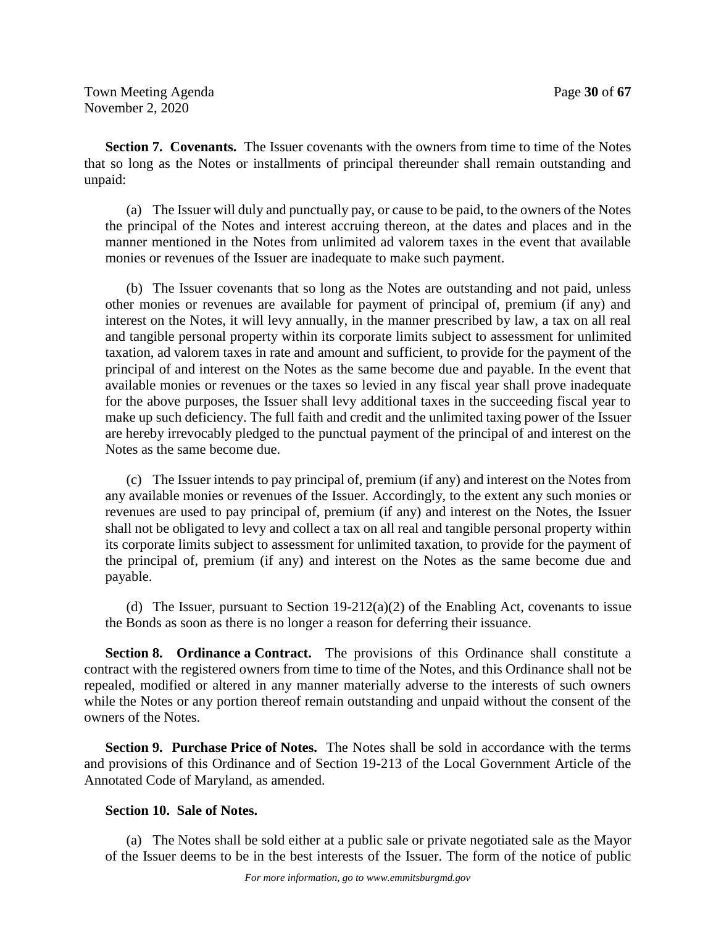**Section 7. Covenants.** The Issuer covenants with the owners from time to time of the Notes that so long as the Notes or installments of principal thereunder shall remain outstanding and unpaid:

(a) The Issuer will duly and punctually pay, or cause to be paid, to the owners of the Notes the principal of the Notes and interest accruing thereon, at the dates and places and in the manner mentioned in the Notes from unlimited ad valorem taxes in the event that available monies or revenues of the Issuer are inadequate to make such payment.

(b) The Issuer covenants that so long as the Notes are outstanding and not paid, unless other monies or revenues are available for payment of principal of, premium (if any) and interest on the Notes, it will levy annually, in the manner prescribed by law, a tax on all real and tangible personal property within its corporate limits subject to assessment for unlimited taxation, ad valorem taxes in rate and amount and sufficient, to provide for the payment of the principal of and interest on the Notes as the same become due and payable. In the event that available monies or revenues or the taxes so levied in any fiscal year shall prove inadequate for the above purposes, the Issuer shall levy additional taxes in the succeeding fiscal year to make up such deficiency. The full faith and credit and the unlimited taxing power of the Issuer are hereby irrevocably pledged to the punctual payment of the principal of and interest on the Notes as the same become due.

(c) The Issuer intends to pay principal of, premium (if any) and interest on the Notes from any available monies or revenues of the Issuer. Accordingly, to the extent any such monies or revenues are used to pay principal of, premium (if any) and interest on the Notes, the Issuer shall not be obligated to levy and collect a tax on all real and tangible personal property within its corporate limits subject to assessment for unlimited taxation, to provide for the payment of the principal of, premium (if any) and interest on the Notes as the same become due and payable.

(d) The Issuer, pursuant to Section  $19-212(a)(2)$  of the Enabling Act, covenants to issue the Bonds as soon as there is no longer a reason for deferring their issuance.

**Section 8. Ordinance a Contract.** The provisions of this Ordinance shall constitute a contract with the registered owners from time to time of the Notes, and this Ordinance shall not be repealed, modified or altered in any manner materially adverse to the interests of such owners while the Notes or any portion thereof remain outstanding and unpaid without the consent of the owners of the Notes.

**Section 9. Purchase Price of Notes.** The Notes shall be sold in accordance with the terms and provisions of this Ordinance and of Section 19-213 of the Local Government Article of the Annotated Code of Maryland, as amended.

## **Section 10. Sale of Notes.**

(a) The Notes shall be sold either at a public sale or private negotiated sale as the Mayor of the Issuer deems to be in the best interests of the Issuer. The form of the notice of public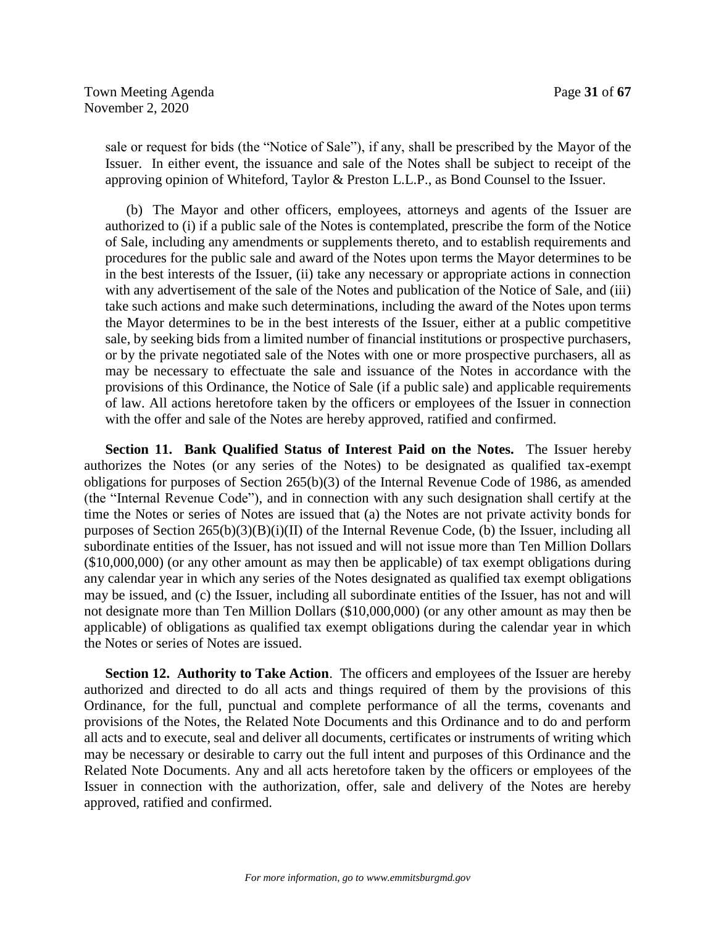sale or request for bids (the "Notice of Sale"), if any, shall be prescribed by the Mayor of the Issuer. In either event, the issuance and sale of the Notes shall be subject to receipt of the approving opinion of Whiteford, Taylor & Preston L.L.P., as Bond Counsel to the Issuer.

(b) The Mayor and other officers, employees, attorneys and agents of the Issuer are authorized to (i) if a public sale of the Notes is contemplated, prescribe the form of the Notice of Sale, including any amendments or supplements thereto, and to establish requirements and procedures for the public sale and award of the Notes upon terms the Mayor determines to be in the best interests of the Issuer, (ii) take any necessary or appropriate actions in connection with any advertisement of the sale of the Notes and publication of the Notice of Sale, and (iii) take such actions and make such determinations, including the award of the Notes upon terms the Mayor determines to be in the best interests of the Issuer, either at a public competitive sale, by seeking bids from a limited number of financial institutions or prospective purchasers, or by the private negotiated sale of the Notes with one or more prospective purchasers, all as may be necessary to effectuate the sale and issuance of the Notes in accordance with the provisions of this Ordinance, the Notice of Sale (if a public sale) and applicable requirements of law. All actions heretofore taken by the officers or employees of the Issuer in connection with the offer and sale of the Notes are hereby approved, ratified and confirmed.

**Section 11. Bank Qualified Status of Interest Paid on the Notes.** The Issuer hereby authorizes the Notes (or any series of the Notes) to be designated as qualified tax-exempt obligations for purposes of Section 265(b)(3) of the Internal Revenue Code of 1986, as amended (the "Internal Revenue Code"), and in connection with any such designation shall certify at the time the Notes or series of Notes are issued that (a) the Notes are not private activity bonds for purposes of Section 265(b)(3)(B)(i)(II) of the Internal Revenue Code, (b) the Issuer, including all subordinate entities of the Issuer, has not issued and will not issue more than Ten Million Dollars (\$10,000,000) (or any other amount as may then be applicable) of tax exempt obligations during any calendar year in which any series of the Notes designated as qualified tax exempt obligations may be issued, and (c) the Issuer, including all subordinate entities of the Issuer, has not and will not designate more than Ten Million Dollars (\$10,000,000) (or any other amount as may then be applicable) of obligations as qualified tax exempt obligations during the calendar year in which the Notes or series of Notes are issued.

**Section 12. Authority to Take Action**. The officers and employees of the Issuer are hereby authorized and directed to do all acts and things required of them by the provisions of this Ordinance, for the full, punctual and complete performance of all the terms, covenants and provisions of the Notes, the Related Note Documents and this Ordinance and to do and perform all acts and to execute, seal and deliver all documents, certificates or instruments of writing which may be necessary or desirable to carry out the full intent and purposes of this Ordinance and the Related Note Documents. Any and all acts heretofore taken by the officers or employees of the Issuer in connection with the authorization, offer, sale and delivery of the Notes are hereby approved, ratified and confirmed.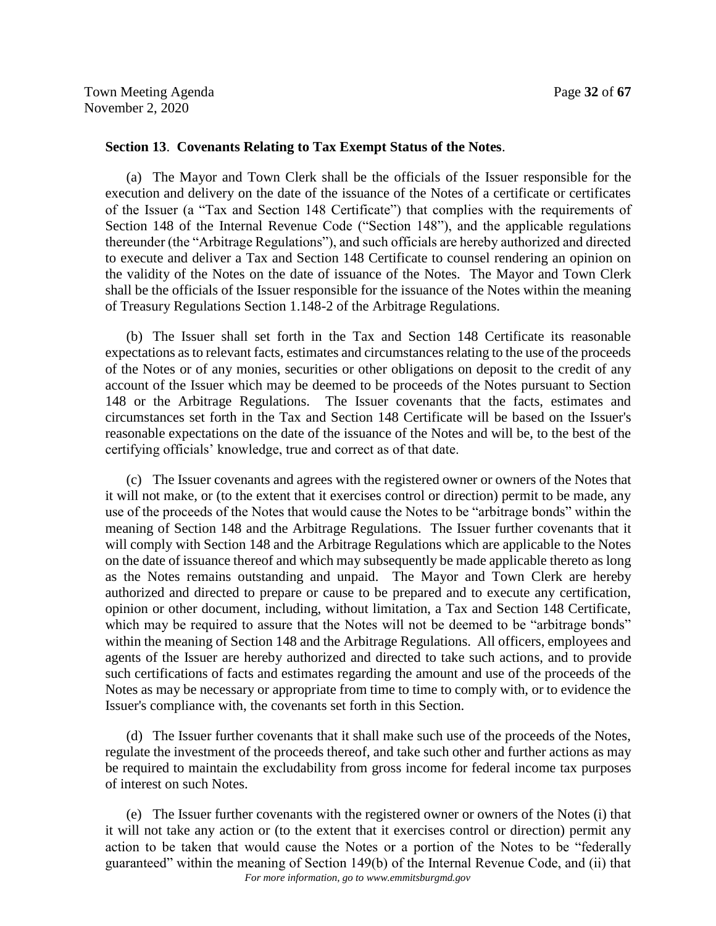## **Section 13**. **Covenants Relating to Tax Exempt Status of the Notes**.

(a) The Mayor and Town Clerk shall be the officials of the Issuer responsible for the execution and delivery on the date of the issuance of the Notes of a certificate or certificates of the Issuer (a "Tax and Section 148 Certificate") that complies with the requirements of Section 148 of the Internal Revenue Code ("Section 148"), and the applicable regulations thereunder (the "Arbitrage Regulations"), and such officials are hereby authorized and directed to execute and deliver a Tax and Section 148 Certificate to counsel rendering an opinion on the validity of the Notes on the date of issuance of the Notes. The Mayor and Town Clerk shall be the officials of the Issuer responsible for the issuance of the Notes within the meaning of Treasury Regulations Section 1.148-2 of the Arbitrage Regulations.

(b) The Issuer shall set forth in the Tax and Section 148 Certificate its reasonable expectations as to relevant facts, estimates and circumstances relating to the use of the proceeds of the Notes or of any monies, securities or other obligations on deposit to the credit of any account of the Issuer which may be deemed to be proceeds of the Notes pursuant to Section 148 or the Arbitrage Regulations. The Issuer covenants that the facts, estimates and circumstances set forth in the Tax and Section 148 Certificate will be based on the Issuer's reasonable expectations on the date of the issuance of the Notes and will be, to the best of the certifying officials' knowledge, true and correct as of that date.

(c) The Issuer covenants and agrees with the registered owner or owners of the Notes that it will not make, or (to the extent that it exercises control or direction) permit to be made, any use of the proceeds of the Notes that would cause the Notes to be "arbitrage bonds" within the meaning of Section 148 and the Arbitrage Regulations. The Issuer further covenants that it will comply with Section 148 and the Arbitrage Regulations which are applicable to the Notes on the date of issuance thereof and which may subsequently be made applicable thereto as long as the Notes remains outstanding and unpaid. The Mayor and Town Clerk are hereby authorized and directed to prepare or cause to be prepared and to execute any certification, opinion or other document, including, without limitation, a Tax and Section 148 Certificate, which may be required to assure that the Notes will not be deemed to be "arbitrage bonds" within the meaning of Section 148 and the Arbitrage Regulations. All officers, employees and agents of the Issuer are hereby authorized and directed to take such actions, and to provide such certifications of facts and estimates regarding the amount and use of the proceeds of the Notes as may be necessary or appropriate from time to time to comply with, or to evidence the Issuer's compliance with, the covenants set forth in this Section.

(d) The Issuer further covenants that it shall make such use of the proceeds of the Notes, regulate the investment of the proceeds thereof, and take such other and further actions as may be required to maintain the excludability from gross income for federal income tax purposes of interest on such Notes.

*For more information, go to www.emmitsburgmd.gov* (e) The Issuer further covenants with the registered owner or owners of the Notes (i) that it will not take any action or (to the extent that it exercises control or direction) permit any action to be taken that would cause the Notes or a portion of the Notes to be "federally guaranteed" within the meaning of Section 149(b) of the Internal Revenue Code, and (ii) that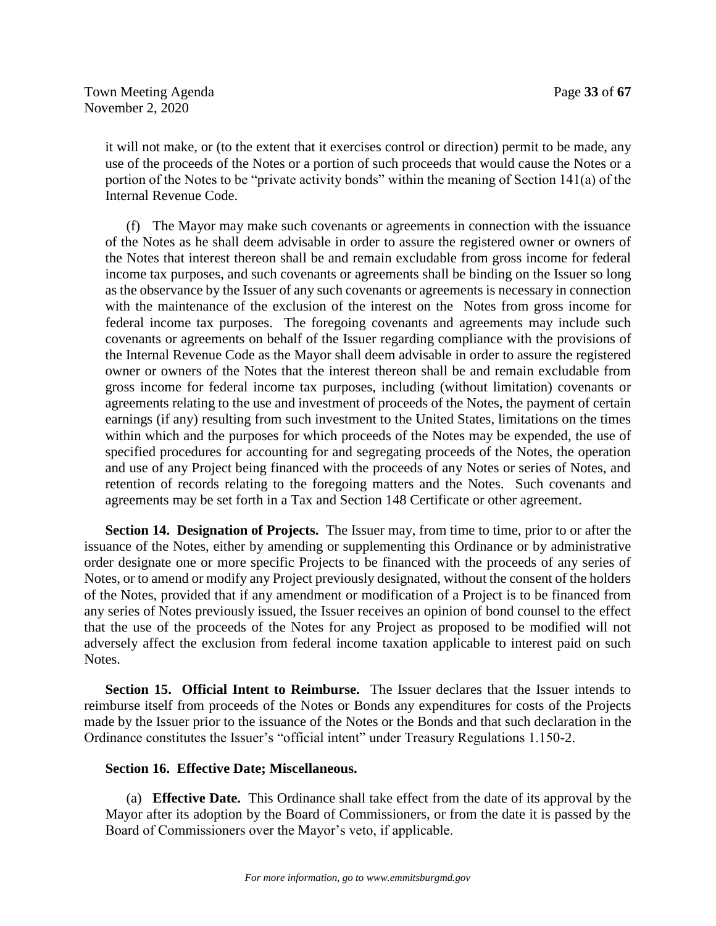it will not make, or (to the extent that it exercises control or direction) permit to be made, any use of the proceeds of the Notes or a portion of such proceeds that would cause the Notes or a portion of the Notes to be "private activity bonds" within the meaning of Section 141(a) of the Internal Revenue Code.

(f) The Mayor may make such covenants or agreements in connection with the issuance of the Notes as he shall deem advisable in order to assure the registered owner or owners of the Notes that interest thereon shall be and remain excludable from gross income for federal income tax purposes, and such covenants or agreements shall be binding on the Issuer so long as the observance by the Issuer of any such covenants or agreements is necessary in connection with the maintenance of the exclusion of the interest on the Notes from gross income for federal income tax purposes. The foregoing covenants and agreements may include such covenants or agreements on behalf of the Issuer regarding compliance with the provisions of the Internal Revenue Code as the Mayor shall deem advisable in order to assure the registered owner or owners of the Notes that the interest thereon shall be and remain excludable from gross income for federal income tax purposes, including (without limitation) covenants or agreements relating to the use and investment of proceeds of the Notes, the payment of certain earnings (if any) resulting from such investment to the United States, limitations on the times within which and the purposes for which proceeds of the Notes may be expended, the use of specified procedures for accounting for and segregating proceeds of the Notes, the operation and use of any Project being financed with the proceeds of any Notes or series of Notes, and retention of records relating to the foregoing matters and the Notes. Such covenants and agreements may be set forth in a Tax and Section 148 Certificate or other agreement.

**Section 14. Designation of Projects.** The Issuer may, from time to time, prior to or after the issuance of the Notes, either by amending or supplementing this Ordinance or by administrative order designate one or more specific Projects to be financed with the proceeds of any series of Notes, or to amend or modify any Project previously designated, without the consent of the holders of the Notes, provided that if any amendment or modification of a Project is to be financed from any series of Notes previously issued, the Issuer receives an opinion of bond counsel to the effect that the use of the proceeds of the Notes for any Project as proposed to be modified will not adversely affect the exclusion from federal income taxation applicable to interest paid on such Notes.

**Section 15. Official Intent to Reimburse.** The Issuer declares that the Issuer intends to reimburse itself from proceeds of the Notes or Bonds any expenditures for costs of the Projects made by the Issuer prior to the issuance of the Notes or the Bonds and that such declaration in the Ordinance constitutes the Issuer's "official intent" under Treasury Regulations 1.150-2.

## **Section 16. Effective Date; Miscellaneous.**

(a) **Effective Date.** This Ordinance shall take effect from the date of its approval by the Mayor after its adoption by the Board of Commissioners, or from the date it is passed by the Board of Commissioners over the Mayor's veto, if applicable.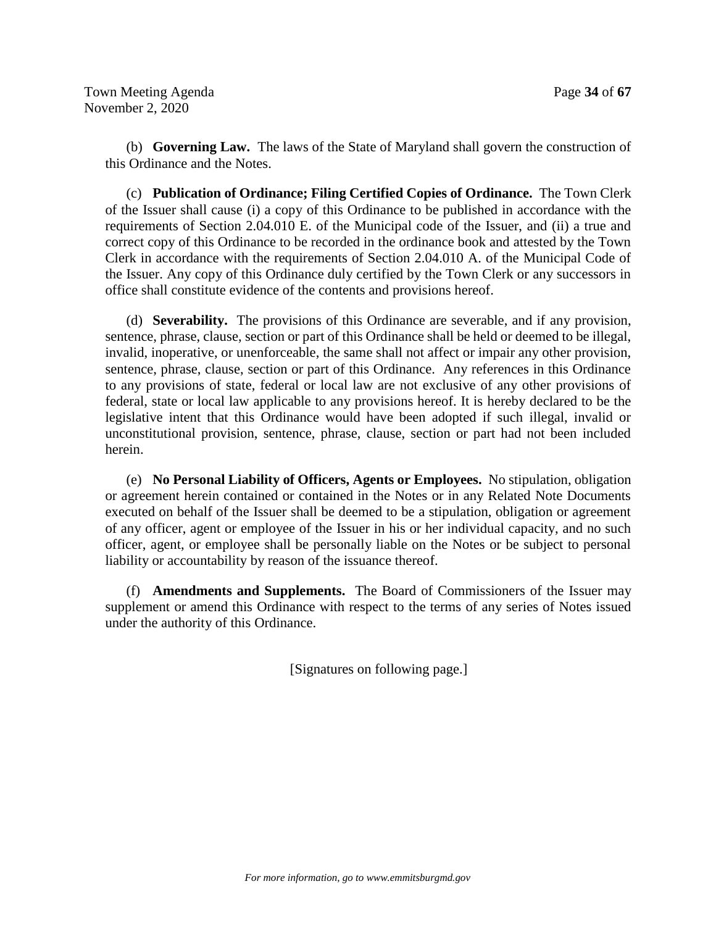(b) **Governing Law.** The laws of the State of Maryland shall govern the construction of this Ordinance and the Notes.

(c) **Publication of Ordinance; Filing Certified Copies of Ordinance.** The Town Clerk of the Issuer shall cause (i) a copy of this Ordinance to be published in accordance with the requirements of Section 2.04.010 E. of the Municipal code of the Issuer, and (ii) a true and correct copy of this Ordinance to be recorded in the ordinance book and attested by the Town Clerk in accordance with the requirements of Section 2.04.010 A. of the Municipal Code of the Issuer. Any copy of this Ordinance duly certified by the Town Clerk or any successors in office shall constitute evidence of the contents and provisions hereof.

(d) **Severability.** The provisions of this Ordinance are severable, and if any provision, sentence, phrase, clause, section or part of this Ordinance shall be held or deemed to be illegal, invalid, inoperative, or unenforceable, the same shall not affect or impair any other provision, sentence, phrase, clause, section or part of this Ordinance. Any references in this Ordinance to any provisions of state, federal or local law are not exclusive of any other provisions of federal, state or local law applicable to any provisions hereof. It is hereby declared to be the legislative intent that this Ordinance would have been adopted if such illegal, invalid or unconstitutional provision, sentence, phrase, clause, section or part had not been included herein.

(e) **No Personal Liability of Officers, Agents or Employees.** No stipulation, obligation or agreement herein contained or contained in the Notes or in any Related Note Documents executed on behalf of the Issuer shall be deemed to be a stipulation, obligation or agreement of any officer, agent or employee of the Issuer in his or her individual capacity, and no such officer, agent, or employee shall be personally liable on the Notes or be subject to personal liability or accountability by reason of the issuance thereof.

(f) **Amendments and Supplements.** The Board of Commissioners of the Issuer may supplement or amend this Ordinance with respect to the terms of any series of Notes issued under the authority of this Ordinance.

[Signatures on following page.]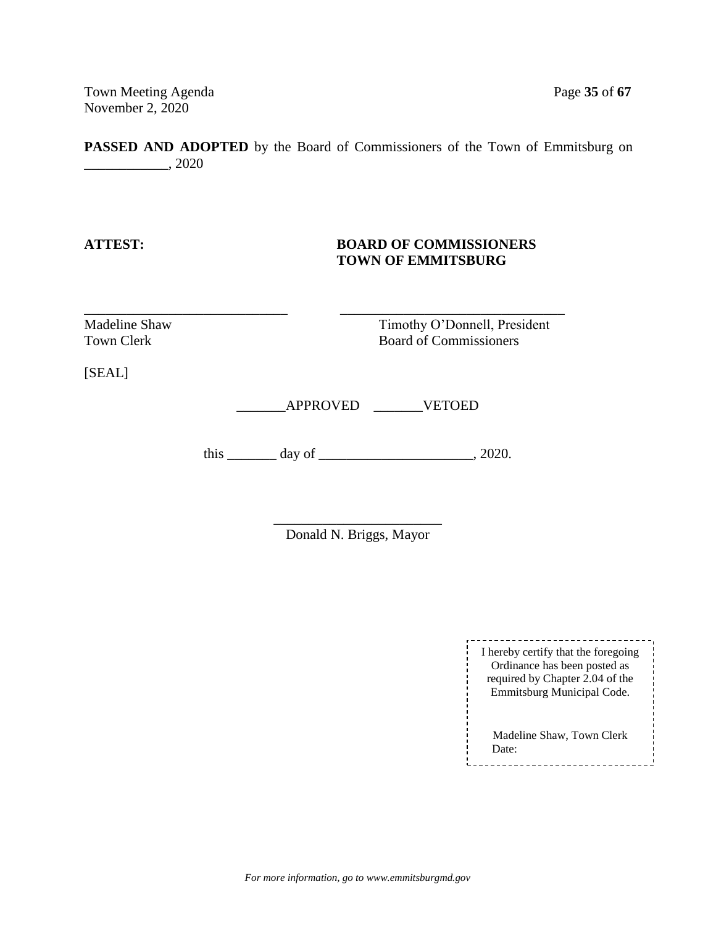Town Meeting Agenda Page 35 of 67 November 2, 2020

**PASSED AND ADOPTED** by the Board of Commissioners of the Town of Emmitsburg on \_\_\_\_\_\_\_\_\_\_\_\_, 2020

## **ATTEST: BOARD OF COMMISSIONERS TOWN OF EMMITSBURG**

Madeline Shaw Timothy O'Donnell, President Town Clerk Board of Commissioners

[SEAL]

\_\_\_\_\_\_\_APPROVED \_\_\_\_\_\_\_VETOED

\_\_\_\_\_\_\_\_\_\_\_\_\_\_\_\_\_\_\_\_\_\_\_\_\_\_\_\_\_ \_\_\_\_\_\_\_\_\_\_\_\_\_\_\_\_\_\_\_\_\_\_\_\_\_\_\_\_\_\_\_\_

this  $\_\_\_\_\_\_\$  day of  $\_\_\_\_\_\_\_\_\_\_\_$ , 2020.

\_\_\_\_\_\_\_\_\_\_\_\_\_\_\_\_\_\_\_\_\_\_\_\_ Donald N. Briggs, Mayor

> -------------------------------I hereby certify that the foregoing Ordinance has been posted as required by Chapter 2.04 of the Emmitsburg Municipal Code.

Madeline Shaw, Town Clerk Date: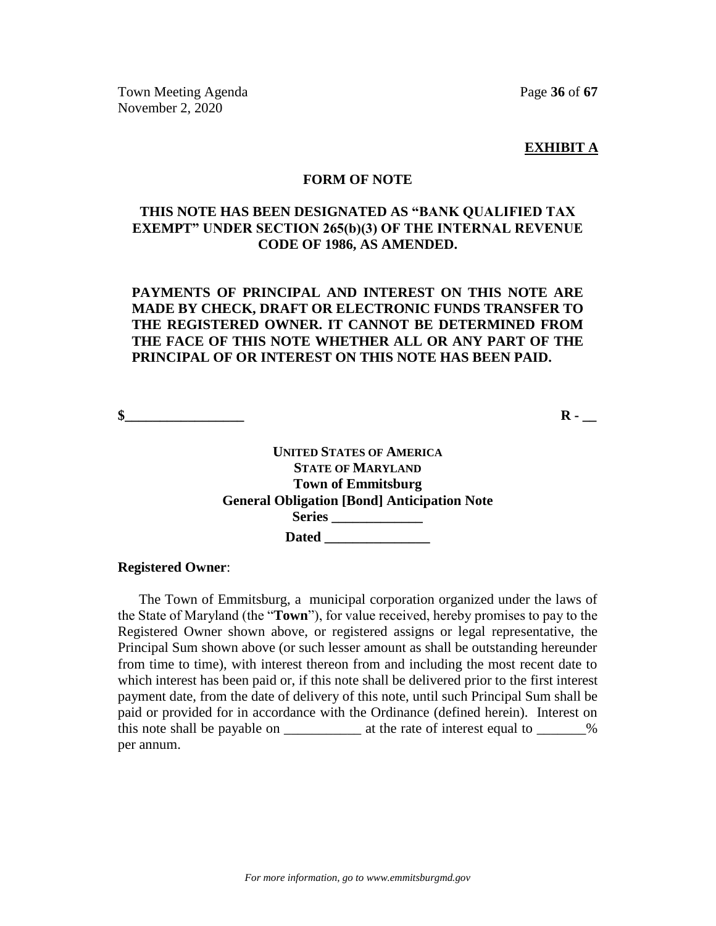Town Meeting Agenda **Page 36** of 67 November 2, 2020

**EXHIBIT A**

#### **FORM OF NOTE**

## **THIS NOTE HAS BEEN DESIGNATED AS "BANK QUALIFIED TAX EXEMPT" UNDER SECTION 265(b)(3) OF THE INTERNAL REVENUE CODE OF 1986, AS AMENDED.**

## **PAYMENTS OF PRINCIPAL AND INTEREST ON THIS NOTE ARE MADE BY CHECK, DRAFT OR ELECTRONIC FUNDS TRANSFER TO THE REGISTERED OWNER. IT CANNOT BE DETERMINED FROM THE FACE OF THIS NOTE WHETHER ALL OR ANY PART OF THE PRINCIPAL OF OR INTEREST ON THIS NOTE HAS BEEN PAID.**

**\$** 

**UNITED STATES OF AMERICA STATE OF MARYLAND Town of Emmitsburg General Obligation [Bond] Anticipation Note Series \_\_\_\_\_\_\_\_\_\_\_\_\_ Dated \_\_\_\_\_\_\_\_\_\_\_\_\_\_\_**

#### **Registered Owner**:

The Town of Emmitsburg, a municipal corporation organized under the laws of the State of Maryland (the "**Town**"), for value received, hereby promises to pay to the Registered Owner shown above, or registered assigns or legal representative, the Principal Sum shown above (or such lesser amount as shall be outstanding hereunder from time to time), with interest thereon from and including the most recent date to which interest has been paid or, if this note shall be delivered prior to the first interest payment date, from the date of delivery of this note, until such Principal Sum shall be paid or provided for in accordance with the Ordinance (defined herein). Interest on this note shall be payable on \_\_\_\_\_\_\_\_\_\_\_\_\_\_ at the rate of interest equal to \_\_\_\_\_\_\_% per annum.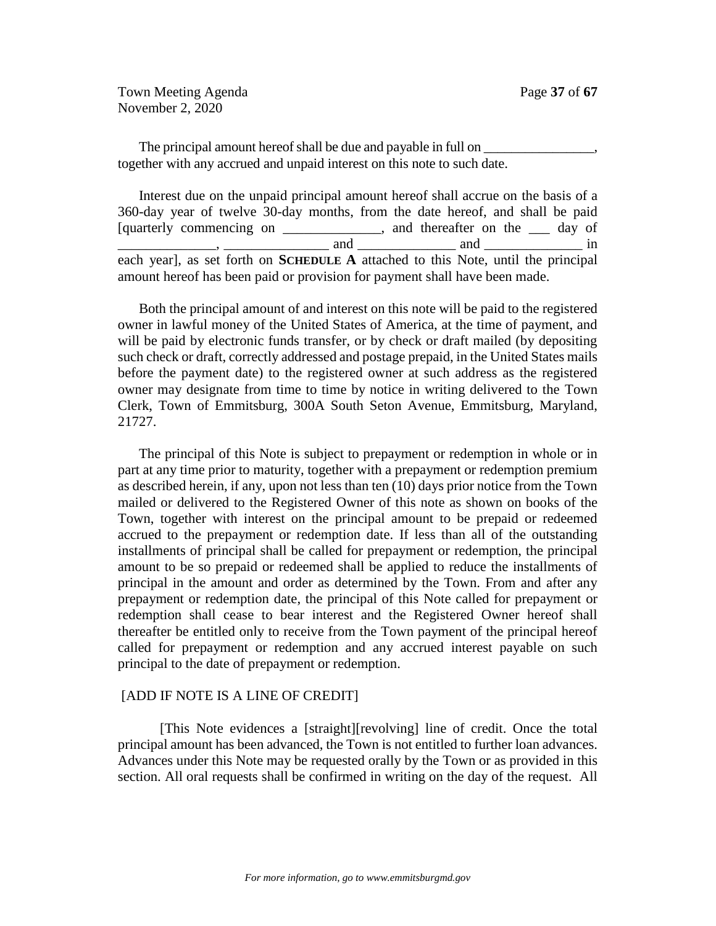Town Meeting Agenda **Page 37** of 67 November 2, 2020

The principal amount hereof shall be due and payable in full on  $\Box$ together with any accrued and unpaid interest on this note to such date.

Interest due on the unpaid principal amount hereof shall accrue on the basis of a 360-day year of twelve 30-day months, from the date hereof, and shall be paid [quarterly commencing on \_\_\_\_\_\_\_\_\_\_\_\_\_, and thereafter on the \_\_\_ day of and and and  $\overline{\phantom{a}}$  and  $\overline{\phantom{a}}$  and  $\overline{\phantom{a}}$  in each year], as set forth on **SCHEDULE A** attached to this Note, until the principal amount hereof has been paid or provision for payment shall have been made.

Both the principal amount of and interest on this note will be paid to the registered owner in lawful money of the United States of America, at the time of payment, and will be paid by electronic funds transfer, or by check or draft mailed (by depositing such check or draft, correctly addressed and postage prepaid, in the United States mails before the payment date) to the registered owner at such address as the registered owner may designate from time to time by notice in writing delivered to the Town Clerk, Town of Emmitsburg, 300A South Seton Avenue, Emmitsburg, Maryland, 21727.

The principal of this Note is subject to prepayment or redemption in whole or in part at any time prior to maturity, together with a prepayment or redemption premium as described herein, if any, upon not less than ten (10) days prior notice from the Town mailed or delivered to the Registered Owner of this note as shown on books of the Town, together with interest on the principal amount to be prepaid or redeemed accrued to the prepayment or redemption date. If less than all of the outstanding installments of principal shall be called for prepayment or redemption, the principal amount to be so prepaid or redeemed shall be applied to reduce the installments of principal in the amount and order as determined by the Town. From and after any prepayment or redemption date, the principal of this Note called for prepayment or redemption shall cease to bear interest and the Registered Owner hereof shall thereafter be entitled only to receive from the Town payment of the principal hereof called for prepayment or redemption and any accrued interest payable on such principal to the date of prepayment or redemption.

#### [ADD IF NOTE IS A LINE OF CREDIT]

[This Note evidences a [straight][revolving] line of credit. Once the total principal amount has been advanced, the Town is not entitled to further loan advances. Advances under this Note may be requested orally by the Town or as provided in this section. All oral requests shall be confirmed in writing on the day of the request. All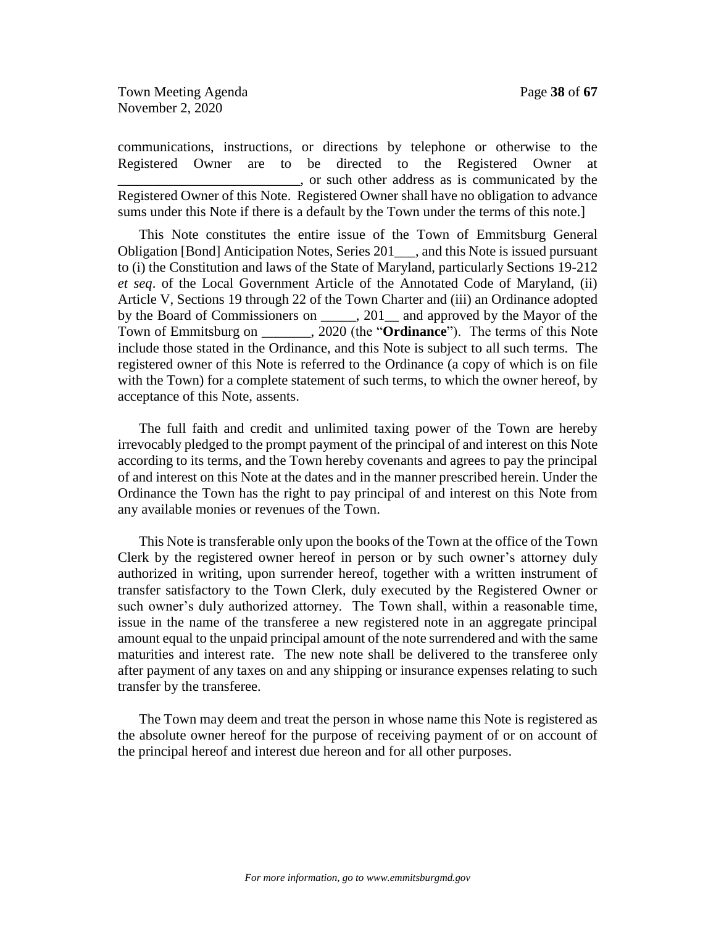Town Meeting Agenda **Page 38** of **67** November 2, 2020

communications, instructions, or directions by telephone or otherwise to the Registered Owner are to be directed to the Registered Owner at \_\_\_\_\_\_\_\_\_\_\_\_\_\_\_\_\_\_\_\_\_\_\_\_\_\_, or such other address as is communicated by the Registered Owner of this Note. Registered Owner shall have no obligation to advance sums under this Note if there is a default by the Town under the terms of this note.]

This Note constitutes the entire issue of the Town of Emmitsburg General Obligation [Bond] Anticipation Notes, Series 201\_\_\_, and this Note is issued pursuant to (i) the Constitution and laws of the State of Maryland, particularly Sections 19-212 *et seq*. of the Local Government Article of the Annotated Code of Maryland, (ii) Article V, Sections 19 through 22 of the Town Charter and (iii) an Ordinance adopted by the Board of Commissioners on  $\qquad \qquad$ , 201 and approved by the Mayor of the Town of Emmitsburg on \_\_\_\_\_\_\_, 2020 (the "**Ordinance**"). The terms of this Note include those stated in the Ordinance, and this Note is subject to all such terms. The registered owner of this Note is referred to the Ordinance (a copy of which is on file with the Town) for a complete statement of such terms, to which the owner hereof, by acceptance of this Note, assents.

The full faith and credit and unlimited taxing power of the Town are hereby irrevocably pledged to the prompt payment of the principal of and interest on this Note according to its terms, and the Town hereby covenants and agrees to pay the principal of and interest on this Note at the dates and in the manner prescribed herein. Under the Ordinance the Town has the right to pay principal of and interest on this Note from any available monies or revenues of the Town.

This Note is transferable only upon the books of the Town at the office of the Town Clerk by the registered owner hereof in person or by such owner's attorney duly authorized in writing, upon surrender hereof, together with a written instrument of transfer satisfactory to the Town Clerk, duly executed by the Registered Owner or such owner's duly authorized attorney. The Town shall, within a reasonable time, issue in the name of the transferee a new registered note in an aggregate principal amount equal to the unpaid principal amount of the note surrendered and with the same maturities and interest rate. The new note shall be delivered to the transferee only after payment of any taxes on and any shipping or insurance expenses relating to such transfer by the transferee.

The Town may deem and treat the person in whose name this Note is registered as the absolute owner hereof for the purpose of receiving payment of or on account of the principal hereof and interest due hereon and for all other purposes.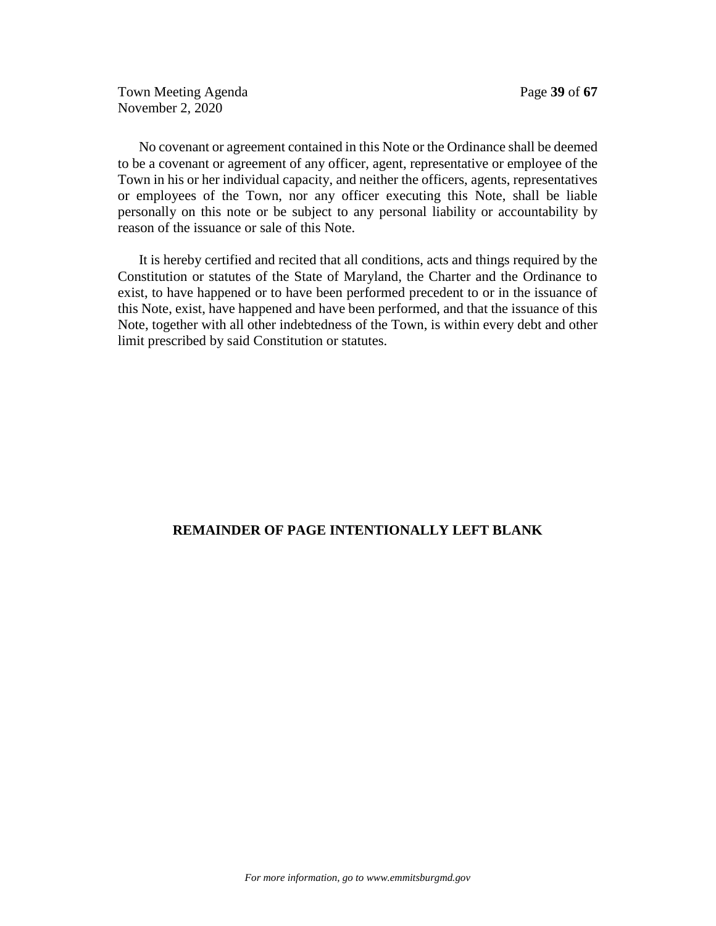Town Meeting Agenda **Page 39** of 67 November 2, 2020

No covenant or agreement contained in this Note or the Ordinance shall be deemed to be a covenant or agreement of any officer, agent, representative or employee of the Town in his or her individual capacity, and neither the officers, agents, representatives or employees of the Town, nor any officer executing this Note, shall be liable personally on this note or be subject to any personal liability or accountability by reason of the issuance or sale of this Note.

It is hereby certified and recited that all conditions, acts and things required by the Constitution or statutes of the State of Maryland, the Charter and the Ordinance to exist, to have happened or to have been performed precedent to or in the issuance of this Note, exist, have happened and have been performed, and that the issuance of this Note, together with all other indebtedness of the Town, is within every debt and other limit prescribed by said Constitution or statutes.

## **REMAINDER OF PAGE INTENTIONALLY LEFT BLANK**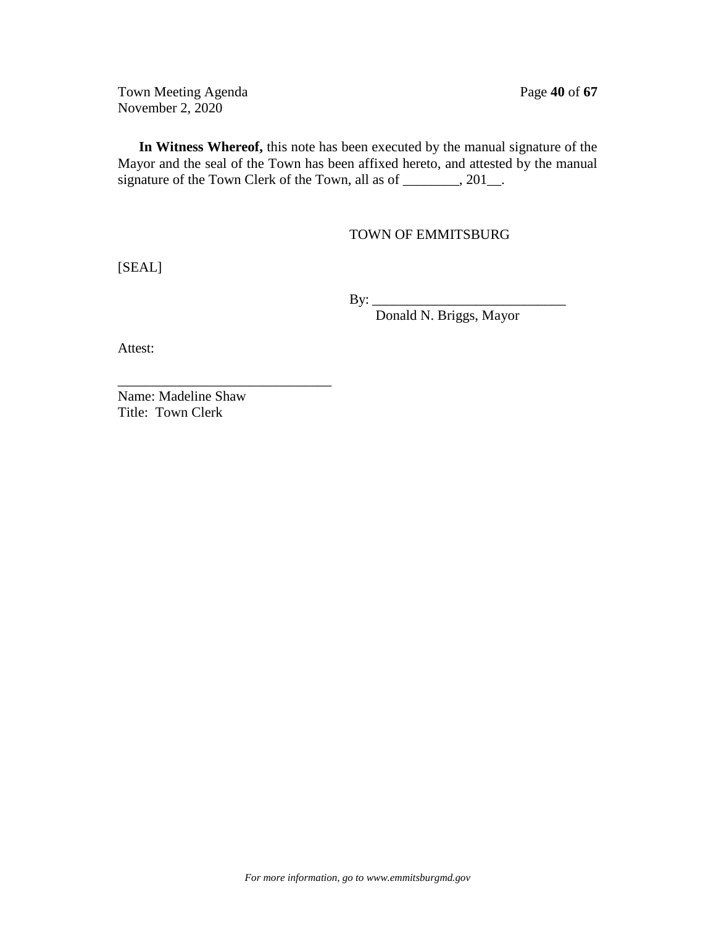Town Meeting Agenda **Page 40** of 67 November 2, 2020

**In Witness Whereof,** this note has been executed by the manual signature of the Mayor and the seal of the Town has been affixed hereto, and attested by the manual signature of the Town Clerk of the Town, all as of \_\_\_\_\_\_\_, 201\_.

## TOWN OF EMMITSBURG

[SEAL]

By: \_\_\_\_\_\_\_\_\_\_\_\_\_\_\_\_\_\_\_\_\_\_\_\_\_\_\_\_

Donald N. Briggs, Mayor

Attest:

Name: Madeline Shaw Title: Town Clerk

\_\_\_\_\_\_\_\_\_\_\_\_\_\_\_\_\_\_\_\_\_\_\_\_\_\_\_\_\_\_\_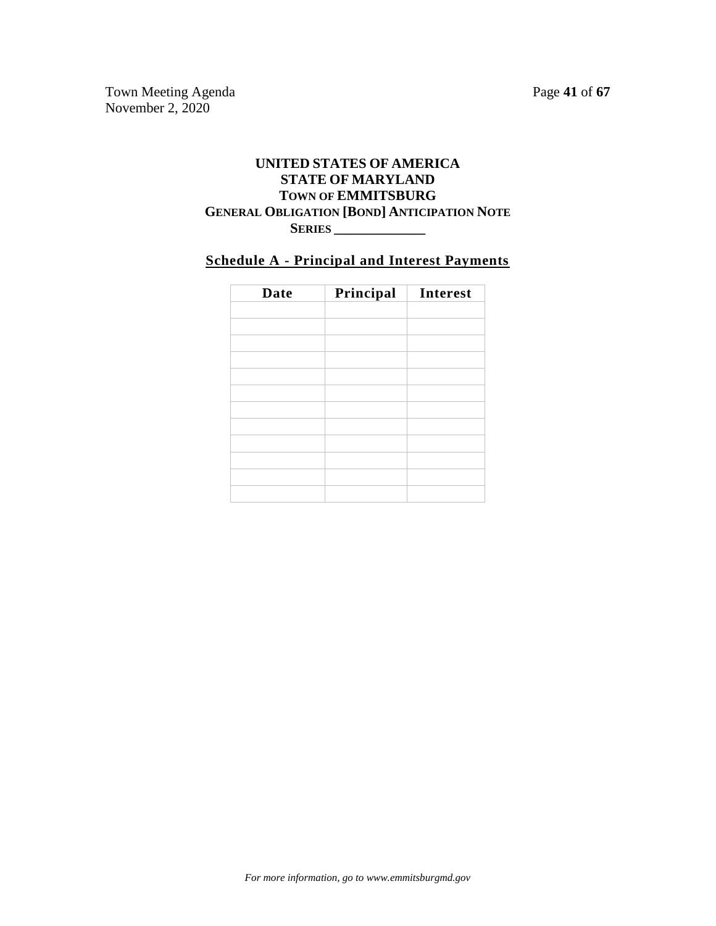Town Meeting Agenda Page 41 of 67 November 2, 2020

## **UNITED STATES OF AMERICA STATE OF MARYLAND TOWN OF EMMITSBURG GENERAL OBLIGATION [BOND] ANTICIPATION NOTE SERIES \_\_\_\_\_\_\_\_\_\_\_\_\_**

# **Schedule A - Principal and Interest Payments**

| <b>Date</b> | Principal | Interest |
|-------------|-----------|----------|
|             |           |          |
|             |           |          |
|             |           |          |
|             |           |          |
|             |           |          |
|             |           |          |
|             |           |          |
|             |           |          |
|             |           |          |
|             |           |          |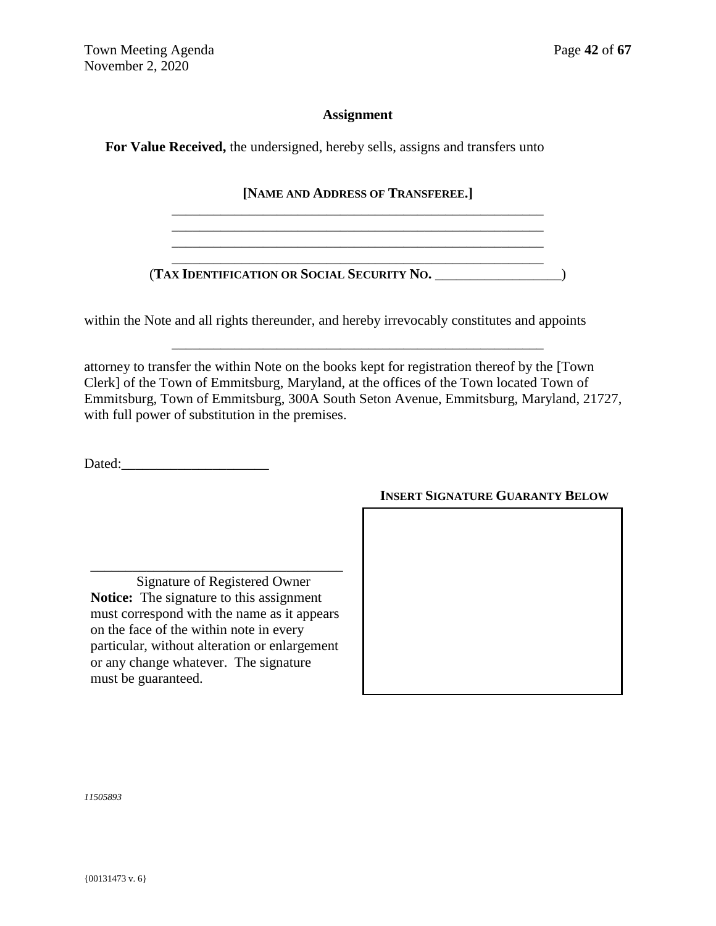## **Assignment**

**For Value Received,** the undersigned, hereby sells, assigns and transfers unto

**[NAME AND ADDRESS OF TRANSFEREE.]** \_\_\_\_\_\_\_\_\_\_\_\_\_\_\_\_\_\_\_\_\_\_\_\_\_\_\_\_\_\_\_\_\_\_\_\_\_\_\_\_\_\_\_\_\_\_\_\_\_\_\_\_\_

\_\_\_\_\_\_\_\_\_\_\_\_\_\_\_\_\_\_\_\_\_\_\_\_\_\_\_\_\_\_\_\_\_\_\_\_\_\_\_\_\_\_\_\_\_\_\_\_\_\_\_\_\_

 $\mathcal{L}_\text{max} = \mathcal{L}_\text{max} = \mathcal{L}_\text{max} = \mathcal{L}_\text{max} = \mathcal{L}_\text{max} = \mathcal{L}_\text{max} = \mathcal{L}_\text{max} = \mathcal{L}_\text{max} = \mathcal{L}_\text{max} = \mathcal{L}_\text{max} = \mathcal{L}_\text{max} = \mathcal{L}_\text{max} = \mathcal{L}_\text{max} = \mathcal{L}_\text{max} = \mathcal{L}_\text{max} = \mathcal{L}_\text{max} = \mathcal{L}_\text{max} = \mathcal{L}_\text{max} = \mathcal{$ 

(**TAX IDENTIFICATION OR SOCIAL SECURITY NO.** \_\_\_\_\_\_\_\_\_\_\_\_\_\_\_\_\_\_)

within the Note and all rights thereunder, and hereby irrevocably constitutes and appoints

attorney to transfer the within Note on the books kept for registration thereof by the [Town Clerk] of the Town of Emmitsburg, Maryland, at the offices of the Town located Town of Emmitsburg, Town of Emmitsburg, 300A South Seton Avenue, Emmitsburg, Maryland, 21727, with full power of substitution in the premises.

\_\_\_\_\_\_\_\_\_\_\_\_\_\_\_\_\_\_\_\_\_\_\_\_\_\_\_\_\_\_\_\_\_\_\_\_\_\_\_\_\_\_\_\_\_\_\_\_\_\_\_\_\_

Dated:

Signature of Registered Owner **Notice:** The signature to this assignment must correspond with the name as it appears on the face of the within note in every particular, without alteration or enlargement or any change whatever. The signature must be guaranteed.

\_\_\_\_\_\_\_\_\_\_\_\_\_\_\_\_\_\_\_\_\_\_\_\_\_\_\_\_\_\_\_\_\_\_\_\_

## **INSERT SIGNATURE GUARANTY BELOW**

*11505893*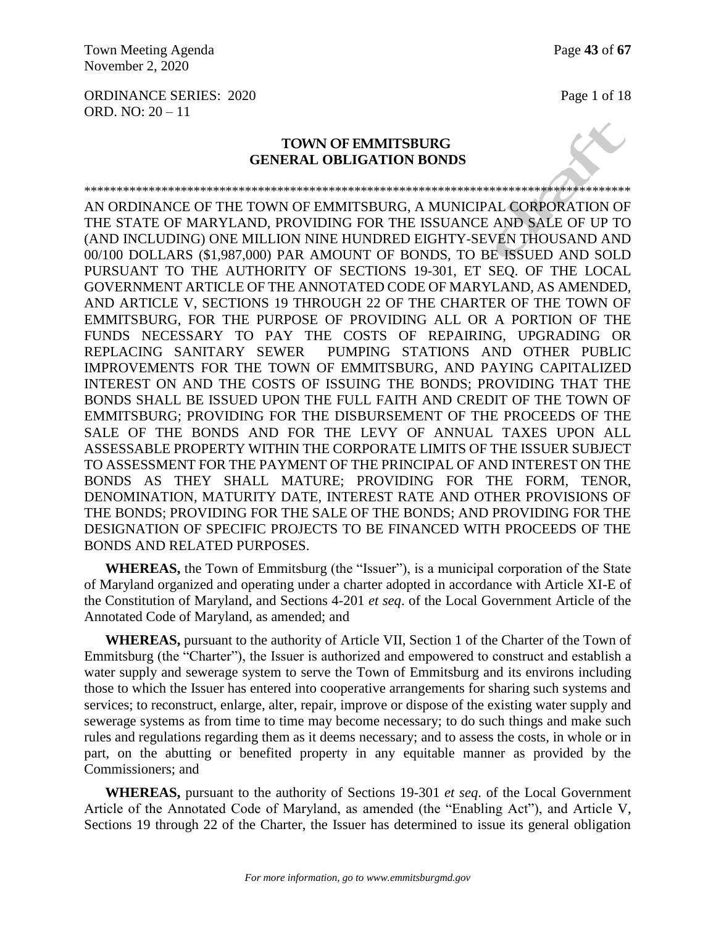Town Meeting Agenda Page 43 of 67 November 2, 2020

ORDINANCE SERIES: 2020 Page 1 of 18 ORD. NO: 20 – 11

## **TOWN OF EMMITSBURG GENERAL OBLIGATION BONDS**

\*\*\*\*\*\*\*\*\*\*\*\*\*\*\*\*\*\*\*\*\*\*\*\*\*\*\*\*\*\*\*\*\*\*\*\*\*\*\*\*\*\*\*\*\*\*\*\*\*\*\*\*\*\*\*\*\*\*\*\*\*\*\*\*\*\*\*\*\*\*\*\*\*\*\*\*\*\*\*\*\*\*\*\*\*

AN ORDINANCE OF THE TOWN OF EMMITSBURG, A MUNICIPAL CORPORATION OF THE STATE OF MARYLAND, PROVIDING FOR THE ISSUANCE AND SALE OF UP TO (AND INCLUDING) ONE MILLION NINE HUNDRED EIGHTY-SEVEN THOUSAND AND 00/100 DOLLARS (\$1,987,000) PAR AMOUNT OF BONDS, TO BE ISSUED AND SOLD PURSUANT TO THE AUTHORITY OF SECTIONS 19-301, ET SEQ. OF THE LOCAL GOVERNMENT ARTICLE OF THE ANNOTATED CODE OF MARYLAND, AS AMENDED, AND ARTICLE V, SECTIONS 19 THROUGH 22 OF THE CHARTER OF THE TOWN OF EMMITSBURG, FOR THE PURPOSE OF PROVIDING ALL OR A PORTION OF THE FUNDS NECESSARY TO PAY THE COSTS OF REPAIRING, UPGRADING OR REPLACING SANITARY SEWER PUMPING STATIONS AND OTHER PUBLIC IMPROVEMENTS FOR THE TOWN OF EMMITSBURG, AND PAYING CAPITALIZED INTEREST ON AND THE COSTS OF ISSUING THE BONDS; PROVIDING THAT THE BONDS SHALL BE ISSUED UPON THE FULL FAITH AND CREDIT OF THE TOWN OF EMMITSBURG; PROVIDING FOR THE DISBURSEMENT OF THE PROCEEDS OF THE SALE OF THE BONDS AND FOR THE LEVY OF ANNUAL TAXES UPON ALL ASSESSABLE PROPERTY WITHIN THE CORPORATE LIMITS OF THE ISSUER SUBJECT TO ASSESSMENT FOR THE PAYMENT OF THE PRINCIPAL OF AND INTEREST ON THE BONDS AS THEY SHALL MATURE; PROVIDING FOR THE FORM, TENOR, DENOMINATION, MATURITY DATE, INTEREST RATE AND OTHER PROVISIONS OF THE BONDS; PROVIDING FOR THE SALE OF THE BONDS; AND PROVIDING FOR THE DESIGNATION OF SPECIFIC PROJECTS TO BE FINANCED WITH PROCEEDS OF THE BONDS AND RELATED PURPOSES.

**WHEREAS,** the Town of Emmitsburg (the "Issuer"), is a municipal corporation of the State of Maryland organized and operating under a charter adopted in accordance with Article XI-E of the Constitution of Maryland, and Sections 4-201 *et seq*. of the Local Government Article of the Annotated Code of Maryland, as amended; and

**WHEREAS,** pursuant to the authority of Article VII, Section 1 of the Charter of the Town of Emmitsburg (the "Charter"), the Issuer is authorized and empowered to construct and establish a water supply and sewerage system to serve the Town of Emmitsburg and its environs including those to which the Issuer has entered into cooperative arrangements for sharing such systems and services; to reconstruct, enlarge, alter, repair, improve or dispose of the existing water supply and sewerage systems as from time to time may become necessary; to do such things and make such rules and regulations regarding them as it deems necessary; and to assess the costs, in whole or in part, on the abutting or benefited property in any equitable manner as provided by the Commissioners; and

**WHEREAS,** pursuant to the authority of Sections 19-301 *et seq*. of the Local Government Article of the Annotated Code of Maryland, as amended (the "Enabling Act"), and Article V, Sections 19 through 22 of the Charter, the Issuer has determined to issue its general obligation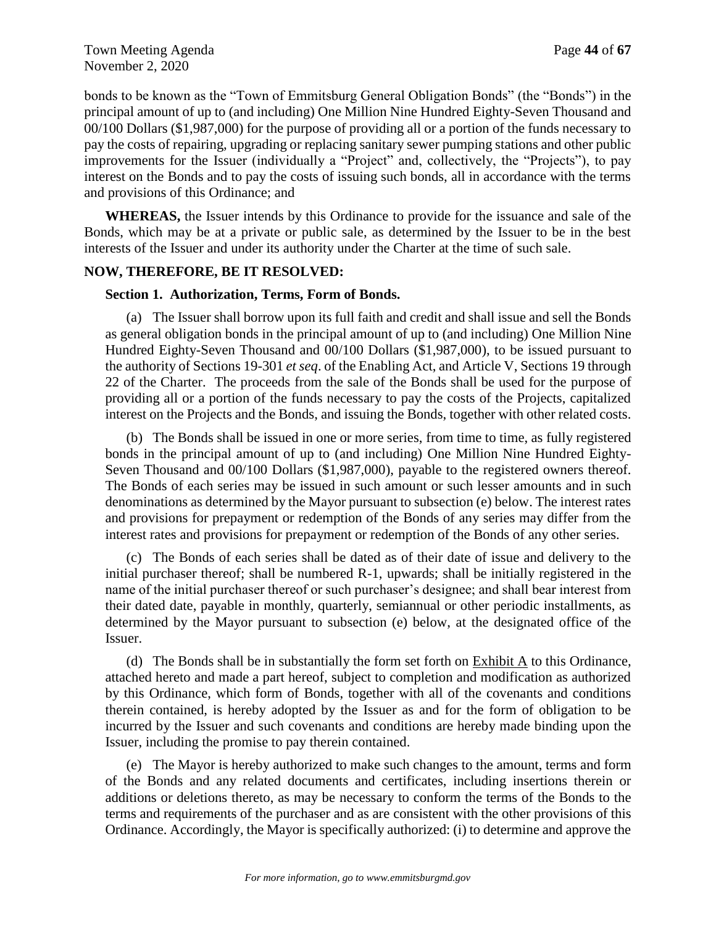bonds to be known as the "Town of Emmitsburg General Obligation Bonds" (the "Bonds") in the principal amount of up to (and including) One Million Nine Hundred Eighty-Seven Thousand and 00/100 Dollars (\$1,987,000) for the purpose of providing all or a portion of the funds necessary to pay the costs of repairing, upgrading or replacing sanitary sewer pumping stations and other public improvements for the Issuer (individually a "Project" and, collectively, the "Projects"), to pay interest on the Bonds and to pay the costs of issuing such bonds, all in accordance with the terms and provisions of this Ordinance; and

**WHEREAS,** the Issuer intends by this Ordinance to provide for the issuance and sale of the Bonds, which may be at a private or public sale, as determined by the Issuer to be in the best interests of the Issuer and under its authority under the Charter at the time of such sale.

#### **NOW, THEREFORE, BE IT RESOLVED:**

#### **Section 1. Authorization, Terms, Form of Bonds.**

(a) The Issuer shall borrow upon its full faith and credit and shall issue and sell the Bonds as general obligation bonds in the principal amount of up to (and including) One Million Nine Hundred Eighty-Seven Thousand and 00/100 Dollars (\$1,987,000), to be issued pursuant to the authority of Sections 19-301 *et seq*. of the Enabling Act, and Article V, Sections 19 through 22 of the Charter. The proceeds from the sale of the Bonds shall be used for the purpose of providing all or a portion of the funds necessary to pay the costs of the Projects, capitalized interest on the Projects and the Bonds, and issuing the Bonds, together with other related costs.

(b) The Bonds shall be issued in one or more series, from time to time, as fully registered bonds in the principal amount of up to (and including) One Million Nine Hundred Eighty-Seven Thousand and 00/100 Dollars (\$1,987,000), payable to the registered owners thereof. The Bonds of each series may be issued in such amount or such lesser amounts and in such denominations as determined by the Mayor pursuant to subsection (e) below. The interest rates and provisions for prepayment or redemption of the Bonds of any series may differ from the interest rates and provisions for prepayment or redemption of the Bonds of any other series.

(c) The Bonds of each series shall be dated as of their date of issue and delivery to the initial purchaser thereof; shall be numbered R-1, upwards; shall be initially registered in the name of the initial purchaser thereof or such purchaser's designee; and shall bear interest from their dated date, payable in monthly, quarterly, semiannual or other periodic installments, as determined by the Mayor pursuant to subsection (e) below, at the designated office of the Issuer.

(d) The Bonds shall be in substantially the form set forth on Exhibit A to this Ordinance, attached hereto and made a part hereof, subject to completion and modification as authorized by this Ordinance, which form of Bonds, together with all of the covenants and conditions therein contained, is hereby adopted by the Issuer as and for the form of obligation to be incurred by the Issuer and such covenants and conditions are hereby made binding upon the Issuer, including the promise to pay therein contained.

(e) The Mayor is hereby authorized to make such changes to the amount, terms and form of the Bonds and any related documents and certificates, including insertions therein or additions or deletions thereto, as may be necessary to conform the terms of the Bonds to the terms and requirements of the purchaser and as are consistent with the other provisions of this Ordinance. Accordingly, the Mayor is specifically authorized: (i) to determine and approve the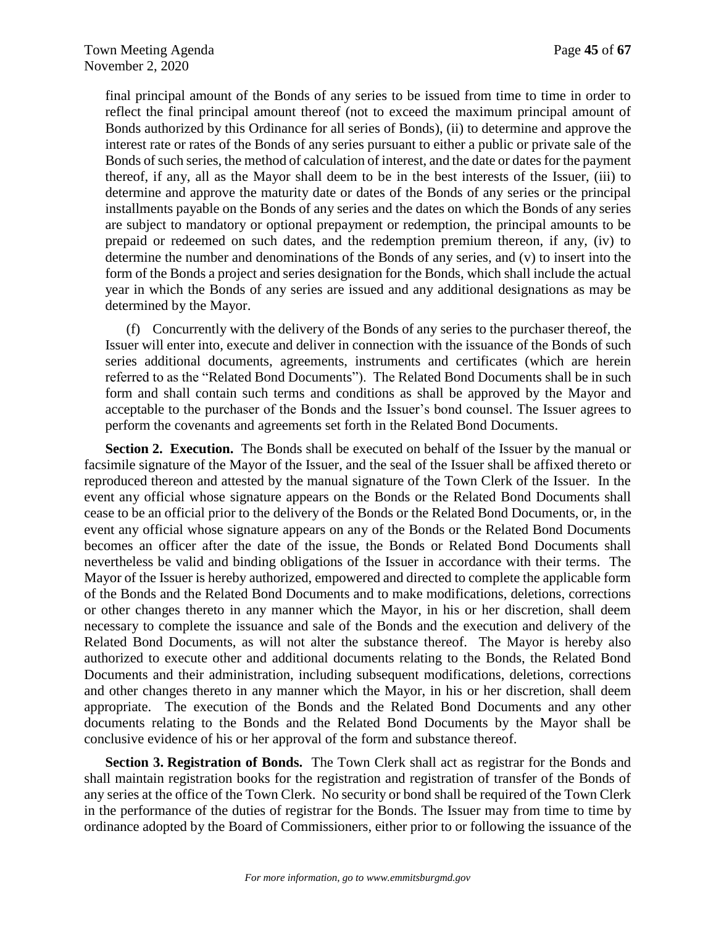final principal amount of the Bonds of any series to be issued from time to time in order to reflect the final principal amount thereof (not to exceed the maximum principal amount of Bonds authorized by this Ordinance for all series of Bonds), (ii) to determine and approve the interest rate or rates of the Bonds of any series pursuant to either a public or private sale of the Bonds of such series, the method of calculation of interest, and the date or dates for the payment thereof, if any, all as the Mayor shall deem to be in the best interests of the Issuer, (iii) to determine and approve the maturity date or dates of the Bonds of any series or the principal installments payable on the Bonds of any series and the dates on which the Bonds of any series are subject to mandatory or optional prepayment or redemption, the principal amounts to be prepaid or redeemed on such dates, and the redemption premium thereon, if any, (iv) to determine the number and denominations of the Bonds of any series, and (v) to insert into the form of the Bonds a project and series designation for the Bonds, which shall include the actual year in which the Bonds of any series are issued and any additional designations as may be determined by the Mayor.

(f) Concurrently with the delivery of the Bonds of any series to the purchaser thereof, the Issuer will enter into, execute and deliver in connection with the issuance of the Bonds of such series additional documents, agreements, instruments and certificates (which are herein referred to as the "Related Bond Documents"). The Related Bond Documents shall be in such form and shall contain such terms and conditions as shall be approved by the Mayor and acceptable to the purchaser of the Bonds and the Issuer's bond counsel. The Issuer agrees to perform the covenants and agreements set forth in the Related Bond Documents.

**Section 2. Execution.** The Bonds shall be executed on behalf of the Issuer by the manual or facsimile signature of the Mayor of the Issuer, and the seal of the Issuer shall be affixed thereto or reproduced thereon and attested by the manual signature of the Town Clerk of the Issuer. In the event any official whose signature appears on the Bonds or the Related Bond Documents shall cease to be an official prior to the delivery of the Bonds or the Related Bond Documents, or, in the event any official whose signature appears on any of the Bonds or the Related Bond Documents becomes an officer after the date of the issue, the Bonds or Related Bond Documents shall nevertheless be valid and binding obligations of the Issuer in accordance with their terms. The Mayor of the Issuer is hereby authorized, empowered and directed to complete the applicable form of the Bonds and the Related Bond Documents and to make modifications, deletions, corrections or other changes thereto in any manner which the Mayor, in his or her discretion, shall deem necessary to complete the issuance and sale of the Bonds and the execution and delivery of the Related Bond Documents, as will not alter the substance thereof. The Mayor is hereby also authorized to execute other and additional documents relating to the Bonds, the Related Bond Documents and their administration, including subsequent modifications, deletions, corrections and other changes thereto in any manner which the Mayor, in his or her discretion, shall deem appropriate. The execution of the Bonds and the Related Bond Documents and any other documents relating to the Bonds and the Related Bond Documents by the Mayor shall be conclusive evidence of his or her approval of the form and substance thereof.

**Section 3. Registration of Bonds.** The Town Clerk shall act as registrar for the Bonds and shall maintain registration books for the registration and registration of transfer of the Bonds of any series at the office of the Town Clerk. No security or bond shall be required of the Town Clerk in the performance of the duties of registrar for the Bonds. The Issuer may from time to time by ordinance adopted by the Board of Commissioners, either prior to or following the issuance of the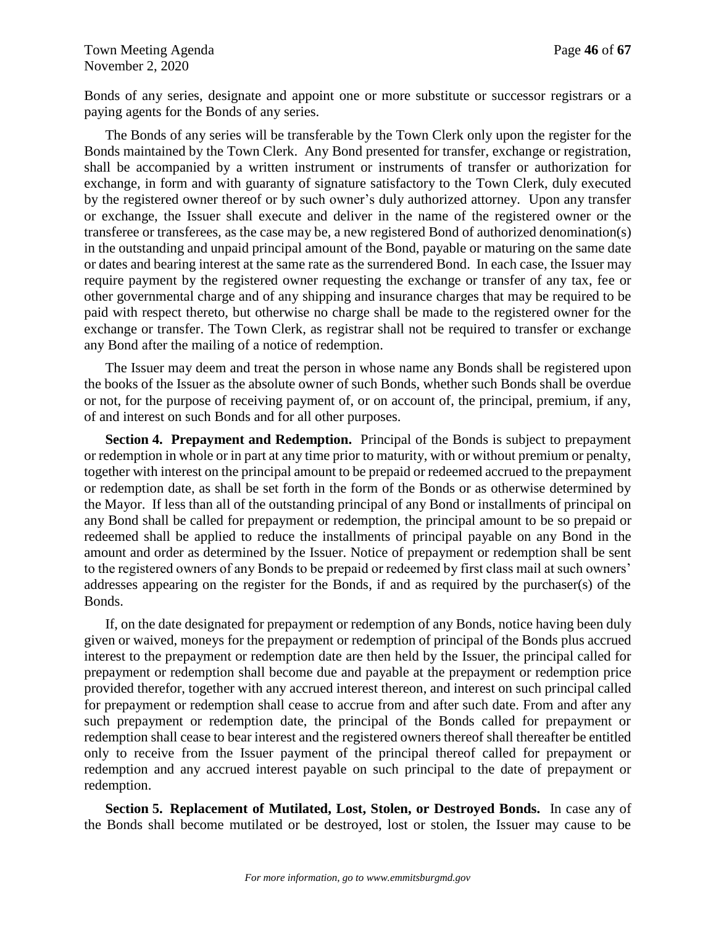Bonds of any series, designate and appoint one or more substitute or successor registrars or a paying agents for the Bonds of any series.

The Bonds of any series will be transferable by the Town Clerk only upon the register for the Bonds maintained by the Town Clerk. Any Bond presented for transfer, exchange or registration, shall be accompanied by a written instrument or instruments of transfer or authorization for exchange, in form and with guaranty of signature satisfactory to the Town Clerk, duly executed by the registered owner thereof or by such owner's duly authorized attorney. Upon any transfer or exchange, the Issuer shall execute and deliver in the name of the registered owner or the transferee or transferees, as the case may be, a new registered Bond of authorized denomination(s) in the outstanding and unpaid principal amount of the Bond, payable or maturing on the same date or dates and bearing interest at the same rate as the surrendered Bond. In each case, the Issuer may require payment by the registered owner requesting the exchange or transfer of any tax, fee or other governmental charge and of any shipping and insurance charges that may be required to be paid with respect thereto, but otherwise no charge shall be made to the registered owner for the exchange or transfer. The Town Clerk, as registrar shall not be required to transfer or exchange any Bond after the mailing of a notice of redemption.

The Issuer may deem and treat the person in whose name any Bonds shall be registered upon the books of the Issuer as the absolute owner of such Bonds, whether such Bonds shall be overdue or not, for the purpose of receiving payment of, or on account of, the principal, premium, if any, of and interest on such Bonds and for all other purposes.

**Section 4. Prepayment and Redemption.** Principal of the Bonds is subject to prepayment or redemption in whole or in part at any time prior to maturity, with or without premium or penalty, together with interest on the principal amount to be prepaid or redeemed accrued to the prepayment or redemption date, as shall be set forth in the form of the Bonds or as otherwise determined by the Mayor. If less than all of the outstanding principal of any Bond or installments of principal on any Bond shall be called for prepayment or redemption, the principal amount to be so prepaid or redeemed shall be applied to reduce the installments of principal payable on any Bond in the amount and order as determined by the Issuer. Notice of prepayment or redemption shall be sent to the registered owners of any Bonds to be prepaid or redeemed by first class mail at such owners' addresses appearing on the register for the Bonds, if and as required by the purchaser(s) of the Bonds.

If, on the date designated for prepayment or redemption of any Bonds, notice having been duly given or waived, moneys for the prepayment or redemption of principal of the Bonds plus accrued interest to the prepayment or redemption date are then held by the Issuer, the principal called for prepayment or redemption shall become due and payable at the prepayment or redemption price provided therefor, together with any accrued interest thereon, and interest on such principal called for prepayment or redemption shall cease to accrue from and after such date. From and after any such prepayment or redemption date, the principal of the Bonds called for prepayment or redemption shall cease to bear interest and the registered owners thereof shall thereafter be entitled only to receive from the Issuer payment of the principal thereof called for prepayment or redemption and any accrued interest payable on such principal to the date of prepayment or redemption.

**Section 5. Replacement of Mutilated, Lost, Stolen, or Destroyed Bonds.** In case any of the Bonds shall become mutilated or be destroyed, lost or stolen, the Issuer may cause to be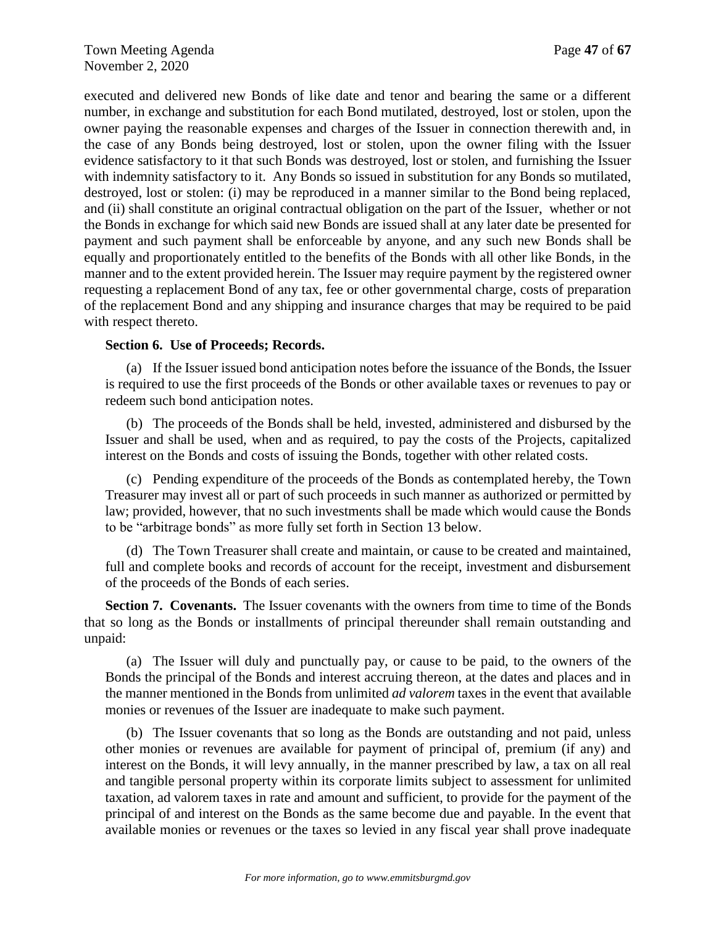executed and delivered new Bonds of like date and tenor and bearing the same or a different number, in exchange and substitution for each Bond mutilated, destroyed, lost or stolen, upon the owner paying the reasonable expenses and charges of the Issuer in connection therewith and, in the case of any Bonds being destroyed, lost or stolen, upon the owner filing with the Issuer evidence satisfactory to it that such Bonds was destroyed, lost or stolen, and furnishing the Issuer with indemnity satisfactory to it. Any Bonds so issued in substitution for any Bonds so mutilated, destroyed, lost or stolen: (i) may be reproduced in a manner similar to the Bond being replaced, and (ii) shall constitute an original contractual obligation on the part of the Issuer, whether or not the Bonds in exchange for which said new Bonds are issued shall at any later date be presented for payment and such payment shall be enforceable by anyone, and any such new Bonds shall be equally and proportionately entitled to the benefits of the Bonds with all other like Bonds, in the manner and to the extent provided herein. The Issuer may require payment by the registered owner requesting a replacement Bond of any tax, fee or other governmental charge, costs of preparation of the replacement Bond and any shipping and insurance charges that may be required to be paid with respect thereto.

## **Section 6. Use of Proceeds; Records.**

(a) If the Issuer issued bond anticipation notes before the issuance of the Bonds, the Issuer is required to use the first proceeds of the Bonds or other available taxes or revenues to pay or redeem such bond anticipation notes.

(b) The proceeds of the Bonds shall be held, invested, administered and disbursed by the Issuer and shall be used, when and as required, to pay the costs of the Projects, capitalized interest on the Bonds and costs of issuing the Bonds, together with other related costs.

(c) Pending expenditure of the proceeds of the Bonds as contemplated hereby, the Town Treasurer may invest all or part of such proceeds in such manner as authorized or permitted by law; provided, however, that no such investments shall be made which would cause the Bonds to be "arbitrage bonds" as more fully set forth in Section 13 below.

(d) The Town Treasurer shall create and maintain, or cause to be created and maintained, full and complete books and records of account for the receipt, investment and disbursement of the proceeds of the Bonds of each series.

**Section 7. Covenants.** The Issuer covenants with the owners from time to time of the Bonds that so long as the Bonds or installments of principal thereunder shall remain outstanding and unpaid:

(a) The Issuer will duly and punctually pay, or cause to be paid, to the owners of the Bonds the principal of the Bonds and interest accruing thereon, at the dates and places and in the manner mentioned in the Bonds from unlimited *ad valorem* taxes in the event that available monies or revenues of the Issuer are inadequate to make such payment.

(b) The Issuer covenants that so long as the Bonds are outstanding and not paid, unless other monies or revenues are available for payment of principal of, premium (if any) and interest on the Bonds, it will levy annually, in the manner prescribed by law, a tax on all real and tangible personal property within its corporate limits subject to assessment for unlimited taxation, ad valorem taxes in rate and amount and sufficient, to provide for the payment of the principal of and interest on the Bonds as the same become due and payable. In the event that available monies or revenues or the taxes so levied in any fiscal year shall prove inadequate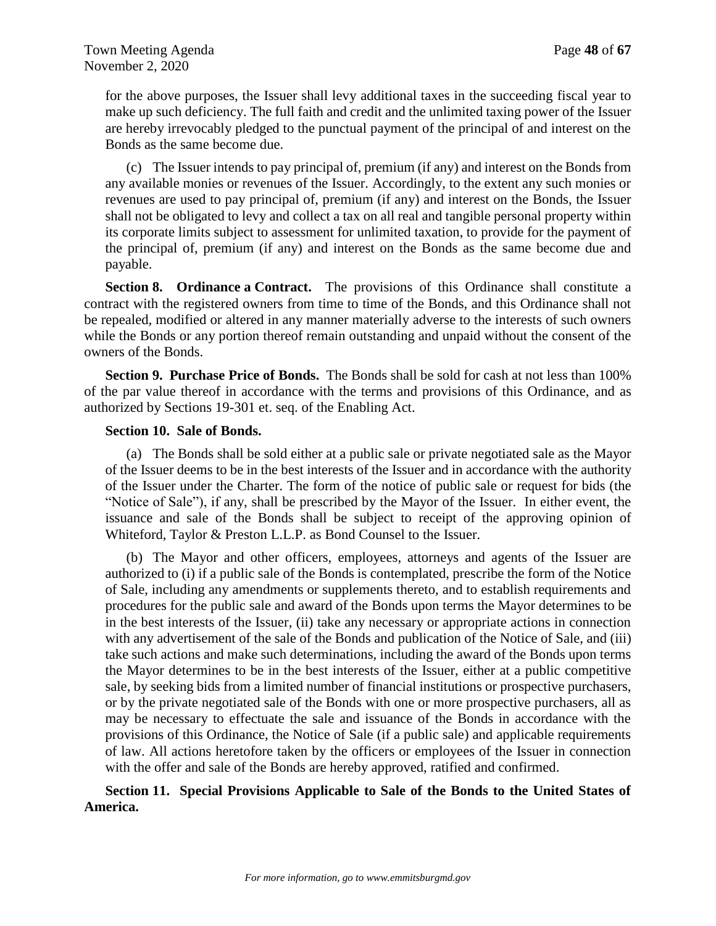for the above purposes, the Issuer shall levy additional taxes in the succeeding fiscal year to make up such deficiency. The full faith and credit and the unlimited taxing power of the Issuer are hereby irrevocably pledged to the punctual payment of the principal of and interest on the Bonds as the same become due.

(c) The Issuer intends to pay principal of, premium (if any) and interest on the Bonds from any available monies or revenues of the Issuer. Accordingly, to the extent any such monies or revenues are used to pay principal of, premium (if any) and interest on the Bonds, the Issuer shall not be obligated to levy and collect a tax on all real and tangible personal property within its corporate limits subject to assessment for unlimited taxation, to provide for the payment of the principal of, premium (if any) and interest on the Bonds as the same become due and payable.

**Section 8. Ordinance a Contract.** The provisions of this Ordinance shall constitute a contract with the registered owners from time to time of the Bonds, and this Ordinance shall not be repealed, modified or altered in any manner materially adverse to the interests of such owners while the Bonds or any portion thereof remain outstanding and unpaid without the consent of the owners of the Bonds.

**Section 9. Purchase Price of Bonds.** The Bonds shall be sold for cash at not less than 100% of the par value thereof in accordance with the terms and provisions of this Ordinance, and as authorized by Sections 19-301 et. seq. of the Enabling Act.

## **Section 10. Sale of Bonds.**

(a) The Bonds shall be sold either at a public sale or private negotiated sale as the Mayor of the Issuer deems to be in the best interests of the Issuer and in accordance with the authority of the Issuer under the Charter. The form of the notice of public sale or request for bids (the "Notice of Sale"), if any, shall be prescribed by the Mayor of the Issuer. In either event, the issuance and sale of the Bonds shall be subject to receipt of the approving opinion of Whiteford, Taylor & Preston L.L.P. as Bond Counsel to the Issuer.

(b) The Mayor and other officers, employees, attorneys and agents of the Issuer are authorized to (i) if a public sale of the Bonds is contemplated, prescribe the form of the Notice of Sale, including any amendments or supplements thereto, and to establish requirements and procedures for the public sale and award of the Bonds upon terms the Mayor determines to be in the best interests of the Issuer, (ii) take any necessary or appropriate actions in connection with any advertisement of the sale of the Bonds and publication of the Notice of Sale, and (iii) take such actions and make such determinations, including the award of the Bonds upon terms the Mayor determines to be in the best interests of the Issuer, either at a public competitive sale, by seeking bids from a limited number of financial institutions or prospective purchasers, or by the private negotiated sale of the Bonds with one or more prospective purchasers, all as may be necessary to effectuate the sale and issuance of the Bonds in accordance with the provisions of this Ordinance, the Notice of Sale (if a public sale) and applicable requirements of law. All actions heretofore taken by the officers or employees of the Issuer in connection with the offer and sale of the Bonds are hereby approved, ratified and confirmed.

## **Section 11. Special Provisions Applicable to Sale of the Bonds to the United States of America.**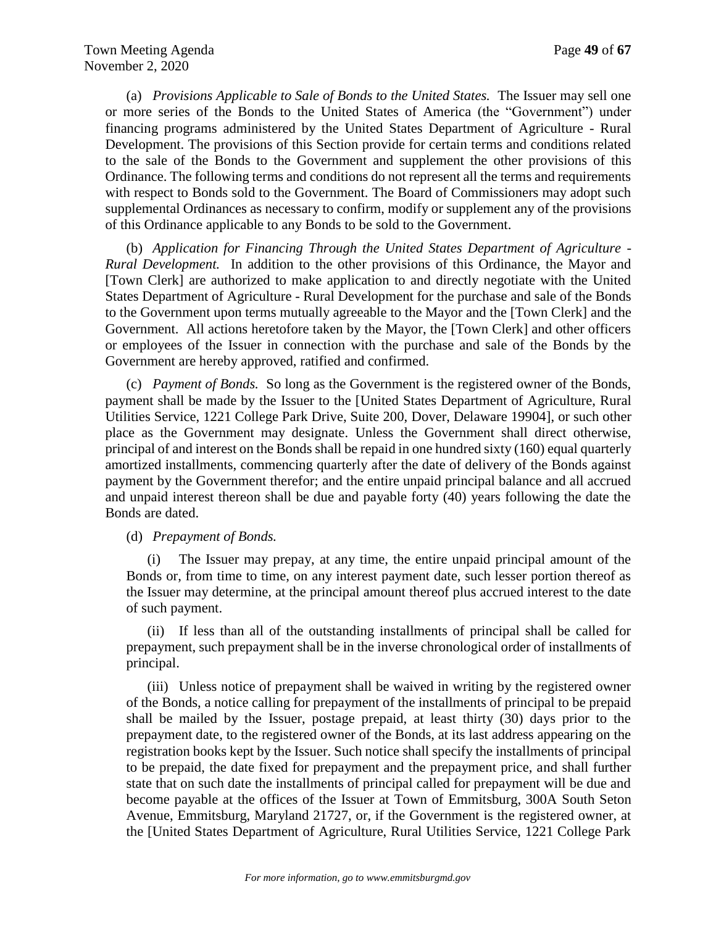(a) *Provisions Applicable to Sale of Bonds to the United States.* The Issuer may sell one or more series of the Bonds to the United States of America (the "Government") under financing programs administered by the United States Department of Agriculture - Rural Development. The provisions of this Section provide for certain terms and conditions related to the sale of the Bonds to the Government and supplement the other provisions of this Ordinance. The following terms and conditions do not represent all the terms and requirements with respect to Bonds sold to the Government. The Board of Commissioners may adopt such supplemental Ordinances as necessary to confirm, modify or supplement any of the provisions of this Ordinance applicable to any Bonds to be sold to the Government.

(b) *Application for Financing Through the United States Department of Agriculture - Rural Development.* In addition to the other provisions of this Ordinance, the Mayor and [Town Clerk] are authorized to make application to and directly negotiate with the United States Department of Agriculture - Rural Development for the purchase and sale of the Bonds to the Government upon terms mutually agreeable to the Mayor and the [Town Clerk] and the Government. All actions heretofore taken by the Mayor, the [Town Clerk] and other officers or employees of the Issuer in connection with the purchase and sale of the Bonds by the Government are hereby approved, ratified and confirmed.

(c) *Payment of Bonds.* So long as the Government is the registered owner of the Bonds, payment shall be made by the Issuer to the [United States Department of Agriculture, Rural Utilities Service, 1221 College Park Drive, Suite 200, Dover, Delaware 19904], or such other place as the Government may designate. Unless the Government shall direct otherwise, principal of and interest on the Bonds shall be repaid in one hundred sixty (160) equal quarterly amortized installments, commencing quarterly after the date of delivery of the Bonds against payment by the Government therefor; and the entire unpaid principal balance and all accrued and unpaid interest thereon shall be due and payable forty (40) years following the date the Bonds are dated.

(d) *Prepayment of Bonds.*

(i) The Issuer may prepay, at any time, the entire unpaid principal amount of the Bonds or, from time to time, on any interest payment date, such lesser portion thereof as the Issuer may determine, at the principal amount thereof plus accrued interest to the date of such payment.

(ii) If less than all of the outstanding installments of principal shall be called for prepayment, such prepayment shall be in the inverse chronological order of installments of principal.

(iii) Unless notice of prepayment shall be waived in writing by the registered owner of the Bonds, a notice calling for prepayment of the installments of principal to be prepaid shall be mailed by the Issuer, postage prepaid, at least thirty (30) days prior to the prepayment date, to the registered owner of the Bonds, at its last address appearing on the registration books kept by the Issuer. Such notice shall specify the installments of principal to be prepaid, the date fixed for prepayment and the prepayment price, and shall further state that on such date the installments of principal called for prepayment will be due and become payable at the offices of the Issuer at Town of Emmitsburg, 300A South Seton Avenue, Emmitsburg, Maryland 21727, or, if the Government is the registered owner, at the [United States Department of Agriculture, Rural Utilities Service, 1221 College Park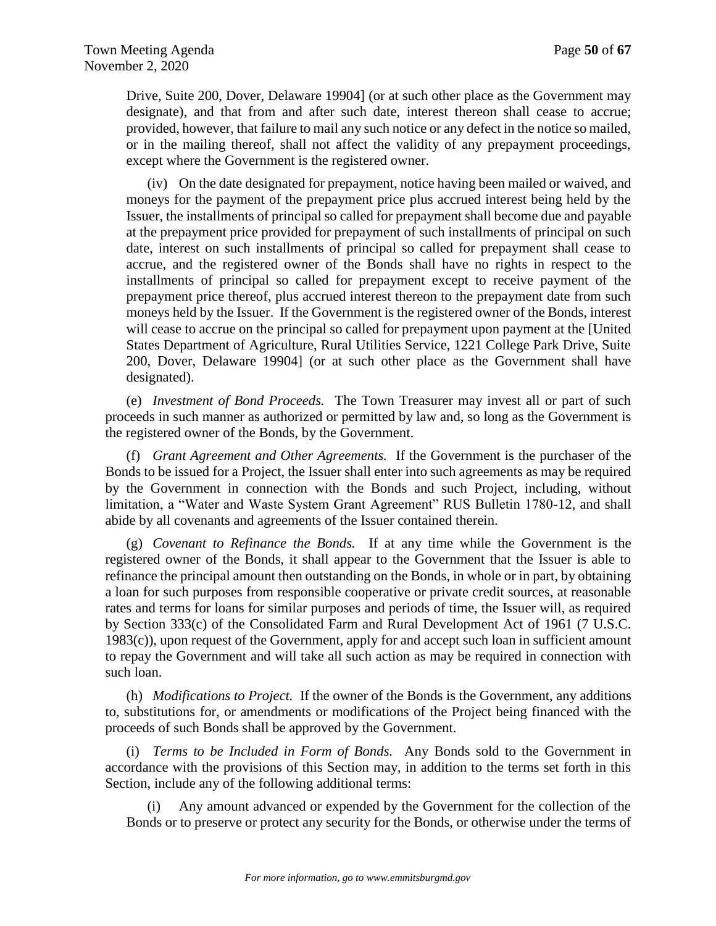Drive, Suite 200, Dover, Delaware 19904] (or at such other place as the Government may designate), and that from and after such date, interest thereon shall cease to accrue; provided, however, that failure to mail any such notice or any defect in the notice so mailed, or in the mailing thereof, shall not affect the validity of any prepayment proceedings, except where the Government is the registered owner.

(iv) On the date designated for prepayment, notice having been mailed or waived, and moneys for the payment of the prepayment price plus accrued interest being held by the Issuer, the installments of principal so called for prepayment shall become due and payable at the prepayment price provided for prepayment of such installments of principal on such date, interest on such installments of principal so called for prepayment shall cease to accrue, and the registered owner of the Bonds shall have no rights in respect to the installments of principal so called for prepayment except to receive payment of the prepayment price thereof, plus accrued interest thereon to the prepayment date from such moneys held by the Issuer. If the Government is the registered owner of the Bonds, interest will cease to accrue on the principal so called for prepayment upon payment at the [United States Department of Agriculture, Rural Utilities Service, 1221 College Park Drive, Suite 200, Dover, Delaware 19904] (or at such other place as the Government shall have designated).

(e) *Investment of Bond Proceeds.* The Town Treasurer may invest all or part of such proceeds in such manner as authorized or permitted by law and, so long as the Government is the registered owner of the Bonds, by the Government.

(f) *Grant Agreement and Other Agreements.* If the Government is the purchaser of the Bonds to be issued for a Project, the Issuer shall enter into such agreements as may be required by the Government in connection with the Bonds and such Project, including, without limitation, a "Water and Waste System Grant Agreement" RUS Bulletin 1780-12, and shall abide by all covenants and agreements of the Issuer contained therein.

(g) *Covenant to Refinance the Bonds.* If at any time while the Government is the registered owner of the Bonds, it shall appear to the Government that the Issuer is able to refinance the principal amount then outstanding on the Bonds, in whole or in part, by obtaining a loan for such purposes from responsible cooperative or private credit sources, at reasonable rates and terms for loans for similar purposes and periods of time, the Issuer will, as required by Section 333(c) of the Consolidated Farm and Rural Development Act of 1961 (7 U.S.C. 1983(c)), upon request of the Government, apply for and accept such loan in sufficient amount to repay the Government and will take all such action as may be required in connection with such loan.

(h) *Modifications to Project.* If the owner of the Bonds is the Government, any additions to, substitutions for, or amendments or modifications of the Project being financed with the proceeds of such Bonds shall be approved by the Government.

(i) *Terms to be Included in Form of Bonds.* Any Bonds sold to the Government in accordance with the provisions of this Section may, in addition to the terms set forth in this Section, include any of the following additional terms:

Any amount advanced or expended by the Government for the collection of the Bonds or to preserve or protect any security for the Bonds, or otherwise under the terms of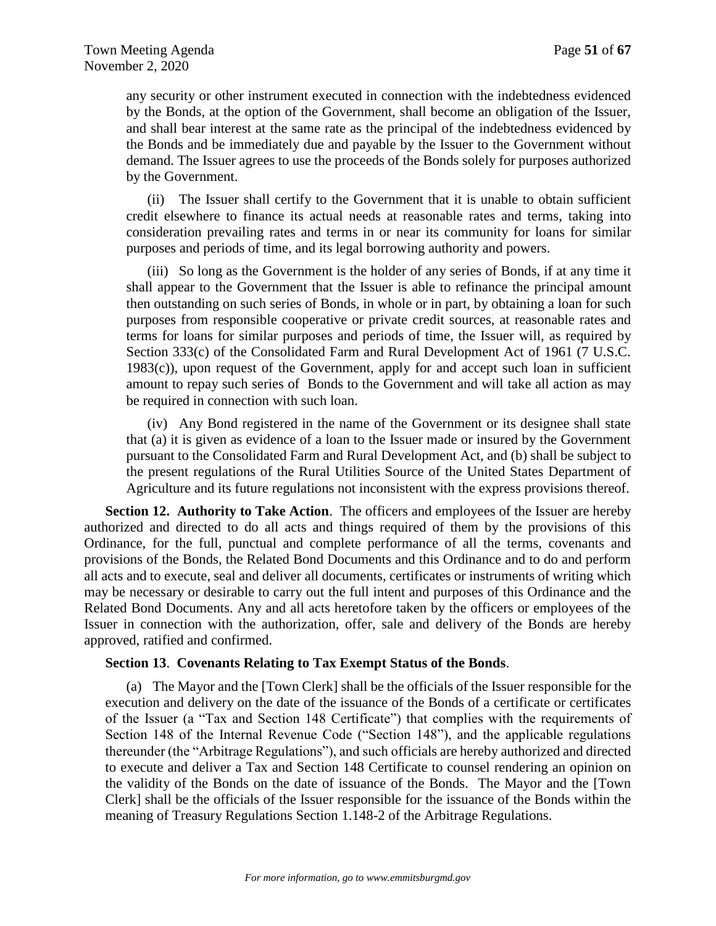any security or other instrument executed in connection with the indebtedness evidenced by the Bonds, at the option of the Government, shall become an obligation of the Issuer, and shall bear interest at the same rate as the principal of the indebtedness evidenced by the Bonds and be immediately due and payable by the Issuer to the Government without demand. The Issuer agrees to use the proceeds of the Bonds solely for purposes authorized by the Government.

(ii) The Issuer shall certify to the Government that it is unable to obtain sufficient credit elsewhere to finance its actual needs at reasonable rates and terms, taking into consideration prevailing rates and terms in or near its community for loans for similar purposes and periods of time, and its legal borrowing authority and powers.

(iii) So long as the Government is the holder of any series of Bonds, if at any time it shall appear to the Government that the Issuer is able to refinance the principal amount then outstanding on such series of Bonds, in whole or in part, by obtaining a loan for such purposes from responsible cooperative or private credit sources, at reasonable rates and terms for loans for similar purposes and periods of time, the Issuer will, as required by Section 333(c) of the Consolidated Farm and Rural Development Act of 1961 (7 U.S.C. 1983(c)), upon request of the Government, apply for and accept such loan in sufficient amount to repay such series of Bonds to the Government and will take all action as may be required in connection with such loan.

(iv) Any Bond registered in the name of the Government or its designee shall state that (a) it is given as evidence of a loan to the Issuer made or insured by the Government pursuant to the Consolidated Farm and Rural Development Act, and (b) shall be subject to the present regulations of the Rural Utilities Source of the United States Department of Agriculture and its future regulations not inconsistent with the express provisions thereof.

**Section 12. Authority to Take Action**. The officers and employees of the Issuer are hereby authorized and directed to do all acts and things required of them by the provisions of this Ordinance, for the full, punctual and complete performance of all the terms, covenants and provisions of the Bonds, the Related Bond Documents and this Ordinance and to do and perform all acts and to execute, seal and deliver all documents, certificates or instruments of writing which may be necessary or desirable to carry out the full intent and purposes of this Ordinance and the Related Bond Documents. Any and all acts heretofore taken by the officers or employees of the Issuer in connection with the authorization, offer, sale and delivery of the Bonds are hereby approved, ratified and confirmed.

## **Section 13**. **Covenants Relating to Tax Exempt Status of the Bonds**.

(a) The Mayor and the [Town Clerk] shall be the officials of the Issuer responsible for the execution and delivery on the date of the issuance of the Bonds of a certificate or certificates of the Issuer (a "Tax and Section 148 Certificate") that complies with the requirements of Section 148 of the Internal Revenue Code ("Section 148"), and the applicable regulations thereunder (the "Arbitrage Regulations"), and such officials are hereby authorized and directed to execute and deliver a Tax and Section 148 Certificate to counsel rendering an opinion on the validity of the Bonds on the date of issuance of the Bonds. The Mayor and the [Town Clerk] shall be the officials of the Issuer responsible for the issuance of the Bonds within the meaning of Treasury Regulations Section 1.148-2 of the Arbitrage Regulations.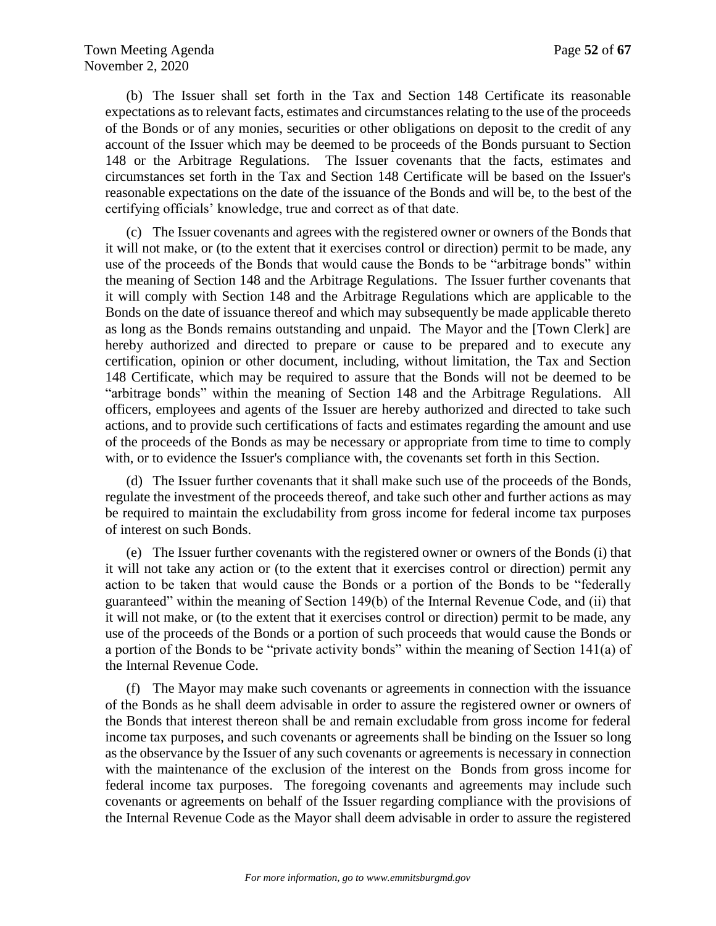(b) The Issuer shall set forth in the Tax and Section 148 Certificate its reasonable expectations as to relevant facts, estimates and circumstances relating to the use of the proceeds of the Bonds or of any monies, securities or other obligations on deposit to the credit of any account of the Issuer which may be deemed to be proceeds of the Bonds pursuant to Section 148 or the Arbitrage Regulations. The Issuer covenants that the facts, estimates and circumstances set forth in the Tax and Section 148 Certificate will be based on the Issuer's reasonable expectations on the date of the issuance of the Bonds and will be, to the best of the certifying officials' knowledge, true and correct as of that date.

(c) The Issuer covenants and agrees with the registered owner or owners of the Bonds that it will not make, or (to the extent that it exercises control or direction) permit to be made, any use of the proceeds of the Bonds that would cause the Bonds to be "arbitrage bonds" within the meaning of Section 148 and the Arbitrage Regulations. The Issuer further covenants that it will comply with Section 148 and the Arbitrage Regulations which are applicable to the Bonds on the date of issuance thereof and which may subsequently be made applicable thereto as long as the Bonds remains outstanding and unpaid. The Mayor and the [Town Clerk] are hereby authorized and directed to prepare or cause to be prepared and to execute any certification, opinion or other document, including, without limitation, the Tax and Section 148 Certificate, which may be required to assure that the Bonds will not be deemed to be "arbitrage bonds" within the meaning of Section 148 and the Arbitrage Regulations. All officers, employees and agents of the Issuer are hereby authorized and directed to take such actions, and to provide such certifications of facts and estimates regarding the amount and use of the proceeds of the Bonds as may be necessary or appropriate from time to time to comply with, or to evidence the Issuer's compliance with, the covenants set forth in this Section.

(d) The Issuer further covenants that it shall make such use of the proceeds of the Bonds, regulate the investment of the proceeds thereof, and take such other and further actions as may be required to maintain the excludability from gross income for federal income tax purposes of interest on such Bonds.

(e) The Issuer further covenants with the registered owner or owners of the Bonds (i) that it will not take any action or (to the extent that it exercises control or direction) permit any action to be taken that would cause the Bonds or a portion of the Bonds to be "federally guaranteed" within the meaning of Section 149(b) of the Internal Revenue Code, and (ii) that it will not make, or (to the extent that it exercises control or direction) permit to be made, any use of the proceeds of the Bonds or a portion of such proceeds that would cause the Bonds or a portion of the Bonds to be "private activity bonds" within the meaning of Section 141(a) of the Internal Revenue Code.

(f) The Mayor may make such covenants or agreements in connection with the issuance of the Bonds as he shall deem advisable in order to assure the registered owner or owners of the Bonds that interest thereon shall be and remain excludable from gross income for federal income tax purposes, and such covenants or agreements shall be binding on the Issuer so long as the observance by the Issuer of any such covenants or agreements is necessary in connection with the maintenance of the exclusion of the interest on the Bonds from gross income for federal income tax purposes. The foregoing covenants and agreements may include such covenants or agreements on behalf of the Issuer regarding compliance with the provisions of the Internal Revenue Code as the Mayor shall deem advisable in order to assure the registered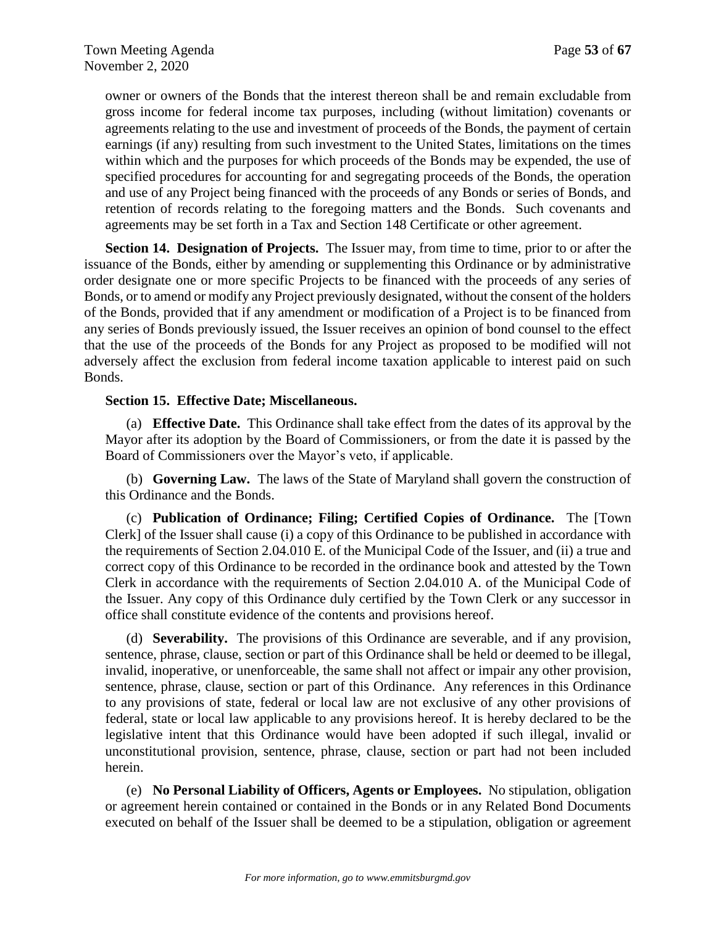owner or owners of the Bonds that the interest thereon shall be and remain excludable from gross income for federal income tax purposes, including (without limitation) covenants or agreements relating to the use and investment of proceeds of the Bonds, the payment of certain earnings (if any) resulting from such investment to the United States, limitations on the times within which and the purposes for which proceeds of the Bonds may be expended, the use of specified procedures for accounting for and segregating proceeds of the Bonds, the operation and use of any Project being financed with the proceeds of any Bonds or series of Bonds, and retention of records relating to the foregoing matters and the Bonds. Such covenants and agreements may be set forth in a Tax and Section 148 Certificate or other agreement.

**Section 14. Designation of Projects.** The Issuer may, from time to time, prior to or after the issuance of the Bonds, either by amending or supplementing this Ordinance or by administrative order designate one or more specific Projects to be financed with the proceeds of any series of Bonds, or to amend or modify any Project previously designated, without the consent of the holders of the Bonds, provided that if any amendment or modification of a Project is to be financed from any series of Bonds previously issued, the Issuer receives an opinion of bond counsel to the effect that the use of the proceeds of the Bonds for any Project as proposed to be modified will not adversely affect the exclusion from federal income taxation applicable to interest paid on such Bonds.

## **Section 15. Effective Date; Miscellaneous.**

(a) **Effective Date.** This Ordinance shall take effect from the dates of its approval by the Mayor after its adoption by the Board of Commissioners, or from the date it is passed by the Board of Commissioners over the Mayor's veto, if applicable.

(b) **Governing Law.** The laws of the State of Maryland shall govern the construction of this Ordinance and the Bonds.

(c) **Publication of Ordinance; Filing; Certified Copies of Ordinance.** The [Town Clerk] of the Issuer shall cause (i) a copy of this Ordinance to be published in accordance with the requirements of Section 2.04.010 E. of the Municipal Code of the Issuer, and (ii) a true and correct copy of this Ordinance to be recorded in the ordinance book and attested by the Town Clerk in accordance with the requirements of Section 2.04.010 A. of the Municipal Code of the Issuer. Any copy of this Ordinance duly certified by the Town Clerk or any successor in office shall constitute evidence of the contents and provisions hereof.

(d) **Severability.** The provisions of this Ordinance are severable, and if any provision, sentence, phrase, clause, section or part of this Ordinance shall be held or deemed to be illegal, invalid, inoperative, or unenforceable, the same shall not affect or impair any other provision, sentence, phrase, clause, section or part of this Ordinance. Any references in this Ordinance to any provisions of state, federal or local law are not exclusive of any other provisions of federal, state or local law applicable to any provisions hereof. It is hereby declared to be the legislative intent that this Ordinance would have been adopted if such illegal, invalid or unconstitutional provision, sentence, phrase, clause, section or part had not been included herein.

(e) **No Personal Liability of Officers, Agents or Employees.** No stipulation, obligation or agreement herein contained or contained in the Bonds or in any Related Bond Documents executed on behalf of the Issuer shall be deemed to be a stipulation, obligation or agreement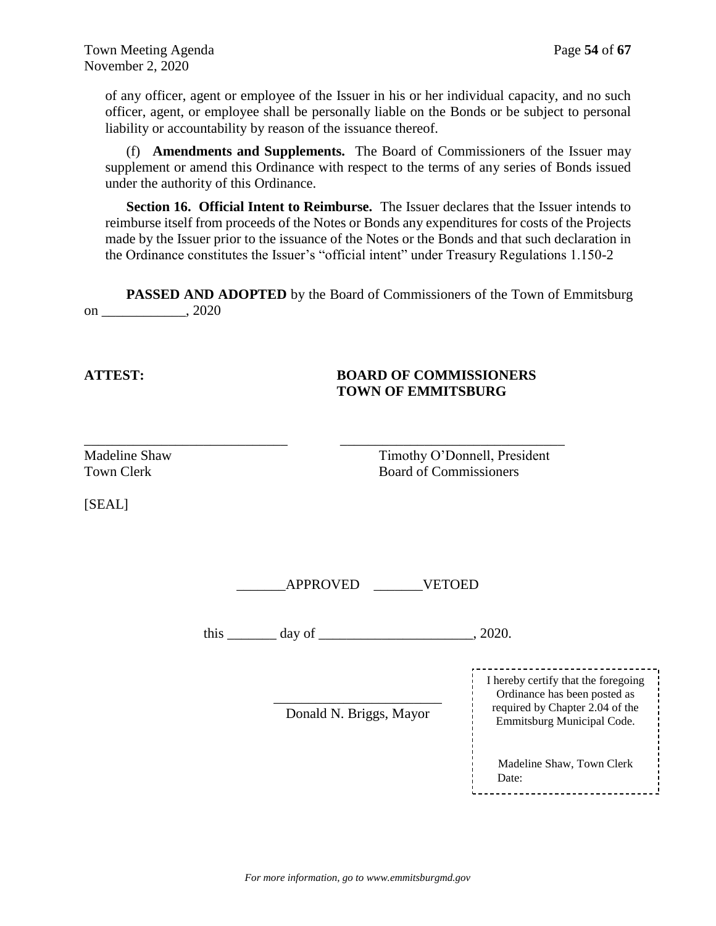of any officer, agent or employee of the Issuer in his or her individual capacity, and no such officer, agent, or employee shall be personally liable on the Bonds or be subject to personal liability or accountability by reason of the issuance thereof.

(f) **Amendments and Supplements.** The Board of Commissioners of the Issuer may supplement or amend this Ordinance with respect to the terms of any series of Bonds issued under the authority of this Ordinance.

**Section 16. Official Intent to Reimburse.** The Issuer declares that the Issuer intends to reimburse itself from proceeds of the Notes or Bonds any expenditures for costs of the Projects made by the Issuer prior to the issuance of the Notes or the Bonds and that such declaration in the Ordinance constitutes the Issuer's "official intent" under Treasury Regulations 1.150-2

**PASSED AND ADOPTED** by the Board of Commissioners of the Town of Emmitsburg on \_\_\_\_\_\_\_\_\_\_\_\_, 2020

\_\_\_\_\_\_\_\_\_\_\_\_\_\_\_\_\_\_\_\_\_\_\_\_\_\_\_\_\_ \_\_\_\_\_\_\_\_\_\_\_\_\_\_\_\_\_\_\_\_\_\_\_\_\_\_\_\_\_\_\_\_

## **ATTEST: BOARD OF COMMISSIONERS TOWN OF EMMITSBURG**

[SEAL]

Madeline Shaw Timothy O'Donnell, President Town Clerk **Board of Commissioners** 

\_\_\_\_\_\_\_APPROVED \_\_\_\_\_\_\_VETOED

this  $\frac{1}{2020}$  day of  $\frac{1}{2020}$ .

\_\_\_\_\_\_\_\_\_\_\_\_\_\_\_\_\_\_\_\_\_\_\_\_ Donald N. Briggs, Mayor

--------------------------------I hereby certify that the foregoing Ordinance has been posted as required by Chapter 2.04 of the Emmitsburg Municipal Code. Madeline Shaw, Town Clerk Date: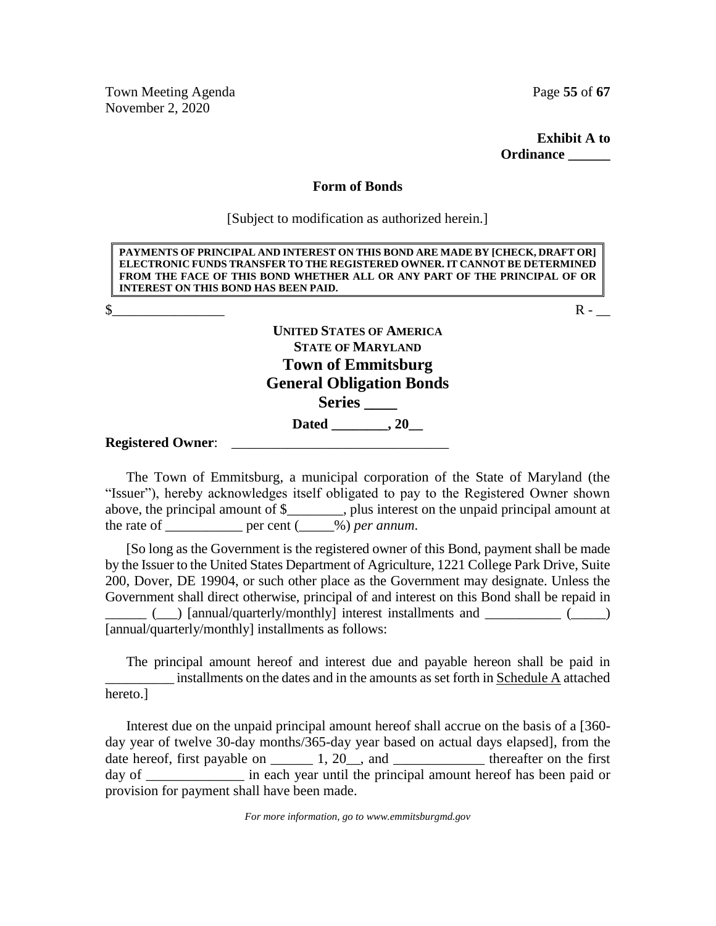Town Meeting Agenda **Page 55** of 67 November 2, 2020

**Exhibit A to Ordinance \_\_\_\_\_\_**

#### **Form of Bonds**

[Subject to modification as authorized herein.]

| PAYMENTS OF PRINCIPAL AND INTEREST ON THIS BOND ARE MADE BY [CHECK, DRAFT OR]<br>ELECTRONIC FUNDS TRANSFER TO THE REGISTERED OWNER. IT CANNOT BE DETERMINED<br>FROM THE FACE OF THIS BOND WHETHER ALL OR ANY PART OF THE PRINCIPAL OF OR<br><b>INTEREST ON THIS BOND HAS BEEN PAID.</b> |  |
|-----------------------------------------------------------------------------------------------------------------------------------------------------------------------------------------------------------------------------------------------------------------------------------------|--|
|                                                                                                                                                                                                                                                                                         |  |
| <b>UNITED STATES OF AMERICA</b><br><b>STATE OF MARYLAND</b><br><b>Town of Emmitsburg</b><br><b>General Obligation Bonds</b><br><b>Series</b>                                                                                                                                            |  |
| Dated 20                                                                                                                                                                                                                                                                                |  |
| <b>Registered Owner:</b>                                                                                                                                                                                                                                                                |  |

The Town of Emmitsburg, a municipal corporation of the State of Maryland (the "Issuer"), hereby acknowledges itself obligated to pay to the Registered Owner shown above, the principal amount of \$\_\_\_\_\_\_\_\_, plus interest on the unpaid principal amount at the rate of  $\frac{1}{\sqrt{2\pi}}$  per cent  $\frac{1}{\sqrt{2}}$  *per annum*.

[So long as the Government is the registered owner of this Bond, payment shall be made by the Issuer to the United States Department of Agriculture, 1221 College Park Drive, Suite 200, Dover, DE 19904, or such other place as the Government may designate. Unless the Government shall direct otherwise, principal of and interest on this Bond shall be repaid in

(  $\Box$  ) [annual/quarterly/monthly] interest installments and  $\Box$  (  $\Box$  ) [annual/quarterly/monthly] installments as follows:

The principal amount hereof and interest due and payable hereon shall be paid in \_\_\_\_\_\_\_\_\_\_ installments on the dates and in the amounts as set forth in Schedule A attached hereto.]

Interest due on the unpaid principal amount hereof shall accrue on the basis of a [360 day year of twelve 30-day months/365-day year based on actual days elapsed], from the date hereof, first payable on  $\_\_\_\_$ 1, 20 $\_\_\_$ , and  $\_\_\_\_\_\_\_\_\_$  thereafter on the first day of \_\_\_\_\_\_\_\_\_\_\_\_\_\_\_\_\_ in each year until the principal amount hereof has been paid or provision for payment shall have been made.

*For more information, go to www.emmitsburgmd.gov*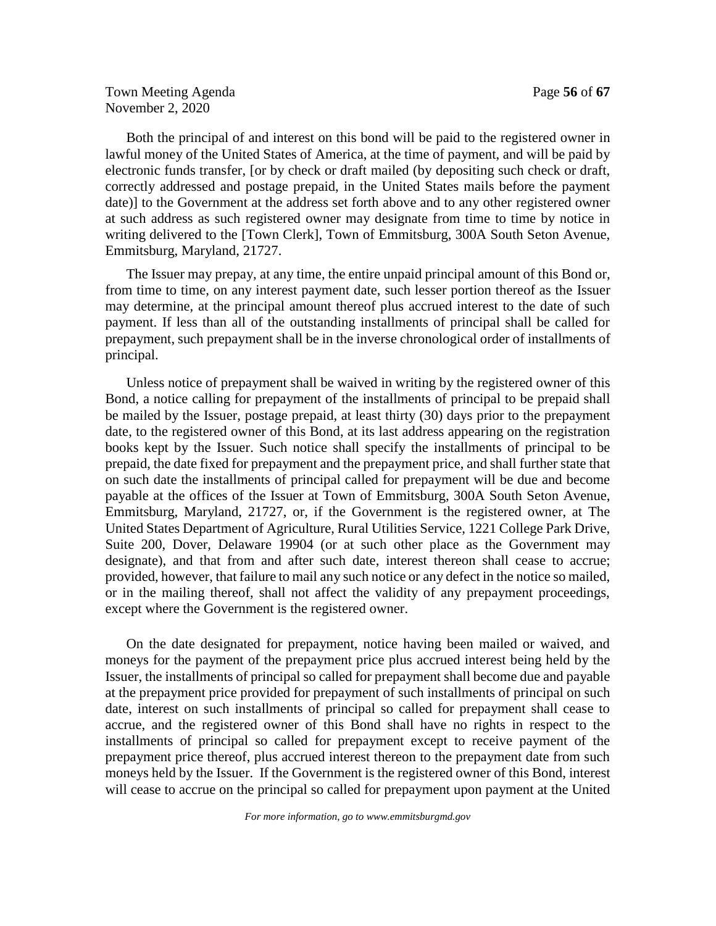Town Meeting Agenda **Page 56** of 67 November 2, 2020

Both the principal of and interest on this bond will be paid to the registered owner in lawful money of the United States of America, at the time of payment, and will be paid by electronic funds transfer, [or by check or draft mailed (by depositing such check or draft, correctly addressed and postage prepaid, in the United States mails before the payment date)] to the Government at the address set forth above and to any other registered owner at such address as such registered owner may designate from time to time by notice in writing delivered to the [Town Clerk], Town of Emmitsburg, 300A South Seton Avenue, Emmitsburg, Maryland, 21727.

The Issuer may prepay, at any time, the entire unpaid principal amount of this Bond or, from time to time, on any interest payment date, such lesser portion thereof as the Issuer may determine, at the principal amount thereof plus accrued interest to the date of such payment. If less than all of the outstanding installments of principal shall be called for prepayment, such prepayment shall be in the inverse chronological order of installments of principal.

Unless notice of prepayment shall be waived in writing by the registered owner of this Bond, a notice calling for prepayment of the installments of principal to be prepaid shall be mailed by the Issuer, postage prepaid, at least thirty (30) days prior to the prepayment date, to the registered owner of this Bond, at its last address appearing on the registration books kept by the Issuer. Such notice shall specify the installments of principal to be prepaid, the date fixed for prepayment and the prepayment price, and shall further state that on such date the installments of principal called for prepayment will be due and become payable at the offices of the Issuer at Town of Emmitsburg, 300A South Seton Avenue, Emmitsburg, Maryland, 21727, or, if the Government is the registered owner, at The United States Department of Agriculture, Rural Utilities Service, 1221 College Park Drive, Suite 200, Dover, Delaware 19904 (or at such other place as the Government may designate), and that from and after such date, interest thereon shall cease to accrue; provided, however, that failure to mail any such notice or any defect in the notice so mailed, or in the mailing thereof, shall not affect the validity of any prepayment proceedings, except where the Government is the registered owner.

On the date designated for prepayment, notice having been mailed or waived, and moneys for the payment of the prepayment price plus accrued interest being held by the Issuer, the installments of principal so called for prepayment shall become due and payable at the prepayment price provided for prepayment of such installments of principal on such date, interest on such installments of principal so called for prepayment shall cease to accrue, and the registered owner of this Bond shall have no rights in respect to the installments of principal so called for prepayment except to receive payment of the prepayment price thereof, plus accrued interest thereon to the prepayment date from such moneys held by the Issuer. If the Government is the registered owner of this Bond, interest will cease to accrue on the principal so called for prepayment upon payment at the United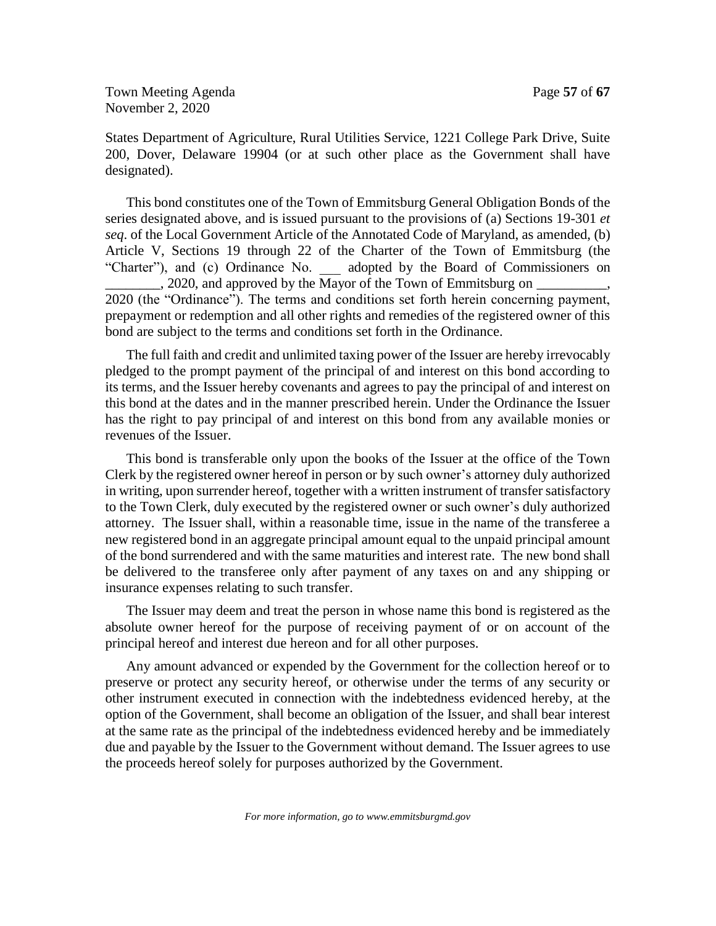Town Meeting Agenda **Page 57** of 67 November 2, 2020

States Department of Agriculture, Rural Utilities Service, 1221 College Park Drive, Suite 200, Dover, Delaware 19904 (or at such other place as the Government shall have designated).

This bond constitutes one of the Town of Emmitsburg General Obligation Bonds of the series designated above, and is issued pursuant to the provisions of (a) Sections 19-301 *et seq*. of the Local Government Article of the Annotated Code of Maryland, as amended, (b) Article V, Sections 19 through 22 of the Charter of the Town of Emmitsburg (the "Charter"), and (c) Ordinance No. \_\_\_ adopted by the Board of Commissioners on \_\_\_\_\_\_\_\_, 2020, and approved by the Mayor of the Town of Emmitsburg on \_\_\_\_\_\_\_\_\_\_, 2020 (the "Ordinance"). The terms and conditions set forth herein concerning payment, prepayment or redemption and all other rights and remedies of the registered owner of this bond are subject to the terms and conditions set forth in the Ordinance.

The full faith and credit and unlimited taxing power of the Issuer are hereby irrevocably pledged to the prompt payment of the principal of and interest on this bond according to its terms, and the Issuer hereby covenants and agrees to pay the principal of and interest on this bond at the dates and in the manner prescribed herein. Under the Ordinance the Issuer has the right to pay principal of and interest on this bond from any available monies or revenues of the Issuer.

This bond is transferable only upon the books of the Issuer at the office of the Town Clerk by the registered owner hereof in person or by such owner's attorney duly authorized in writing, upon surrender hereof, together with a written instrument of transfer satisfactory to the Town Clerk, duly executed by the registered owner or such owner's duly authorized attorney. The Issuer shall, within a reasonable time, issue in the name of the transferee a new registered bond in an aggregate principal amount equal to the unpaid principal amount of the bond surrendered and with the same maturities and interest rate. The new bond shall be delivered to the transferee only after payment of any taxes on and any shipping or insurance expenses relating to such transfer.

The Issuer may deem and treat the person in whose name this bond is registered as the absolute owner hereof for the purpose of receiving payment of or on account of the principal hereof and interest due hereon and for all other purposes.

Any amount advanced or expended by the Government for the collection hereof or to preserve or protect any security hereof, or otherwise under the terms of any security or other instrument executed in connection with the indebtedness evidenced hereby, at the option of the Government, shall become an obligation of the Issuer, and shall bear interest at the same rate as the principal of the indebtedness evidenced hereby and be immediately due and payable by the Issuer to the Government without demand. The Issuer agrees to use the proceeds hereof solely for purposes authorized by the Government.

*For more information, go to www.emmitsburgmd.gov*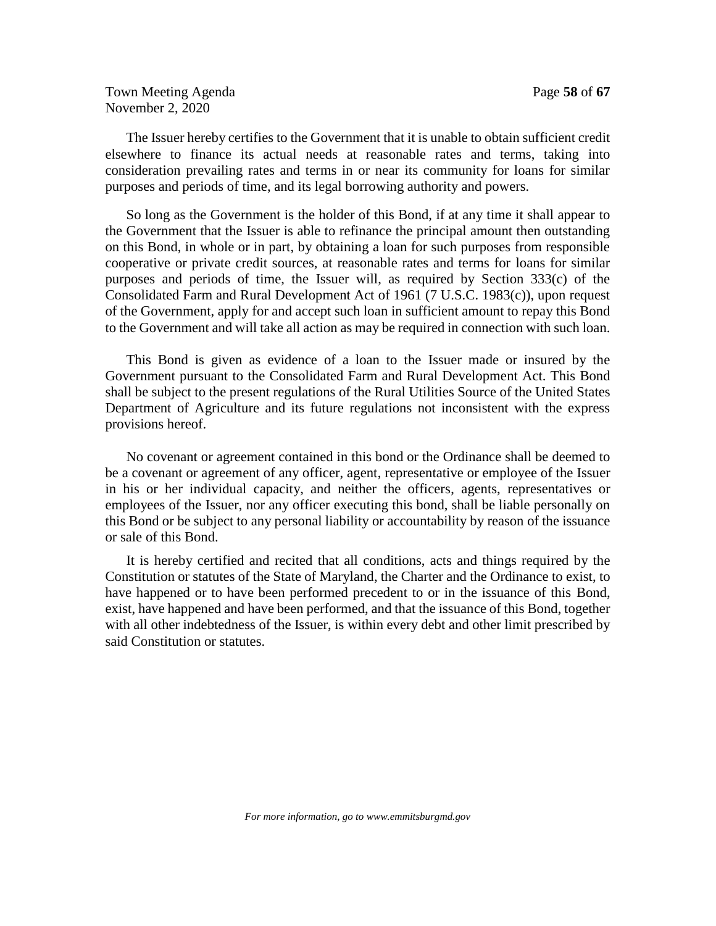Town Meeting Agenda **Page 58** of **67** November 2, 2020

The Issuer hereby certifies to the Government that it is unable to obtain sufficient credit elsewhere to finance its actual needs at reasonable rates and terms, taking into consideration prevailing rates and terms in or near its community for loans for similar purposes and periods of time, and its legal borrowing authority and powers.

So long as the Government is the holder of this Bond, if at any time it shall appear to the Government that the Issuer is able to refinance the principal amount then outstanding on this Bond, in whole or in part, by obtaining a loan for such purposes from responsible cooperative or private credit sources, at reasonable rates and terms for loans for similar purposes and periods of time, the Issuer will, as required by Section 333(c) of the Consolidated Farm and Rural Development Act of 1961 (7 U.S.C. 1983(c)), upon request of the Government, apply for and accept such loan in sufficient amount to repay this Bond to the Government and will take all action as may be required in connection with such loan.

This Bond is given as evidence of a loan to the Issuer made or insured by the Government pursuant to the Consolidated Farm and Rural Development Act. This Bond shall be subject to the present regulations of the Rural Utilities Source of the United States Department of Agriculture and its future regulations not inconsistent with the express provisions hereof.

No covenant or agreement contained in this bond or the Ordinance shall be deemed to be a covenant or agreement of any officer, agent, representative or employee of the Issuer in his or her individual capacity, and neither the officers, agents, representatives or employees of the Issuer, nor any officer executing this bond, shall be liable personally on this Bond or be subject to any personal liability or accountability by reason of the issuance or sale of this Bond.

It is hereby certified and recited that all conditions, acts and things required by the Constitution or statutes of the State of Maryland, the Charter and the Ordinance to exist, to have happened or to have been performed precedent to or in the issuance of this Bond, exist, have happened and have been performed, and that the issuance of this Bond, together with all other indebtedness of the Issuer, is within every debt and other limit prescribed by said Constitution or statutes.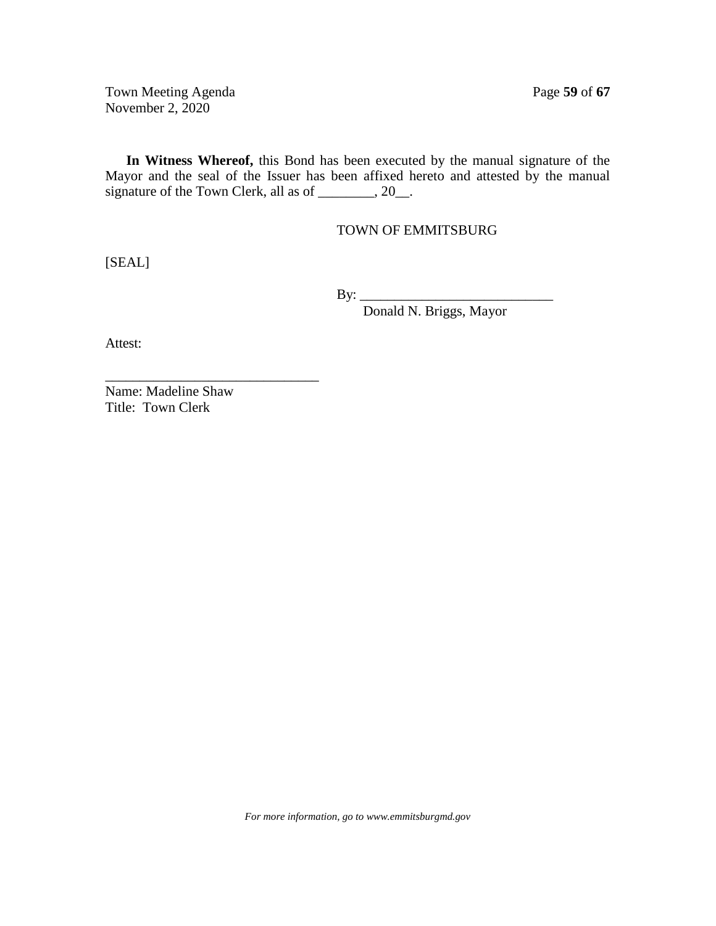Town Meeting Agenda Page 59 of 67 November 2, 2020

**In Witness Whereof,** this Bond has been executed by the manual signature of the Mayor and the seal of the Issuer has been affixed hereto and attested by the manual signature of the Town Clerk, all as of \_\_\_\_\_\_\_, 20\_\_.

TOWN OF EMMITSBURG

[SEAL]

By: \_\_\_\_\_\_\_\_\_\_\_\_\_\_\_\_\_\_\_\_\_\_\_\_\_\_\_\_

Donald N. Briggs, Mayor

Attest:

Name: Madeline Shaw Title: Town Clerk

\_\_\_\_\_\_\_\_\_\_\_\_\_\_\_\_\_\_\_\_\_\_\_\_\_\_\_\_\_\_\_

*For more information, go to www.emmitsburgmd.gov*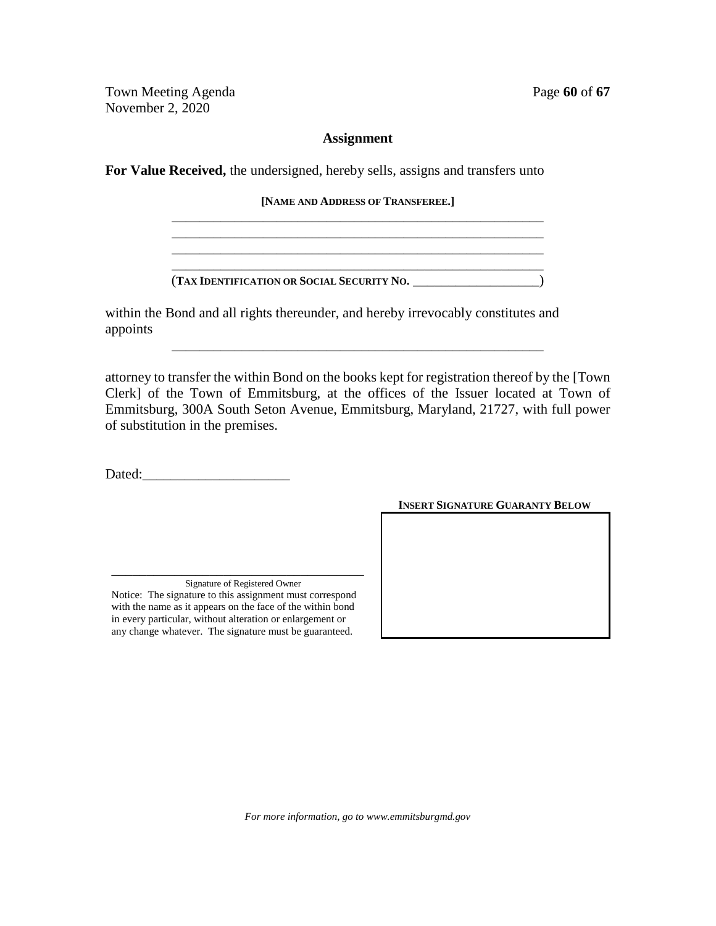Town Meeting Agenda Page 60 of 67 November 2, 2020

## **Assignment**

**For Value Received,** the undersigned, hereby sells, assigns and transfers unto

**[NAME AND ADDRESS OF TRANSFEREE.]** \_\_\_\_\_\_\_\_\_\_\_\_\_\_\_\_\_\_\_\_\_\_\_\_\_\_\_\_\_\_\_\_\_\_\_\_\_\_\_\_\_\_\_\_\_\_\_\_\_\_\_\_\_

\_\_\_\_\_\_\_\_\_\_\_\_\_\_\_\_\_\_\_\_\_\_\_\_\_\_\_\_\_\_\_\_\_\_\_\_\_\_\_\_\_\_\_\_\_\_\_\_\_\_\_\_\_ \_\_\_\_\_\_\_\_\_\_\_\_\_\_\_\_\_\_\_\_\_\_\_\_\_\_\_\_\_\_\_\_\_\_\_\_\_\_\_\_\_\_\_\_\_\_\_\_\_\_\_\_\_ \_\_\_\_\_\_\_\_\_\_\_\_\_\_\_\_\_\_\_\_\_\_\_\_\_\_\_\_\_\_\_\_\_\_\_\_\_\_\_\_\_\_\_\_\_\_\_\_\_\_\_\_\_

(**TAX IDENTIFICATION OR SOCIAL SECURITY NO.** \_\_\_\_\_\_\_\_\_\_\_\_\_\_\_\_\_\_)

within the Bond and all rights thereunder, and hereby irrevocably constitutes and appoints

attorney to transfer the within Bond on the books kept for registration thereof by the [Town Clerk] of the Town of Emmitsburg, at the offices of the Issuer located at Town of Emmitsburg, 300A South Seton Avenue, Emmitsburg, Maryland, 21727, with full power of substitution in the premises.

\_\_\_\_\_\_\_\_\_\_\_\_\_\_\_\_\_\_\_\_\_\_\_\_\_\_\_\_\_\_\_\_\_\_\_\_\_\_\_\_\_\_\_\_\_\_\_\_\_\_\_\_\_

Dated:

Signature of Registered Owner Notice: The signature to this assignment must correspond with the name as it appears on the face of the within bond in every particular, without alteration or enlargement or any change whatever. The signature must be guaranteed.

\_\_\_\_\_\_\_\_\_\_\_\_\_\_\_\_\_\_\_\_\_\_\_\_\_\_\_\_\_\_\_\_\_\_\_\_

**INSERT SIGNATURE GUARANTY BELOW**

*For more information, go to www.emmitsburgmd.gov*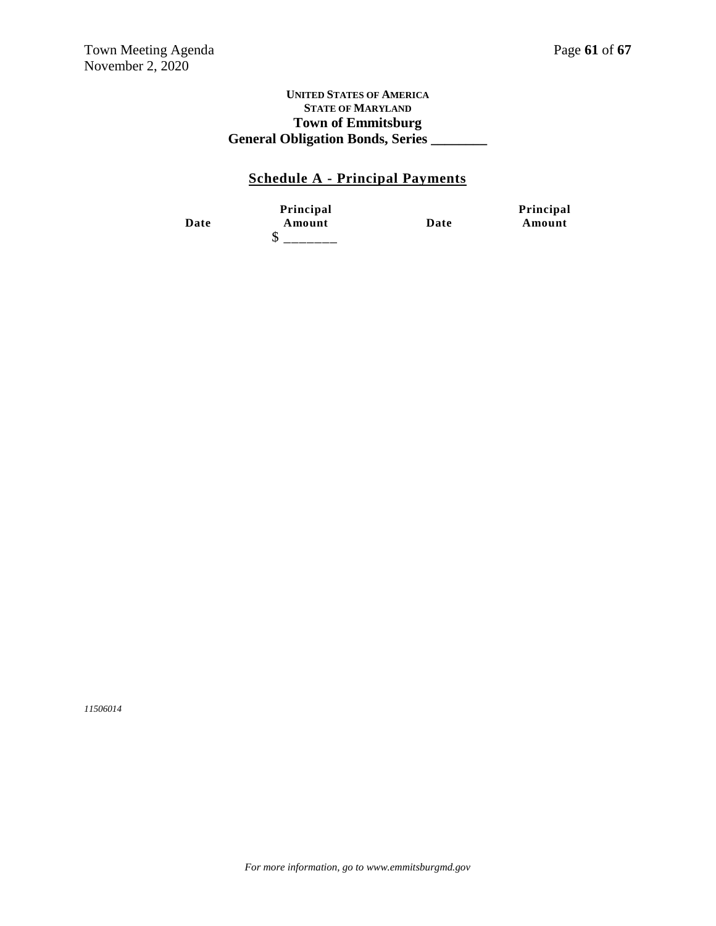#### **UNITED STATES OF AMERICA STATE OF MARYLAND Town of Emmitsburg General Obligation Bonds, Series \_\_\_\_\_\_\_\_**

## **Schedule A - Principal Payments**

**Date**

**Principal Amount Date**  $$$  \_\_\_\_\_\_\_

**Principal Amount**

*11506014*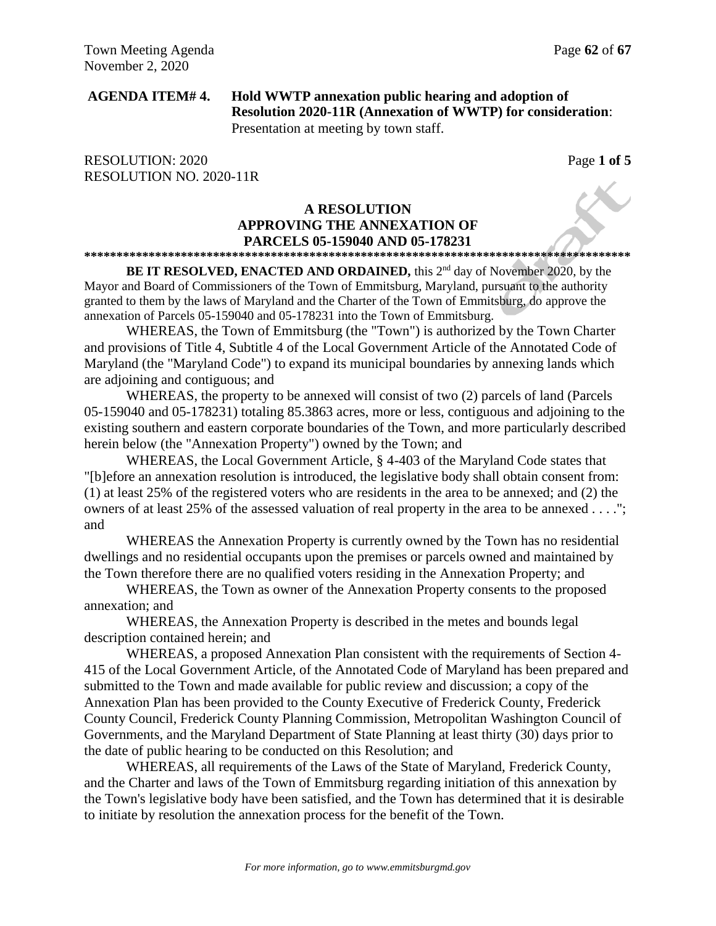## **AGENDA ITEM# 4. Hold WWTP annexation public hearing and adoption of Resolution 2020-11R (Annexation of WWTP) for consideration**: Presentation at meeting by town staff.

RESOLUTION: 2020 Page 1 of 5 RESOLUTION NO. 2020-11R

#### **A RESOLUTION APPROVING THE ANNEXATION OF PARCELS 05-159040 AND 05-178231 \*\*\*\*\*\*\*\*\*\*\*\*\*\*\*\*\*\*\*\*\*\*\*\*\*\*\*\*\*\*\*\*\*\*\*\*\*\*\*\*\*\*\*\*\*\*\*\*\*\*\*\*\*\*\*\*\*\*\*\*\*\*\*\*\*\*\*\*\*\*\*\*\*\*\*\*\*\*\*\*\*\*\*\*\***

BE IT RESOLVED, ENACTED AND ORDAINED, this 2<sup>nd</sup> day of November 2020, by the Mayor and Board of Commissioners of the Town of Emmitsburg, Maryland, pursuant to the authority granted to them by the laws of Maryland and the Charter of the Town of Emmitsburg, do approve the annexation of Parcels 05-159040 and 05-178231 into the Town of Emmitsburg.

WHEREAS, the Town of Emmitsburg (the "Town") is authorized by the Town Charter and provisions of Title 4, Subtitle 4 of the Local Government Article of the Annotated Code of Maryland (the "Maryland Code") to expand its municipal boundaries by annexing lands which are adjoining and contiguous; and

WHEREAS, the property to be annexed will consist of two (2) parcels of land (Parcels 05-159040 and 05-178231) totaling 85.3863 acres, more or less, contiguous and adjoining to the existing southern and eastern corporate boundaries of the Town, and more particularly described herein below (the "Annexation Property") owned by the Town; and

WHEREAS, the Local Government Article, § 4-403 of the Maryland Code states that "[b]efore an annexation resolution is introduced, the legislative body shall obtain consent from: (1) at least 25% of the registered voters who are residents in the area to be annexed; and (2) the owners of at least 25% of the assessed valuation of real property in the area to be annexed . . . ."; and

WHEREAS the Annexation Property is currently owned by the Town has no residential dwellings and no residential occupants upon the premises or parcels owned and maintained by the Town therefore there are no qualified voters residing in the Annexation Property; and

WHEREAS, the Town as owner of the Annexation Property consents to the proposed annexation; and

WHEREAS, the Annexation Property is described in the metes and bounds legal description contained herein; and

WHEREAS, a proposed Annexation Plan consistent with the requirements of Section 4- 415 of the Local Government Article, of the Annotated Code of Maryland has been prepared and submitted to the Town and made available for public review and discussion; a copy of the Annexation Plan has been provided to the County Executive of Frederick County, Frederick County Council, Frederick County Planning Commission, Metropolitan Washington Council of Governments, and the Maryland Department of State Planning at least thirty (30) days prior to the date of public hearing to be conducted on this Resolution; and

WHEREAS, all requirements of the Laws of the State of Maryland, Frederick County, and the Charter and laws of the Town of Emmitsburg regarding initiation of this annexation by the Town's legislative body have been satisfied, and the Town has determined that it is desirable to initiate by resolution the annexation process for the benefit of the Town.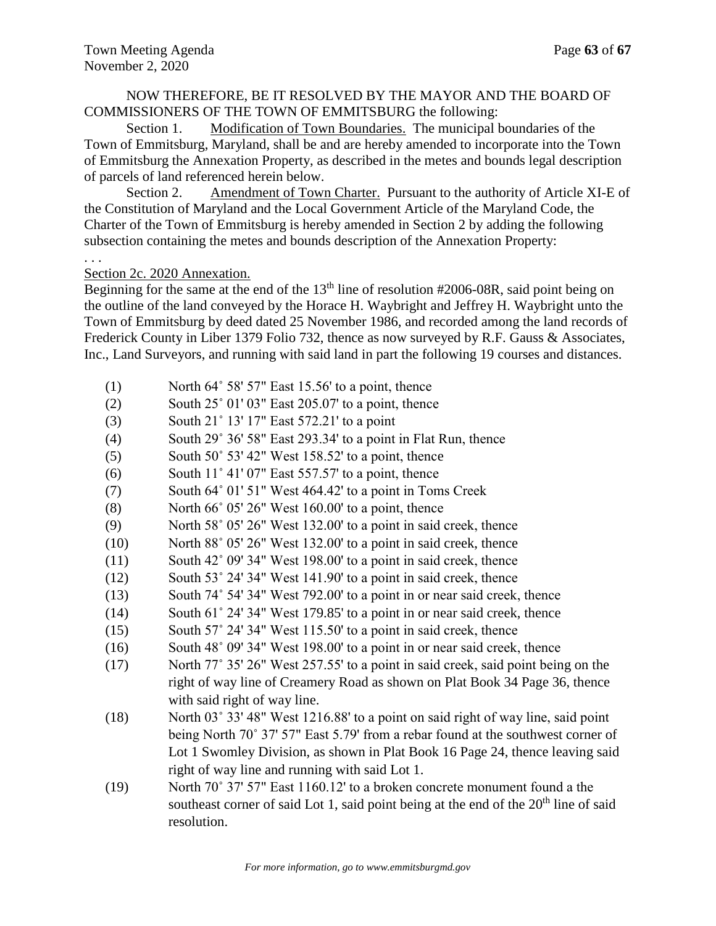## NOW THEREFORE, BE IT RESOLVED BY THE MAYOR AND THE BOARD OF COMMISSIONERS OF THE TOWN OF EMMITSBURG the following:

Section 1. Modification of Town Boundaries. The municipal boundaries of the Town of Emmitsburg, Maryland, shall be and are hereby amended to incorporate into the Town of Emmitsburg the Annexation Property, as described in the metes and bounds legal description of parcels of land referenced herein below.

Section 2. Amendment of Town Charter. Pursuant to the authority of Article XI-E of the Constitution of Maryland and the Local Government Article of the Maryland Code, the Charter of the Town of Emmitsburg is hereby amended in Section 2 by adding the following subsection containing the metes and bounds description of the Annexation Property:

. . .

Section 2c. 2020 Annexation.

Beginning for the same at the end of the  $13<sup>th</sup>$  line of resolution  $\#2006-08R$ , said point being on the outline of the land conveyed by the Horace H. Waybright and Jeffrey H. Waybright unto the Town of Emmitsburg by deed dated 25 November 1986, and recorded among the land records of Frederick County in Liber 1379 Folio 732, thence as now surveyed by R.F. Gauss & Associates, Inc., Land Surveyors, and running with said land in part the following 19 courses and distances.

- $(1)$  North 64° 58′ 57″ East 15.56′ to a point, thence
- (2) South  $25^{\circ}$  01' 03" East 205.07' to a point, thence
- (3) South 21˚ 13' 17" East 572.21' to a point
- (4) South 29˚ 36' 58" East 293.34' to a point in Flat Run, thence
- $(5)$  South 50° 53' 42" West 158.52' to a point, thence
- $(6)$  South 11° 41' 07" East 557.57' to a point, thence
- (7) South 64˚ 01' 51" West 464.42' to a point in Toms Creek
- $(8)$  North 66° 05' 26" West 160.00' to a point, thence
- (9) North 58˚ 05' 26" West 132.00' to a point in said creek, thence
- (10) North 88˚ 05' 26" West 132.00' to a point in said creek, thence
- (11) South 42˚ 09' 34" West 198.00' to a point in said creek, thence
- (12) South 53˚ 24' 34" West 141.90' to a point in said creek, thence
- (13) South 74˚ 54' 34" West 792.00' to a point in or near said creek, thence
- (14) South 61˚ 24' 34" West 179.85' to a point in or near said creek, thence
- (15) South 57˚ 24' 34" West 115.50' to a point in said creek, thence
- (16) South 48˚ 09' 34" West 198.00' to a point in or near said creek, thence
- (17) North 77˚ 35' 26" West 257.55' to a point in said creek, said point being on the right of way line of Creamery Road as shown on Plat Book 34 Page 36, thence with said right of way line.
- (18) North 03˚ 33' 48" West 1216.88' to a point on said right of way line, said point being North 70˚ 37' 57" East 5.79' from a rebar found at the southwest corner of Lot 1 Swomley Division, as shown in Plat Book 16 Page 24, thence leaving said right of way line and running with said Lot 1.
- (19) North 70˚ 37' 57" East 1160.12' to a broken concrete monument found a the southeast corner of said Lot 1, said point being at the end of the  $20<sup>th</sup>$  line of said resolution.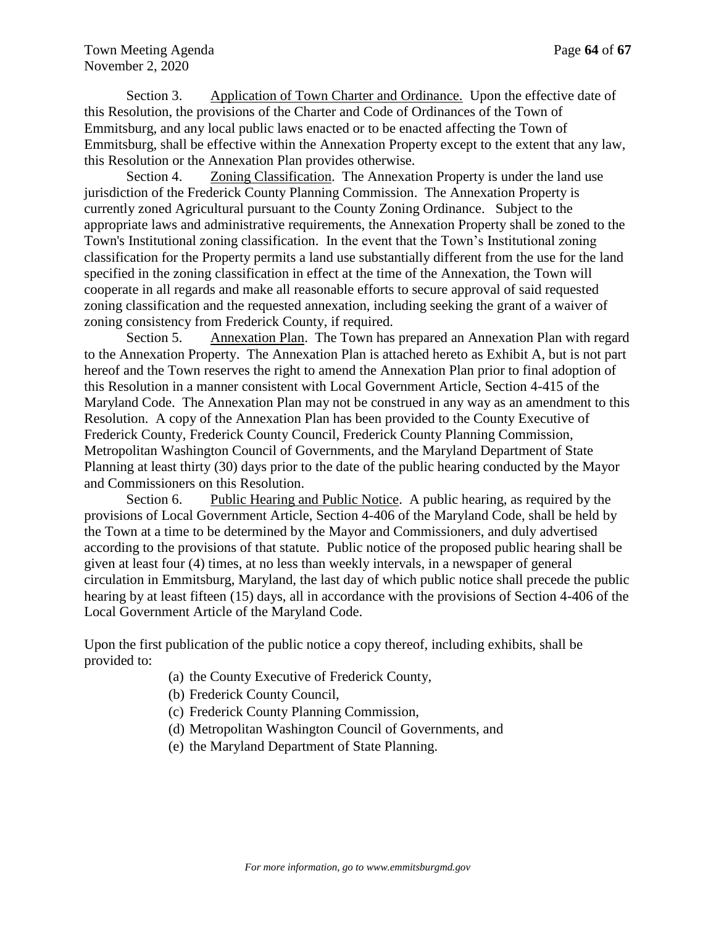Section 3. Application of Town Charter and Ordinance. Upon the effective date of this Resolution, the provisions of the Charter and Code of Ordinances of the Town of Emmitsburg, and any local public laws enacted or to be enacted affecting the Town of Emmitsburg, shall be effective within the Annexation Property except to the extent that any law, this Resolution or the Annexation Plan provides otherwise.

Section 4. Zoning Classification. The Annexation Property is under the land use jurisdiction of the Frederick County Planning Commission. The Annexation Property is currently zoned Agricultural pursuant to the County Zoning Ordinance. Subject to the appropriate laws and administrative requirements, the Annexation Property shall be zoned to the Town's Institutional zoning classification. In the event that the Town's Institutional zoning classification for the Property permits a land use substantially different from the use for the land specified in the zoning classification in effect at the time of the Annexation, the Town will cooperate in all regards and make all reasonable efforts to secure approval of said requested zoning classification and the requested annexation, including seeking the grant of a waiver of zoning consistency from Frederick County, if required.

Section 5. Annexation Plan. The Town has prepared an Annexation Plan with regard to the Annexation Property. The Annexation Plan is attached hereto as Exhibit A, but is not part hereof and the Town reserves the right to amend the Annexation Plan prior to final adoption of this Resolution in a manner consistent with Local Government Article, Section 4-415 of the Maryland Code. The Annexation Plan may not be construed in any way as an amendment to this Resolution. A copy of the Annexation Plan has been provided to the County Executive of Frederick County, Frederick County Council, Frederick County Planning Commission, Metropolitan Washington Council of Governments, and the Maryland Department of State Planning at least thirty (30) days prior to the date of the public hearing conducted by the Mayor and Commissioners on this Resolution.

Section 6. Public Hearing and Public Notice. A public hearing, as required by the provisions of Local Government Article, Section 4-406 of the Maryland Code, shall be held by the Town at a time to be determined by the Mayor and Commissioners, and duly advertised according to the provisions of that statute. Public notice of the proposed public hearing shall be given at least four (4) times, at no less than weekly intervals, in a newspaper of general circulation in Emmitsburg, Maryland, the last day of which public notice shall precede the public hearing by at least fifteen (15) days, all in accordance with the provisions of Section 4-406 of the Local Government Article of the Maryland Code.

Upon the first publication of the public notice a copy thereof, including exhibits, shall be provided to:

- (a) the County Executive of Frederick County,
- (b) Frederick County Council,
- (c) Frederick County Planning Commission,
- (d) Metropolitan Washington Council of Governments, and
- (e) the Maryland Department of State Planning.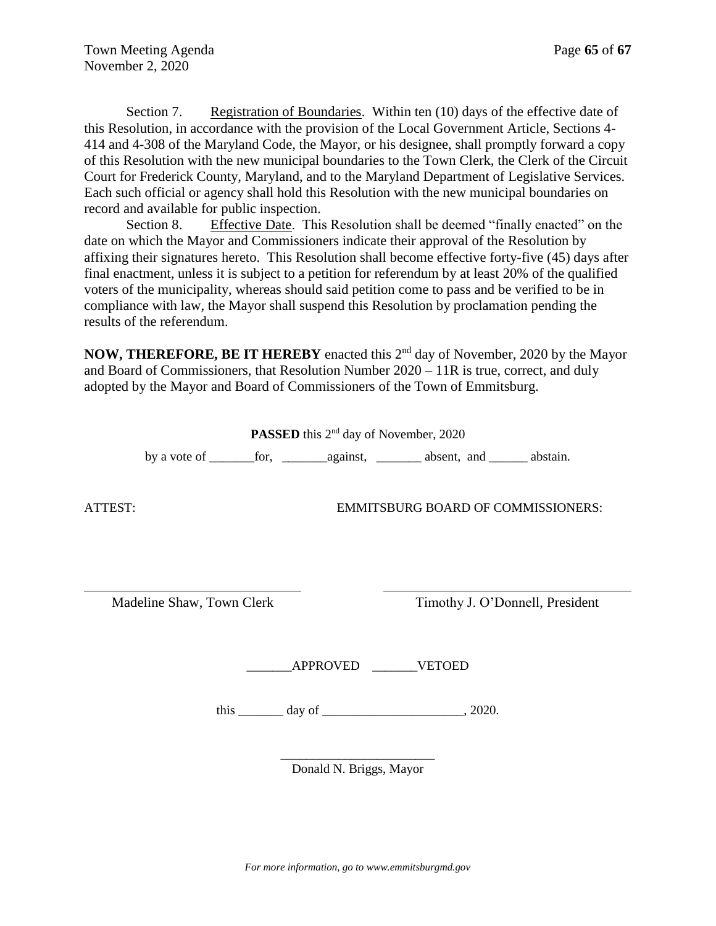Section 7. Registration of Boundaries. Within ten (10) days of the effective date of this Resolution, in accordance with the provision of the Local Government Article, Sections 4- 414 and 4-308 of the Maryland Code, the Mayor, or his designee, shall promptly forward a copy of this Resolution with the new municipal boundaries to the Town Clerk, the Clerk of the Circuit Court for Frederick County, Maryland, and to the Maryland Department of Legislative Services. Each such official or agency shall hold this Resolution with the new municipal boundaries on record and available for public inspection.

Section 8. Effective Date. This Resolution shall be deemed "finally enacted" on the date on which the Mayor and Commissioners indicate their approval of the Resolution by affixing their signatures hereto. This Resolution shall become effective forty-five (45) days after final enactment, unless it is subject to a petition for referendum by at least 20% of the qualified voters of the municipality, whereas should said petition come to pass and be verified to be in compliance with law, the Mayor shall suspend this Resolution by proclamation pending the results of the referendum.

NOW, THEREFORE, BE IT HEREBY enacted this 2<sup>nd</sup> day of November, 2020 by the Mayor and Board of Commissioners, that Resolution Number 2020 – 11R is true, correct, and duly adopted by the Mayor and Board of Commissioners of the Town of Emmitsburg.

PASSED this 2<sup>nd</sup> day of November, 2020

by a vote of \_\_\_\_\_\_\_for, \_\_\_\_\_\_\_against, \_\_\_\_\_\_\_ absent, and \_\_\_\_\_\_ abstain.

ATTEST: EMMITSBURG BOARD OF COMMISSIONERS:

Madeline Shaw, Town Clerk Timothy J. O'Donnell, President

\_\_\_\_\_\_\_APPROVED \_\_\_\_\_\_\_VETOED

this  $\frac{day \text{ of}}{x}$ 

\_\_\_\_\_\_\_\_\_\_\_\_\_\_\_\_\_\_\_\_\_\_\_\_ Donald N. Briggs, Mayor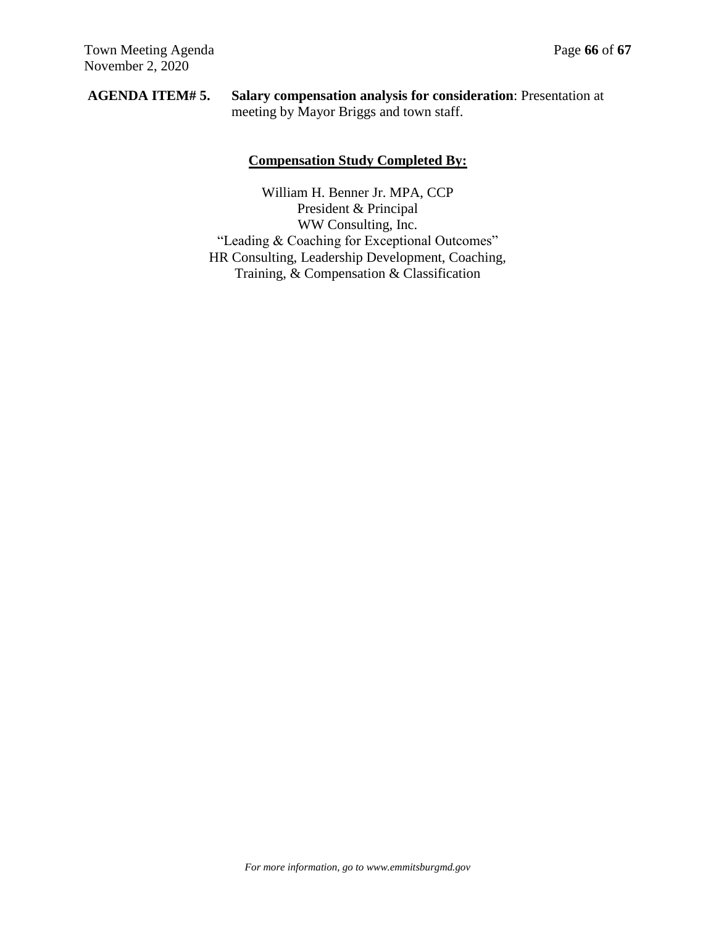## **AGENDA ITEM# 5. Salary compensation analysis for consideration**: Presentation at meeting by Mayor Briggs and town staff.

## **Compensation Study Completed By:**

William H. Benner Jr. MPA, CCP President & Principal WW Consulting, Inc. "Leading & Coaching for Exceptional Outcomes" HR Consulting, Leadership Development, Coaching, Training, & Compensation & Classification